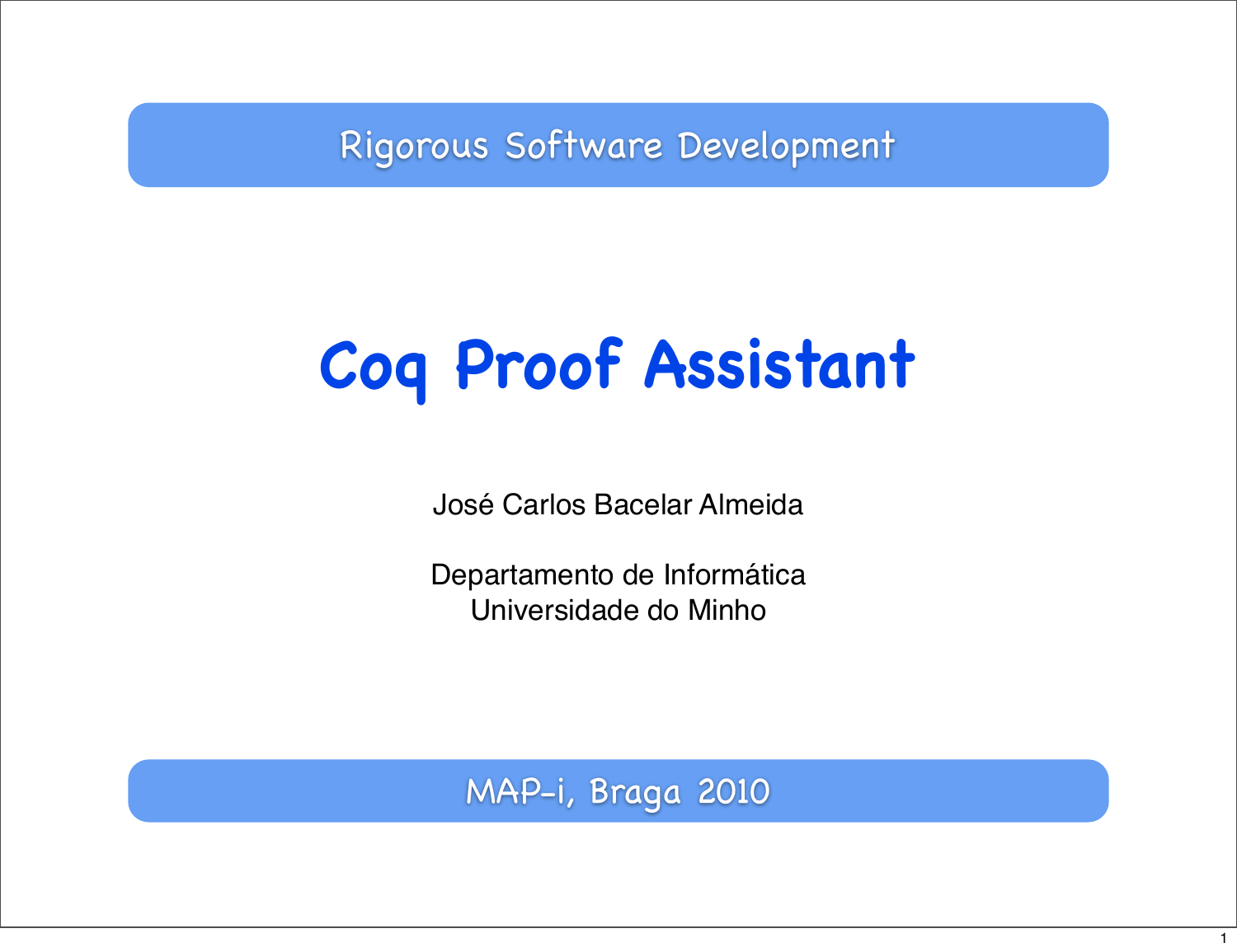Rigorous Software Development

# **Coq Proof Assistant**

José Carlos Bacelar Almeida

Departamento de Informática Universidade do Minho

MAP-i, Braga 2010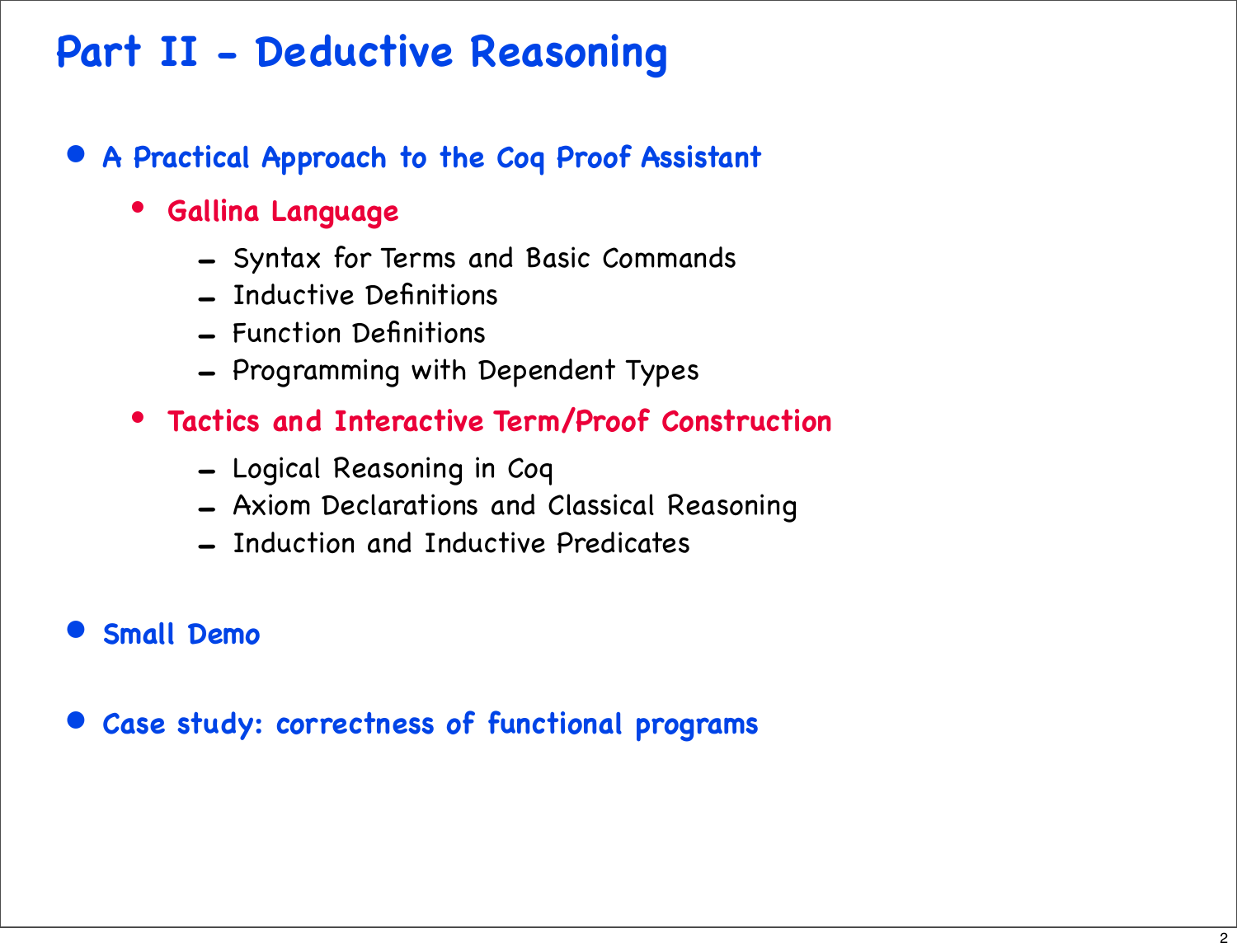## **Part II - Deductive Reasoning**

- **A Practical Approach to the Coq Proof Assistant**
	- **Gallina Language**
		- Syntax for Terms and Basic Commands
		- Inductive Definitions
		- Function Definitions
		- Programming with Dependent Types
	- **Tactics and Interactive Term/Proof Construction**
		- Logical Reasoning in Coq
		- Axiom Declarations and Classical Reasoning
		- Induction and Inductive Predicates
- **Small Demo**
- **Case study: correctness of functional programs**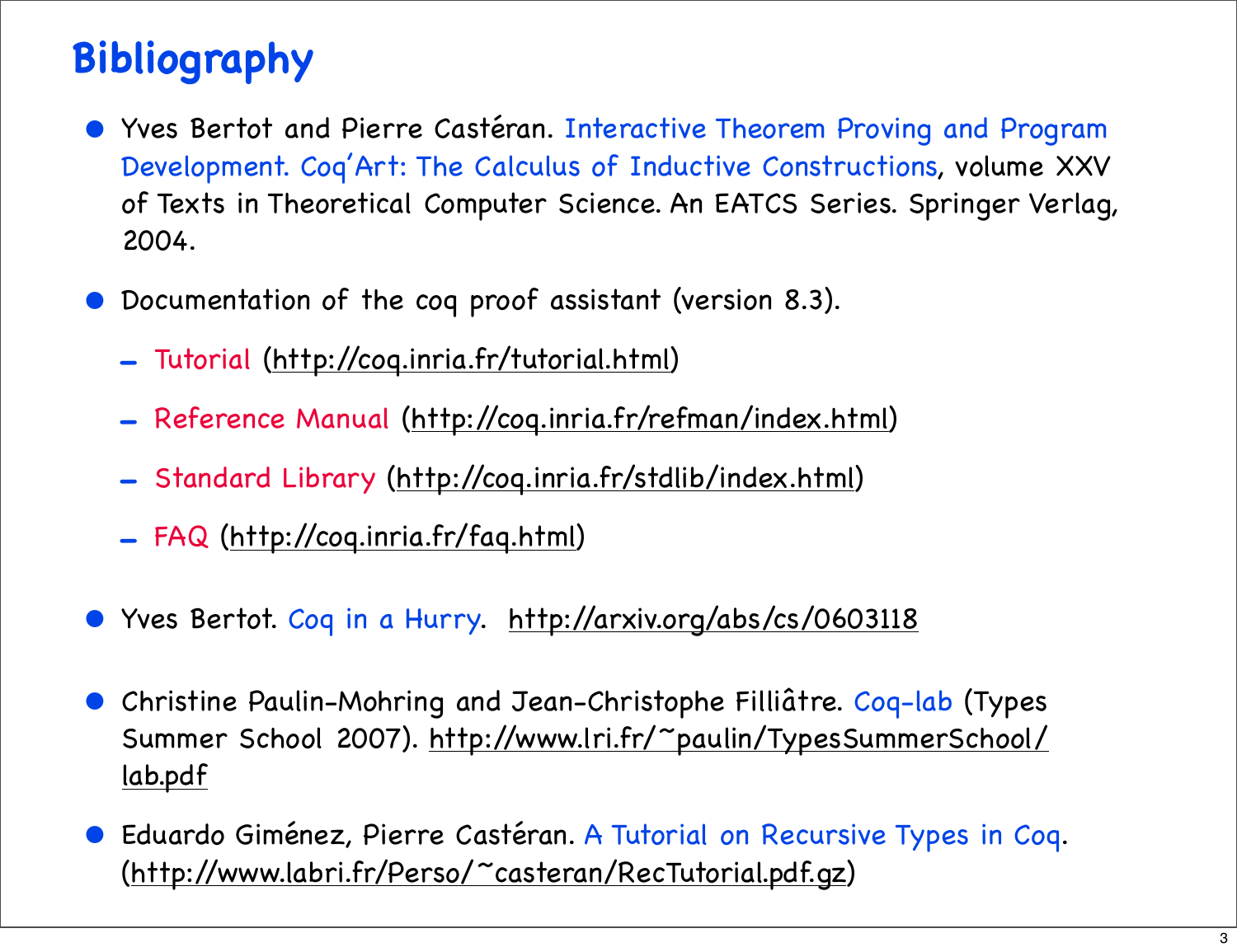## **Bibliography**

- Yves Bertot and Pierre Castéran. Interactive Theorem Proving and Program Development. Coq'Art: The Calculus of Inductive Constructions, volume XXV of Texts in Theoretical Computer Science. An EATCS Series. Springer Verlag, 2004.
- Documentation of the coq proof assistant (version 8.3).
	- Tutorial [\(http://coq.inria.fr/tutorial.html\)](http://coq.inria.fr/V8.1/tutorial.html)
	- Reference Manual [\(http://coq.inria.fr/refman/index.html\)](http://coq.inria.fr/refman/index.html)
	- Standard Library [\(http://coq.inria.fr/stdlib/index.html\)](http://coq.inria.fr/stdlib/index.html)
	- FAQ [\(http://coq.inria.fr/faq.html\)](http://coq.inria.fr/V8.1/faq.html)
- Yves Bertot. Coq in a Hurry. [http://arxiv.org/abs/cs/0603118](http://cel.archives-ouvertes.fr/docs/00/07/23/65/PDF/coq-hurry.pdf)
- Christine Paulin-Mohring and Jean-Christophe Filliâtre. Coq-lab (Types Summer School 2007). [http://www.lri.fr/~paulin/TypesSummerSchool/](http://www.lri.fr/~paulin/TypesSummerSchool/lab.pdf) [lab.pdf](http://www.lri.fr/~paulin/TypesSummerSchool/lab.pdf)
- Eduardo Giménez, Pierre Castéran. A Tutorial on Recursive Types in Coq. [\(http://www.labri.fr/Perso/~casteran/RecTutorial.pdf.gz\)](http://www.labri.fr/Perso/~casteran/RecTutorial.pdf.gz)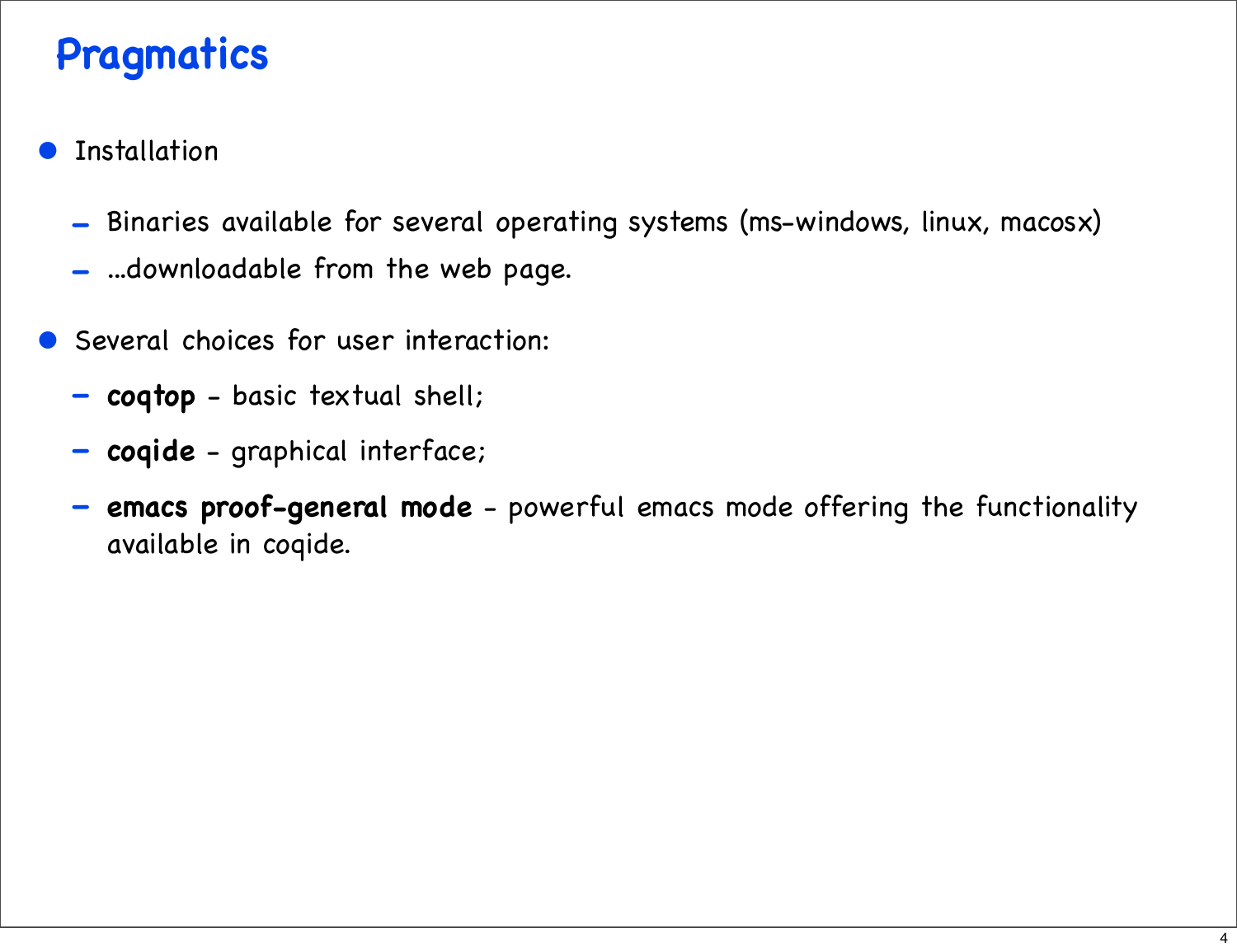## **Pragmatics**

- **Installation** 
	- Binaries available for several operating systems (ms-windows, linux, macosx)
	- ...downloadable from the web page.
- Several choices for user interaction:
	- **coqtop** basic textual shell;
	- **coqide** graphical interface;
	- **emacs proof-general mode** powerful emacs mode offering the functionality available in coqide.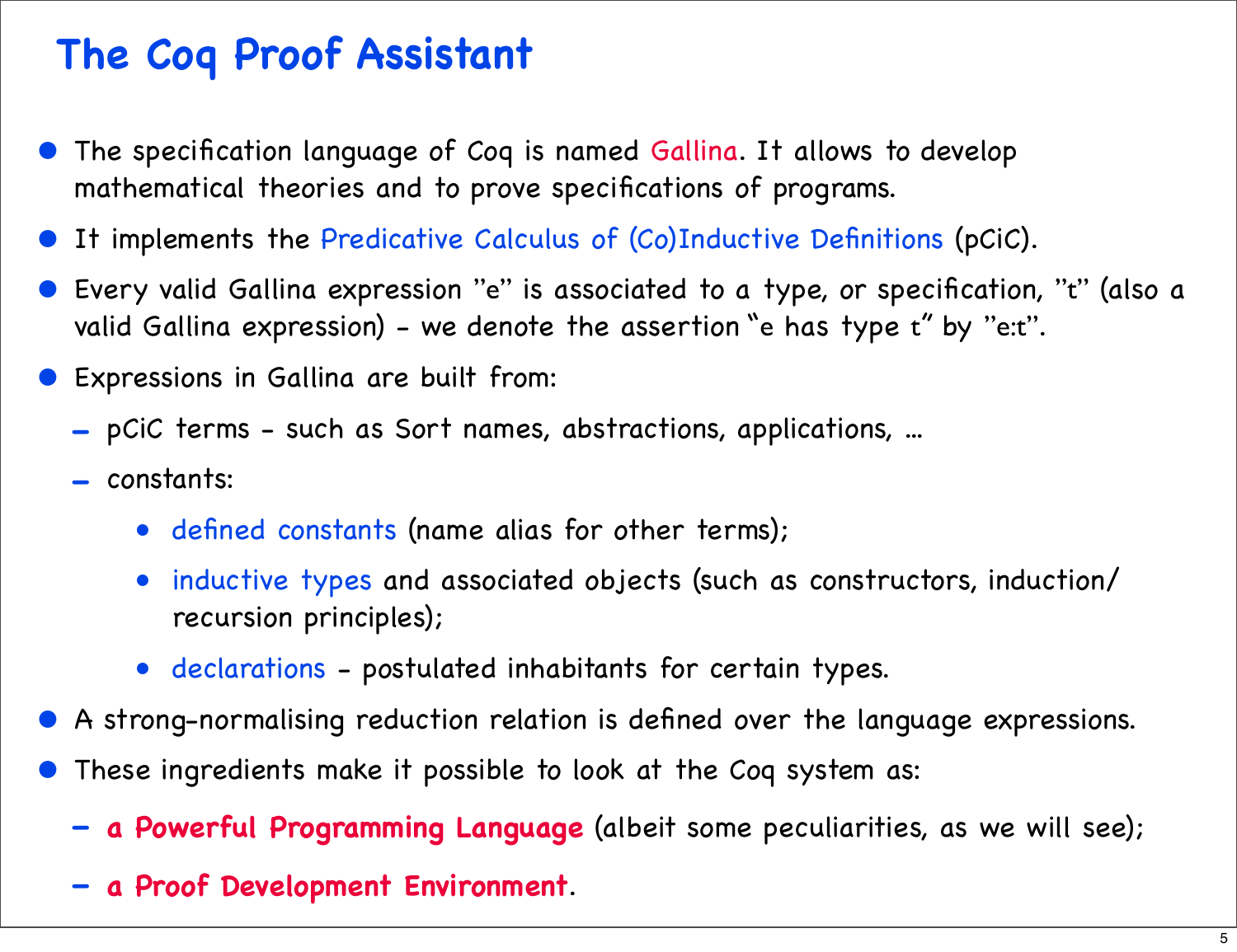## **The Coq Proof Assistant**

- The specification language of Coq is named Gallina. It allows to develop mathematical theories and to prove specifications of programs.
- It implements the Predicative Calculus of (Co)Inductive Definitions (pCiC).
- Every valid Gallina expression "e" is associated to a type, or specification, "t" (also a valid Gallina expression) - we denote the assertion "e has type t" by "e:t".
- Expressions in Gallina are built from:
	- pCiC terms such as Sort names, abstractions, applications, ...
	- constants:
		- defined constants (name alias for other terms);
		- inductive types and associated objects (such as constructors, induction/ recursion principles);
		- declarations postulated inhabitants for certain types.
- A strong-normalising reduction relation is defined over the language expressions.
- These ingredients make it possible to look at the Coq system as:
	- **a Powerful Programming Language** (albeit some peculiarities, as we will see);
	- **a Proof Development Environment**.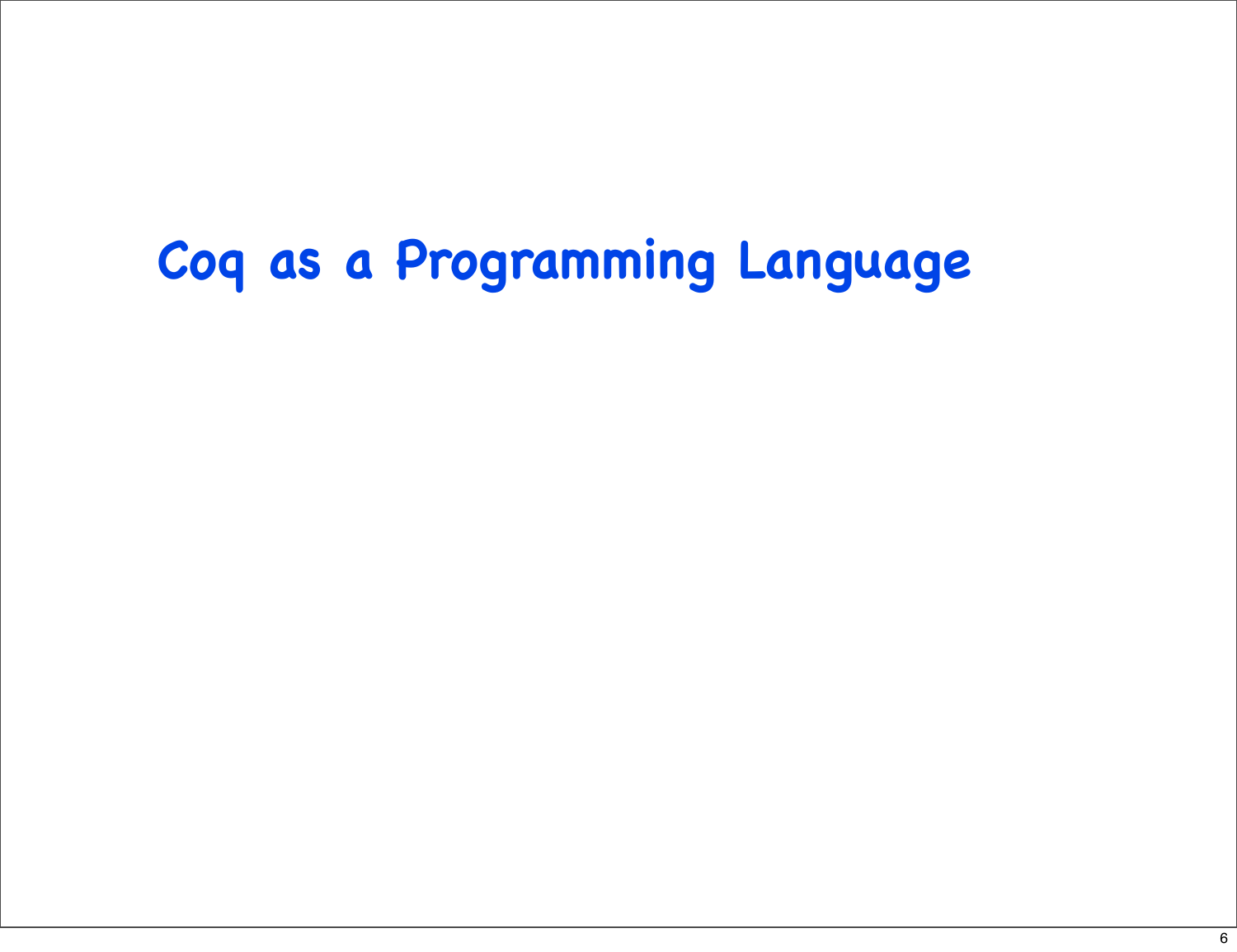## **Coq as a Programming Language**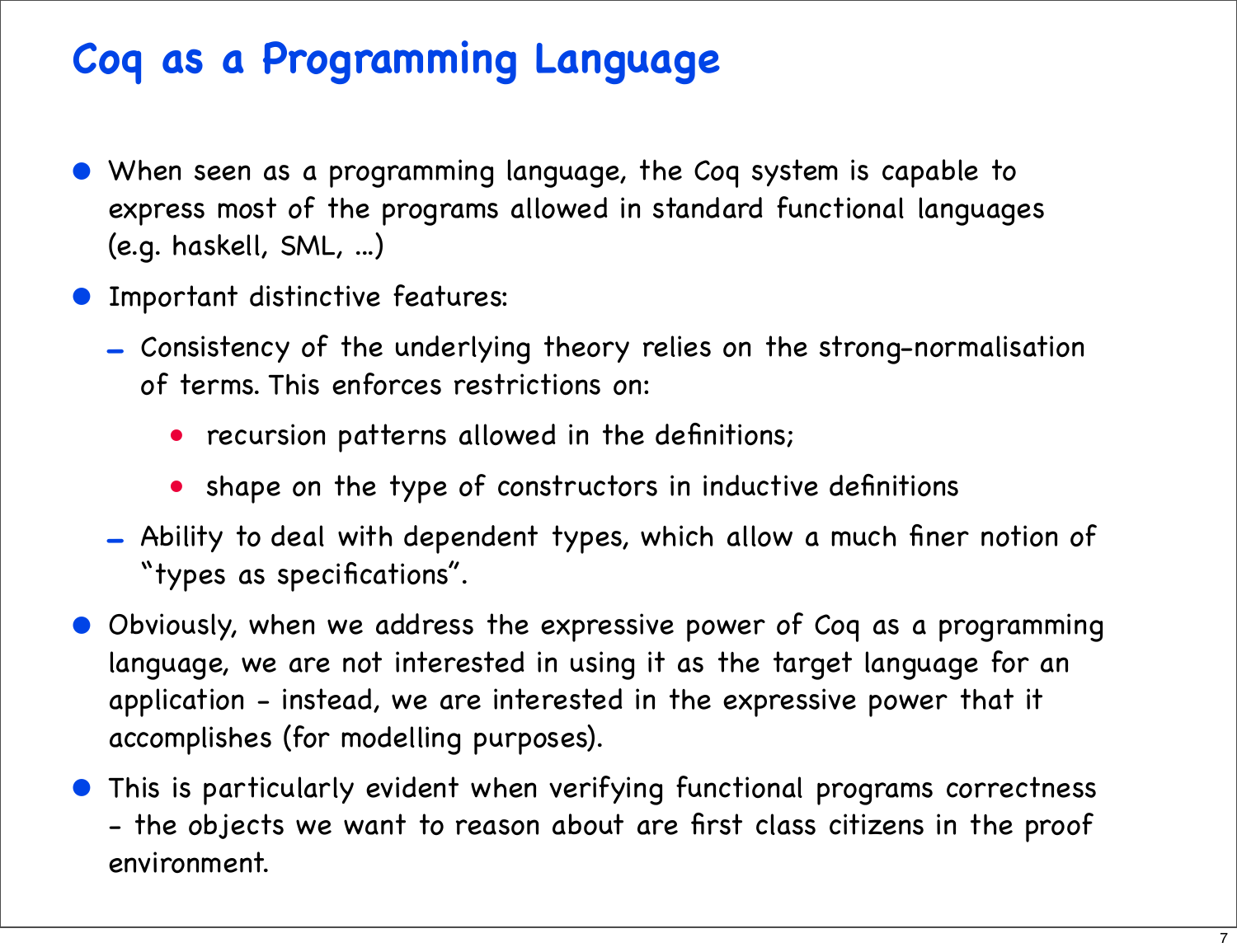## **Coq as a Programming Language**

- When seen as a programming language, the Coq system is capable to express most of the programs allowed in standard functional languages (e.g. haskell, SML, ...)
- Important distinctive features:
	- Consistency of the underlying theory relies on the strong-normalisation of terms. This enforces restrictions on:
		- recursion patterns allowed in the definitions;
		- shape on the type of constructors in inductive definitions
	- Ability to deal with dependent types, which allow a much finer notion of "types as specifications".
- Obviously, when we address the expressive power of Coq as a programming language, we are not interested in using it as the target language for an application - instead, we are interested in the expressive power that it accomplishes (for modelling purposes).
- This is particularly evident when verifying functional programs correctness - the objects we want to reason about are first class citizens in the proof environment.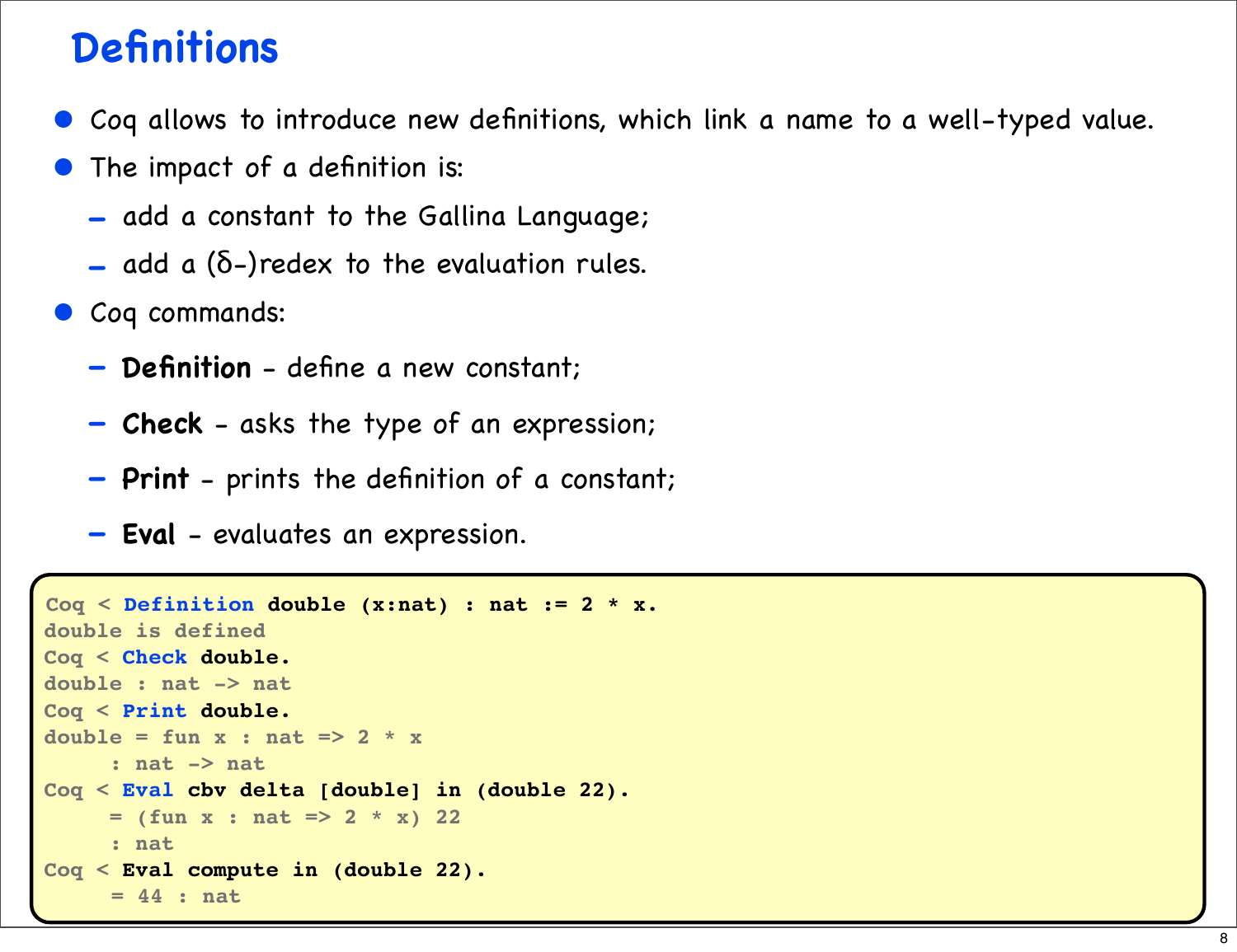## **Definitions**

- Coq allows to introduce new definitions, which link a name to a well-typed value.
- The impact of a definition is:
	- add a constant to the Gallina Language;
	- $-$  add a ( $\delta$ -)redex to the evaluation rules.
- Coq commands:
	- **Definition** define a new constant;
	- **Check** asks the type of an expression;
	- **Print** prints the definition of a constant;
	- **Eval** evaluates an expression.

```
Coq < Definition double (x:nat) : nat := 2 * x.
double is defined
Coq < Check double.
double : nat -> nat
Coq < Print double.
double = fun x : nat \Rightarrow 2 * x : nat -> nat
Coq < Eval cbv delta [double] in (double 22).
     = (fun x : nat = > 2 * x) 22
      : nat
Coq < Eval compute in (double 22).
      = 44 : nat
```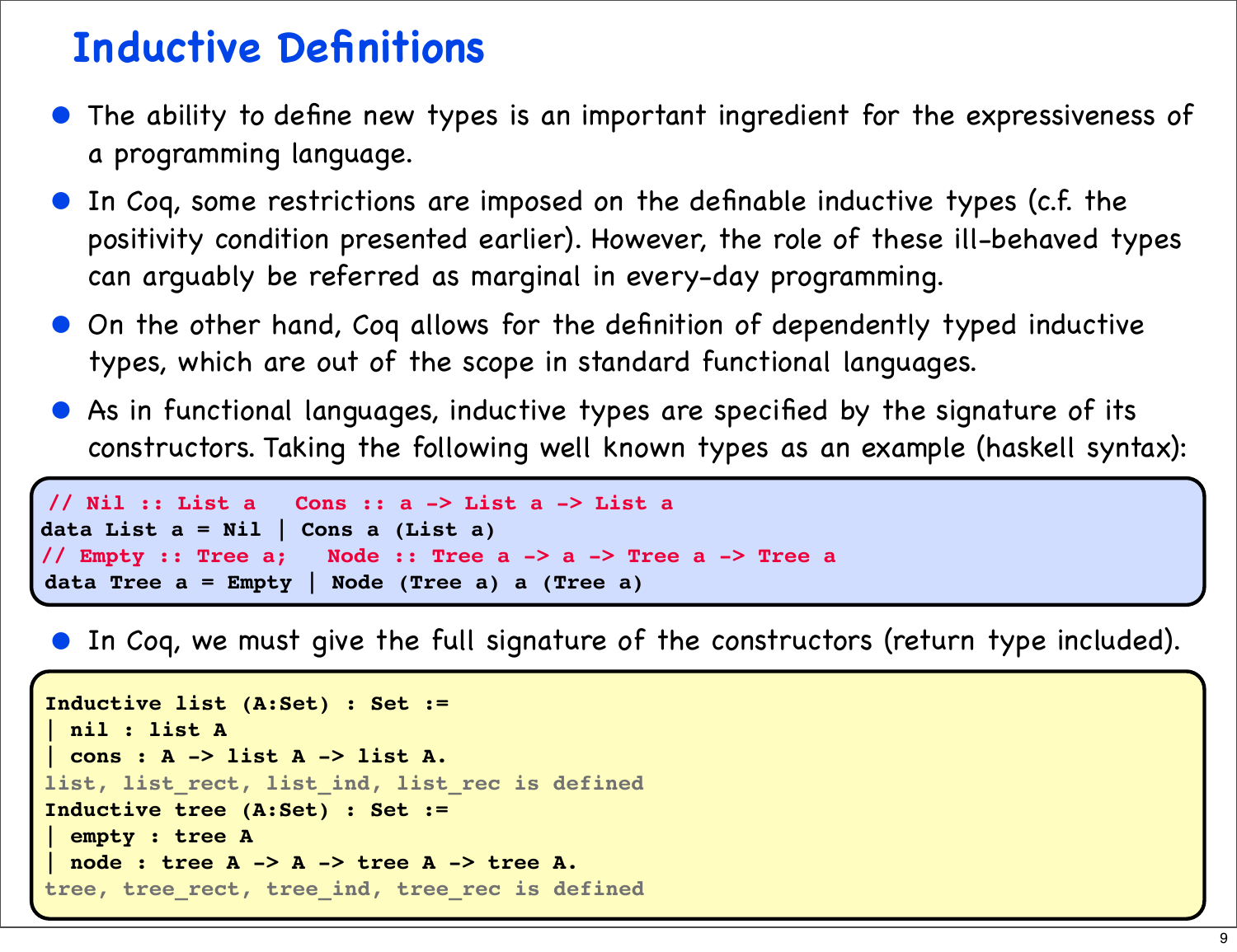#### **Inductive Definitions**

- The ability to define new types is an important ingredient for the expressiveness of a programming language.
- In Coq, some restrictions are imposed on the definable inductive types (c.f. the positivity condition presented earlier). However, the role of these ill-behaved types can arguably be referred as marginal in every-day programming.
- On the other hand, Coq allows for the definition of dependently typed inductive types, which are out of the scope in standard functional languages.
- As in functional languages, inductive types are specified by the signature of its constructors. Taking the following well known types as an example (haskell syntax):

```
// Nil :: List a Cons :: a -> List a -> List a
data List a = Nil | Cons a (List a)
// Empty :: Tree a; Node :: Tree a -> a -> Tree a -> Tree a
data Tree a = Empty | Node (Tree a) a (Tree a)
```
• In Coq, we must give the full signature of the constructors (return type included).

```
Inductive list (A:Set) : Set :=
 | nil : list A
 | cons : A -> list A -> list A.
list, list_rect, list_ind, list_rec is defined
Inductive tree (A:Set) : Set :=
 | empty : tree A
 | node : tree A -> A -> tree A -> tree A.
tree, tree_rect, tree_ind, tree_rec is defined
```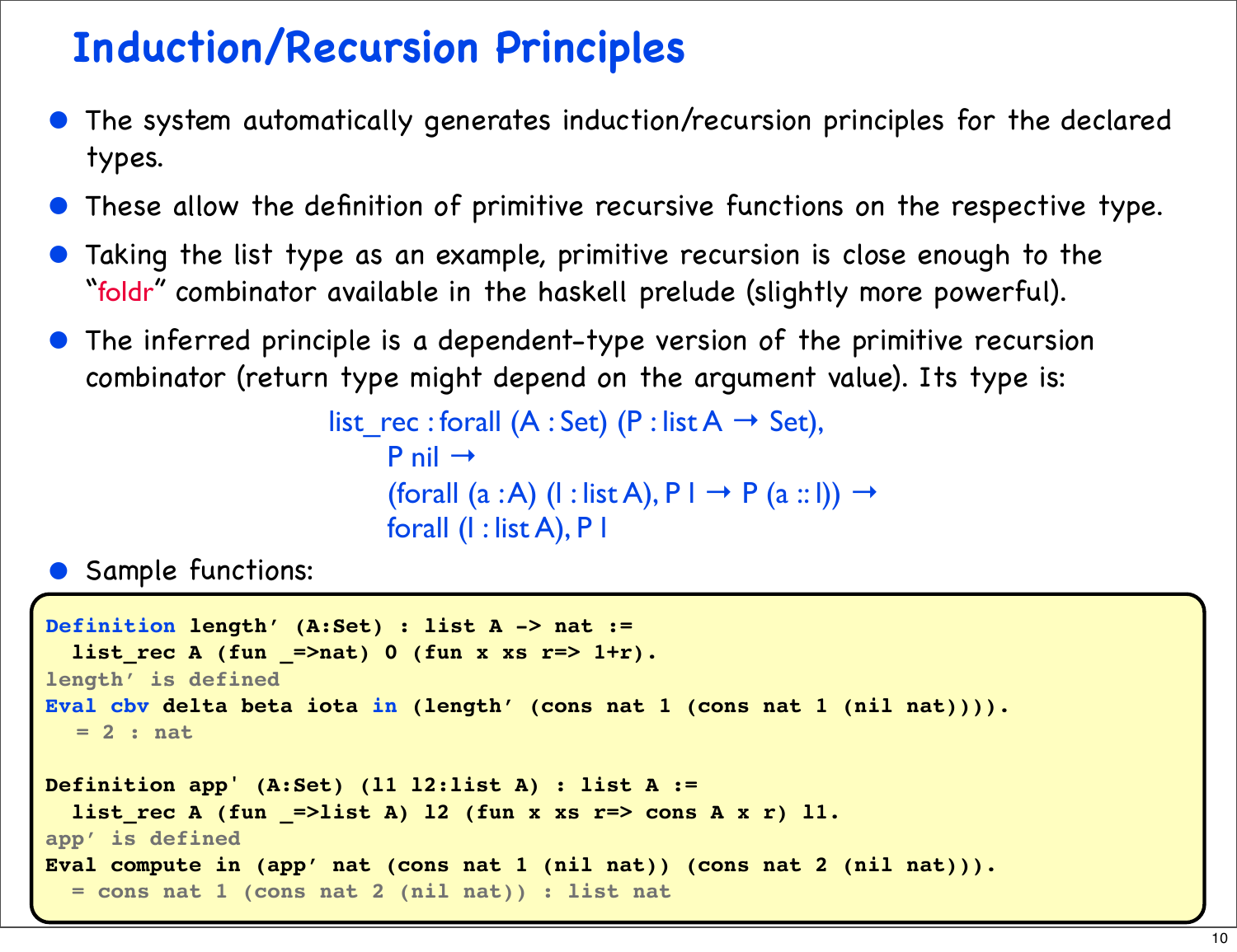## **Induction/Recursion Principles**

- The system automatically generates induction/recursion principles for the declared types.
- These allow the definition of primitive recursive functions on the respective type.
- Taking the list type as an example, primitive recursion is close enough to the "foldr" combinator available in the haskell prelude (slightly more powerful).
- The inferred principle is a dependent-type version of the primitive recursion combinator (return type might depend on the argument value). Its type is:

list rec: forall  $(A : Set)$  (P : list  $A \rightarrow Set$ ),  $P$  nil  $\rightarrow$ (forall (a :A) (l : list A),  $P \perp \rightarrow P$  (a :: l))  $\rightarrow$ forall (l : list A), P l

**•** Sample functions:

```
Definition length' (A:Set) : list A -> nat :=
  list rec A (fun =>nat) 0 (fun x xs r=> 1+r).
length' is defined
Eval cbv delta beta iota in (length' (cons nat 1 (cons nat 1 (nil nat)))).
  = 2 : nat
Definition app' (A:Set) (l1 l2:list A) : list A := 
  list rec A (fun =>list A) 12 (fun x xs r=> cons A x r) 11.
app' is defined
Eval compute in (app' nat (cons nat 1 (nil nat)) (cons nat 2 (nil nat))).
   = cons nat 1 (cons nat 2 (nil nat)) : list nat
```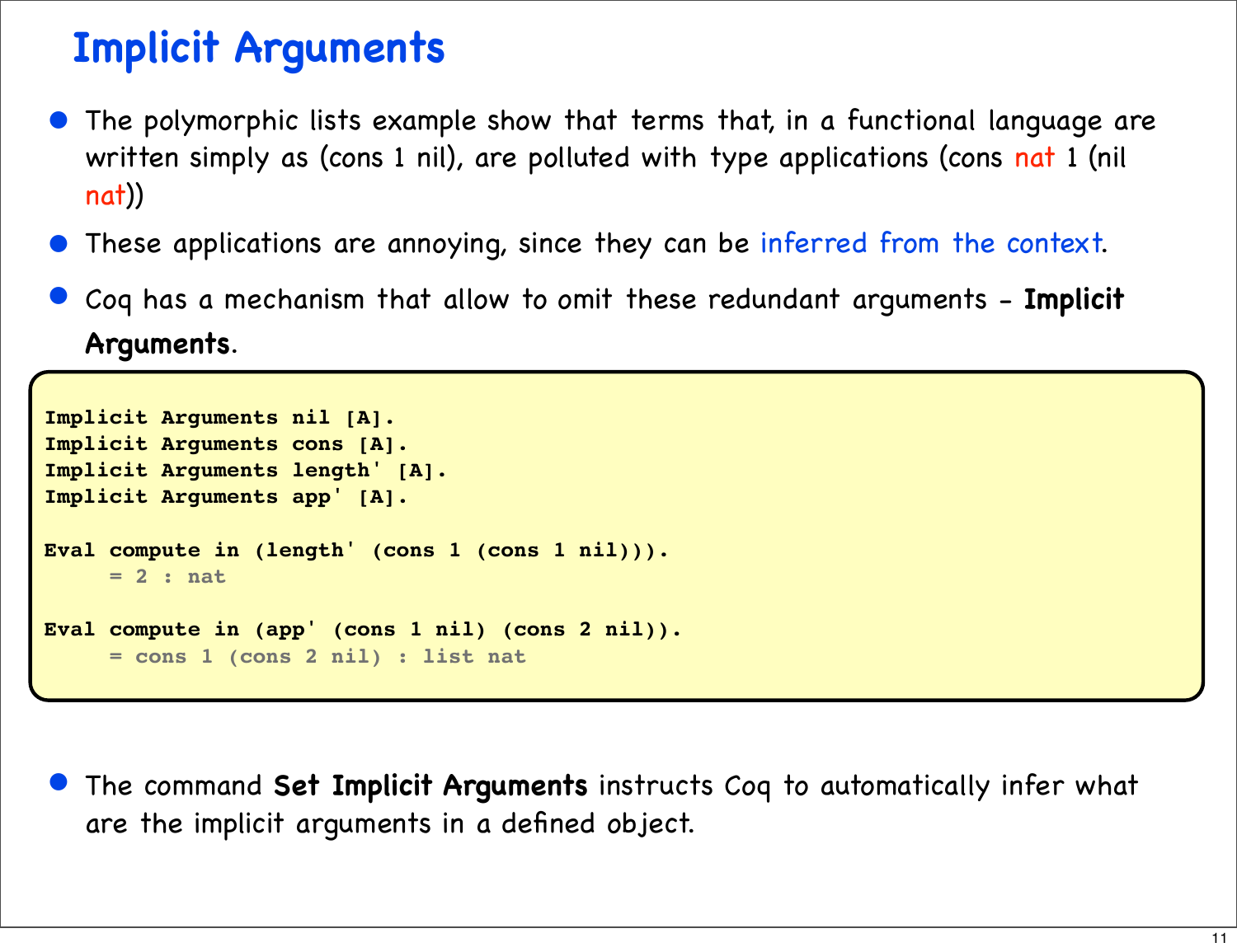## **Implicit Arguments**

- The polymorphic lists example show that terms that, in a functional language are written simply as (cons 1 nil), are polluted with type applications (cons nat 1 (nil nat))
- These applications are annoying, since they can be inferred from the context.
- Coq has a mechanism that allow to omit these redundant arguments **Implicit Arguments**.

```
Implicit Arguments nil [A].
Implicit Arguments cons [A].
Implicit Arguments length' [A].
Implicit Arguments app' [A].
Eval compute in (length' (cons 1 (cons 1 nil))).
      = 2 : nat
Eval compute in (app' (cons 1 nil) (cons 2 nil)).
      = cons 1 (cons 2 nil) : list nat
```
• The command **Set Implicit Arguments** instructs Coq to automatically infer what are the implicit arguments in a defined object.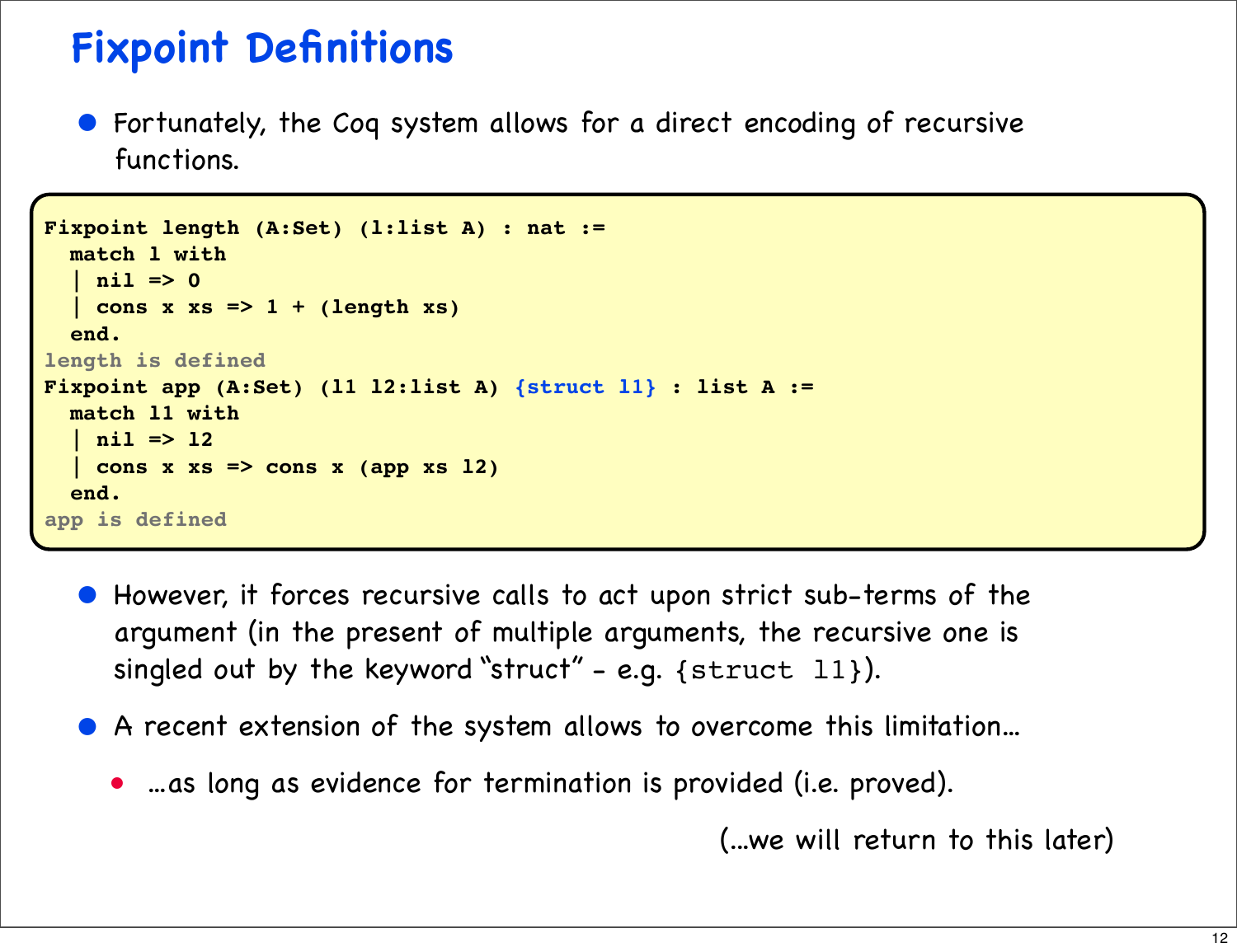## **Fixpoint Definitions**

• Fortunately, the Coq system allows for a direct encoding of recursive functions.

```
Fixpoint length (A:Set) (l:list A) : nat :=
   match l with
   | nil => 0
    | cons x xs => 1 + (length xs)
   end. 
length is defined
Fixpoint app (A:Set) (l1 l2:list A) {struct l1} : list A :=
   match l1 with
   | nil => l2
   | cons x xs => cons x (app xs l2)
   end.
app is defined
```
- However, it forces recursive calls to act upon strict sub-terms of the argument (in the present of multiple arguments, the recursive one is singled out by the keyword "struct" - e.g.  $\{struct 11\}$ ).
- A recent extension of the system allows to overcome this limitation...
	- ...as long as evidence for termination is provided (i.e. proved).

(...we will return to this later)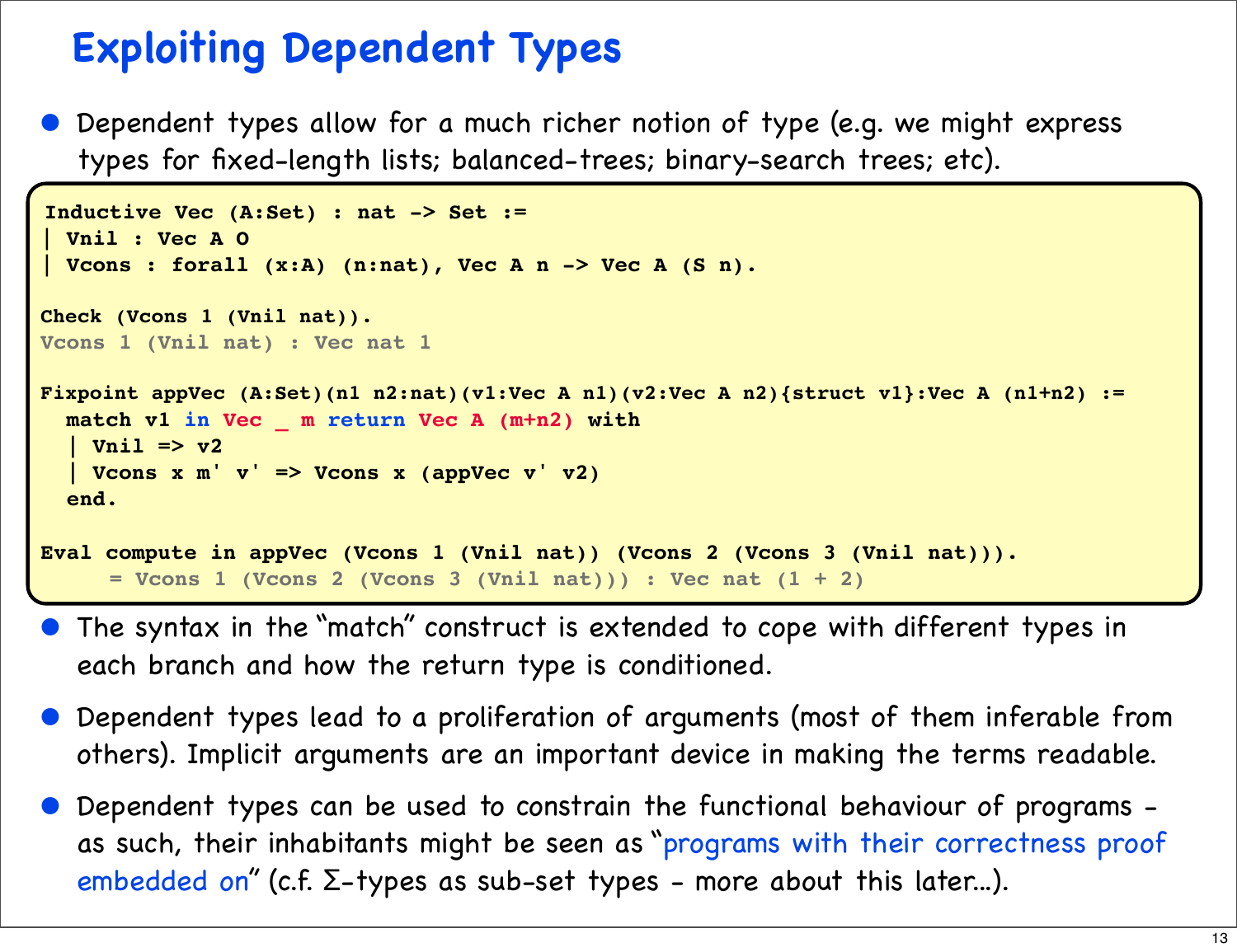## **Exploiting Dependent Types**

• Dependent types allow for a much richer notion of type (e.g. we might express types for fixed-length lists; balanced-trees; binary-search trees; etc).

```
Inductive Vec (A:Set) : nat -> Set :=
| Vnil : Vec A O
| Vcons : forall (x:A) (n:nat), Vec A n -> Vec A (S n).
Check (Vcons 1 (Vnil nat)).
Vcons 1 (Vnil nat) : Vec nat 1
Fixpoint appVec (A:Set)(n1 n2:nat)(v1:Vec A n1)(v2:Vec A n2){struct v1}:Vec A (n1+n2) :=
  match v1 in Vec _ m return Vec A (m+n2) with
   | Vnil => v2
   | Vcons x m' v' => Vcons x (appVec v' v2)
   end.
Eval compute in appVec (Vcons 1 (Vnil nat)) (Vcons 2 (Vcons 3 (Vnil nat))).
      = Vcons 1 (Vcons 2 (Vcons 3 (Vnil nat))) : Vec nat (1 + 2)
```
- The syntax in the "match" construct is extended to cope with different types in each branch and how the return type is conditioned.
- Dependent types lead to a proliferation of arguments (most of them inferable from others). Implicit arguments are an important device in making the terms readable.
- Dependent types can be used to constrain the functional behaviour of programs as such, their inhabitants might be seen as "programs with their correctness proof embedded on" (c.f.  $\Sigma$ -types as sub-set types - more about this later...).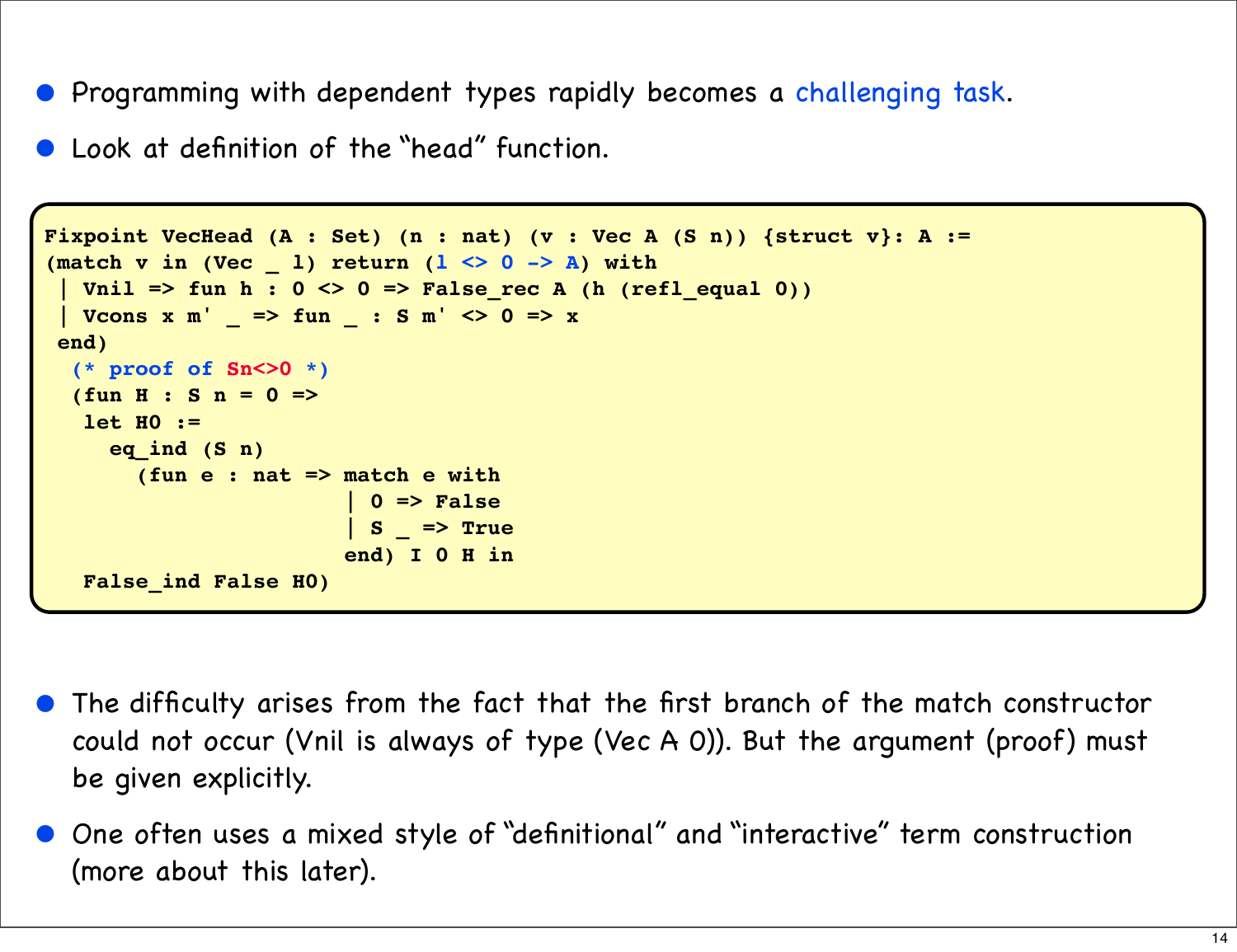- Programming with dependent types rapidly becomes a challenging task.
- Look at definition of the "head" function.

```
Fixpoint VecHead (A : Set) (n : nat) (v : Vec A (S n)) {struct v}: A :=
(match v in (Vec _ l) return (l <> 0 -> A) with
  | Vnil => fun h : 0 <> 0 => False_rec A (h (refl_equal 0))
 | Vcons x m' = \gt fun \pm : S m' \lt 0 = > x
  end)
   (* proof of Sn<>0 *)
   (fun H : S n = 0 =>
    let H0 :=
      eq_ind (S n)
        (fun e : nat => match e with
                          | 0 => False
                           | S _ => True
                         end) I 0 H in
    False_ind False H0)
```
- The difficulty arises from the fact that the first branch of the match constructor could not occur (Vnil is always of type (Vec A 0)). But the argument (proof) must be given explicitly.
- One often uses a mixed style of "definitional" and "interactive" term construction (more about this later).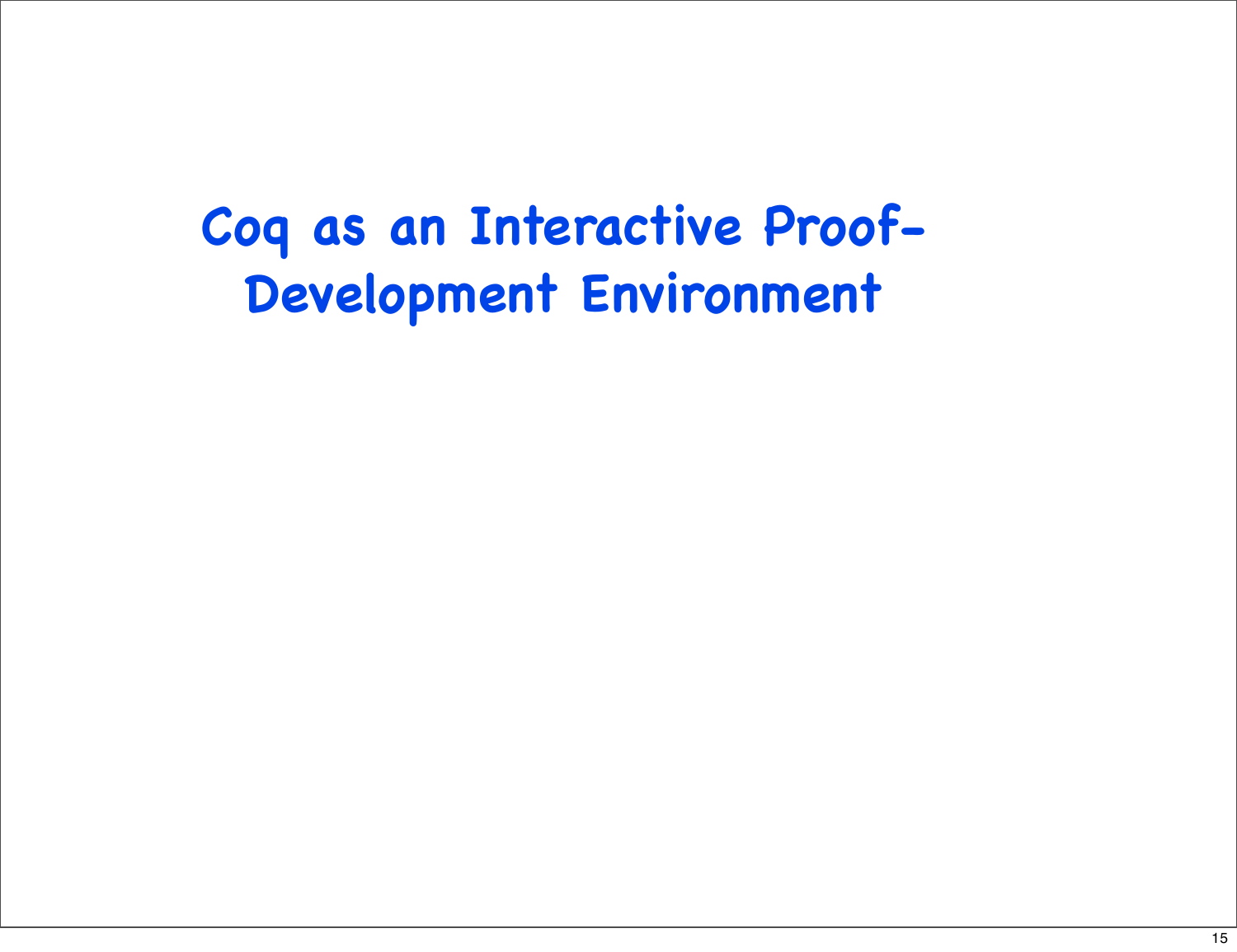## **Coq as an Interactive Proof-Development Environment**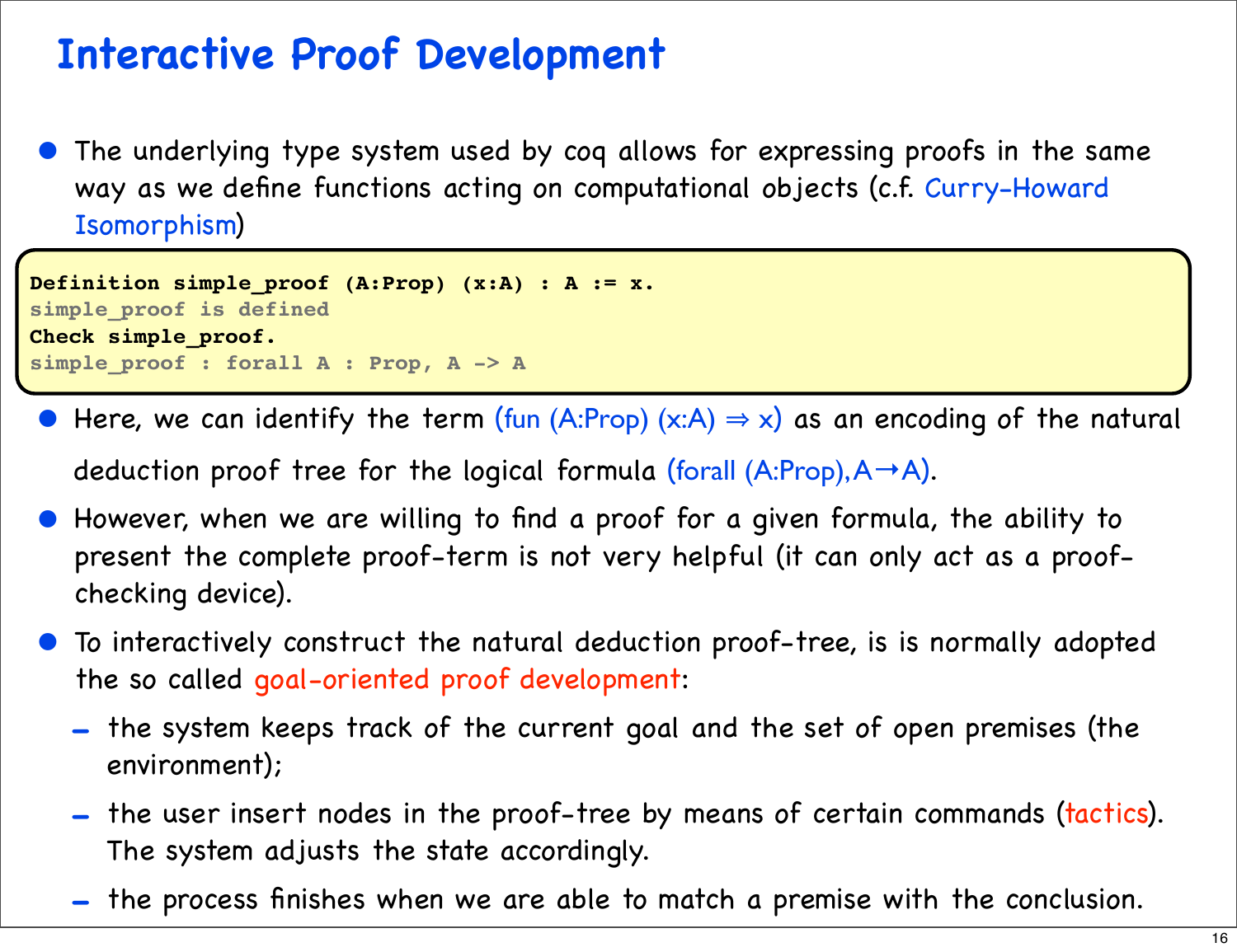## **Interactive Proof Development**

The underlying type system used by coq allows for expressing proofs in the same way as we define functions acting on computational objects (c.f. Curry-Howard Isomorphism)

```
Definition simple_proof (A:Prop) (x:A) : A := x.
simple_proof is defined
Check simple_proof.
simple_proof : forall A : Prop, A -> A
```
Here, we can identify the term (fun (A:Prop) (x:A)  $\Rightarrow$  x) as an encoding of the natural

deduction proof tree for the logical formula (forall  $(A:Prop), A \rightarrow A$ ).

- However, when we are willing to find a proof for a given formula, the ability to present the complete proof-term is not very helpful (it can only act as a proofchecking device).
- To interactively construct the natural deduction proof-tree, is is normally adopted the so called goal-oriented proof development:
	- the system keeps track of the current goal and the set of open premises (the environment);
	- the user insert nodes in the proof-tree by means of certain commands (tactics). The system adjusts the state accordingly.
	- the process finishes when we are able to match a premise with the conclusion.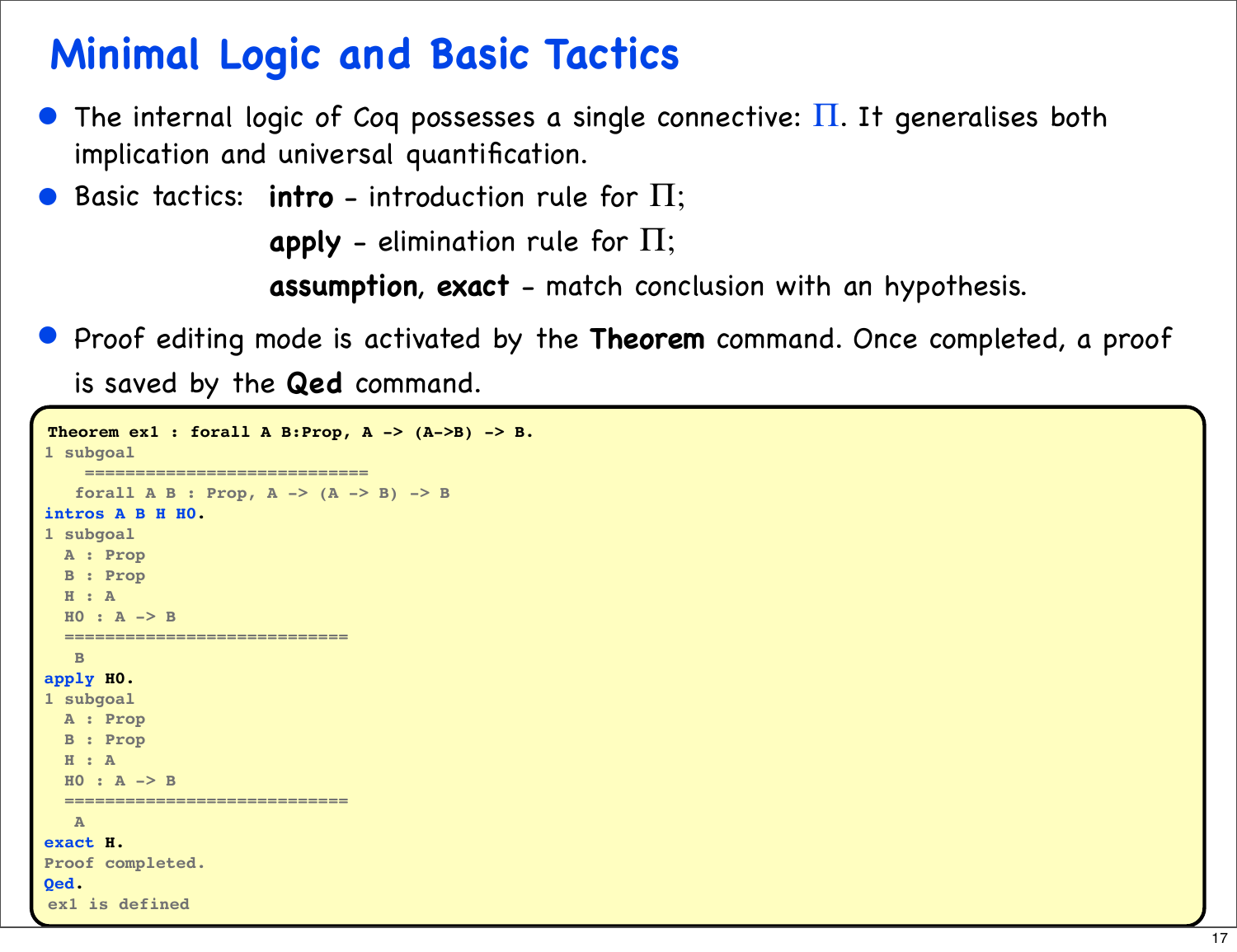## **Minimal Logic and Basic Tactics**

- The internal logic of Coq possesses a single connective:  $\Pi$ . It generalises both implication and universal quantification.
- Basic tactics: **intro** introduction rule for Π;

**apply** - elimination rule for Π;

**assumption**, **exact** - match conclusion with an hypothesis.

• Proof editing mode is activated by the **Theorem** command. Once completed, a proof

is saved by the **Qed** command.

```
Theorem ex1: for all A B: Prop, A -> (A->B) -> B.1 subgoal
     ============================
    forall A B : Prop, A -> (A -> B) -> B
intros A B H H0.
1 subgoal
   A : Prop
   B : Prop
   H : A
  H0 : A -> B
   ============================
    B
apply H0.
1 subgoal
   A : Prop
   B : Prop
   H : A
   H0 : A -> B
   ============================
    A
exact H.
Proof completed.
Qed.
ex1 is defined
```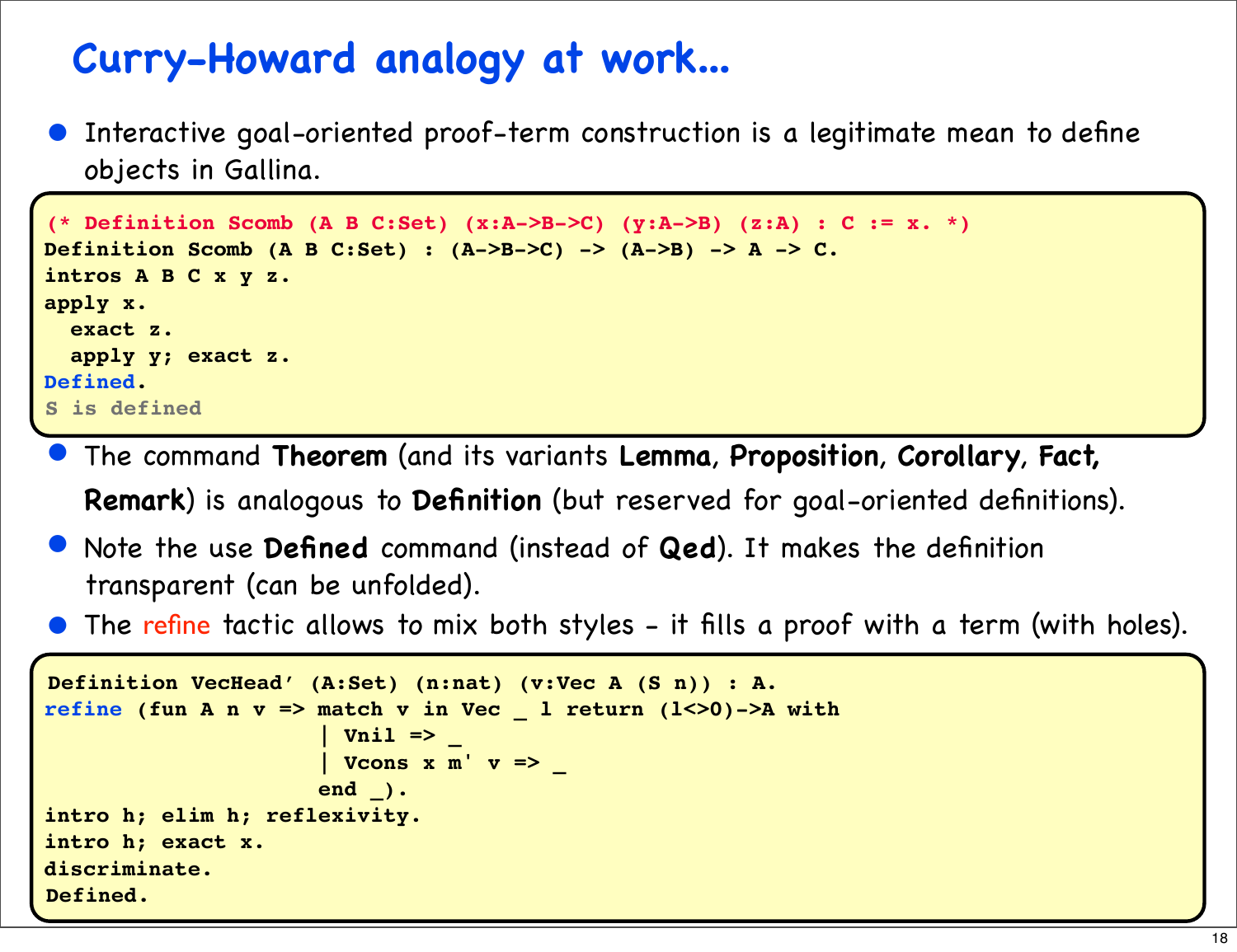#### **Curry-Howard analogy at work...**

• Interactive goal-oriented proof-term construction is a legitimate mean to define objects in Gallina.

```
(* Definition Scomb (A B C:Set) (x:A->B->C) (y:A->B) (z:A) : C := x. *)
Definition Scomb (A B C:Set) : (A->B->C) -> (A->B) -> A -> C. 
intros A B C x y z.
apply x.
   exact z.
   apply y; exact z.
Defined.
S is defined
```
- The command **Theorem** (and its variants **Lemma**, **Proposition**, **Corollary**, **Fact, Remark**) is analogous to **Definition** (but reserved for goal-oriented definitions).
- Note the use **Defined** command (instead of **Qed**). It makes the definition transparent (can be unfolded).
- The refine tactic allows to mix both styles it fills a proof with a term (with holes).

```
Definition VecHead' (A:Set) (n:nat) (v:Vec A (S n)) : A. 
refine (fun A n v => match v in Vec _ l return (l<>0)->A with
                         | Vnil => _
                       | Vcons x m' v => _
                       end _).
intro h; elim h; reflexivity.
intro h; exact x.
discriminate.
Defined.
```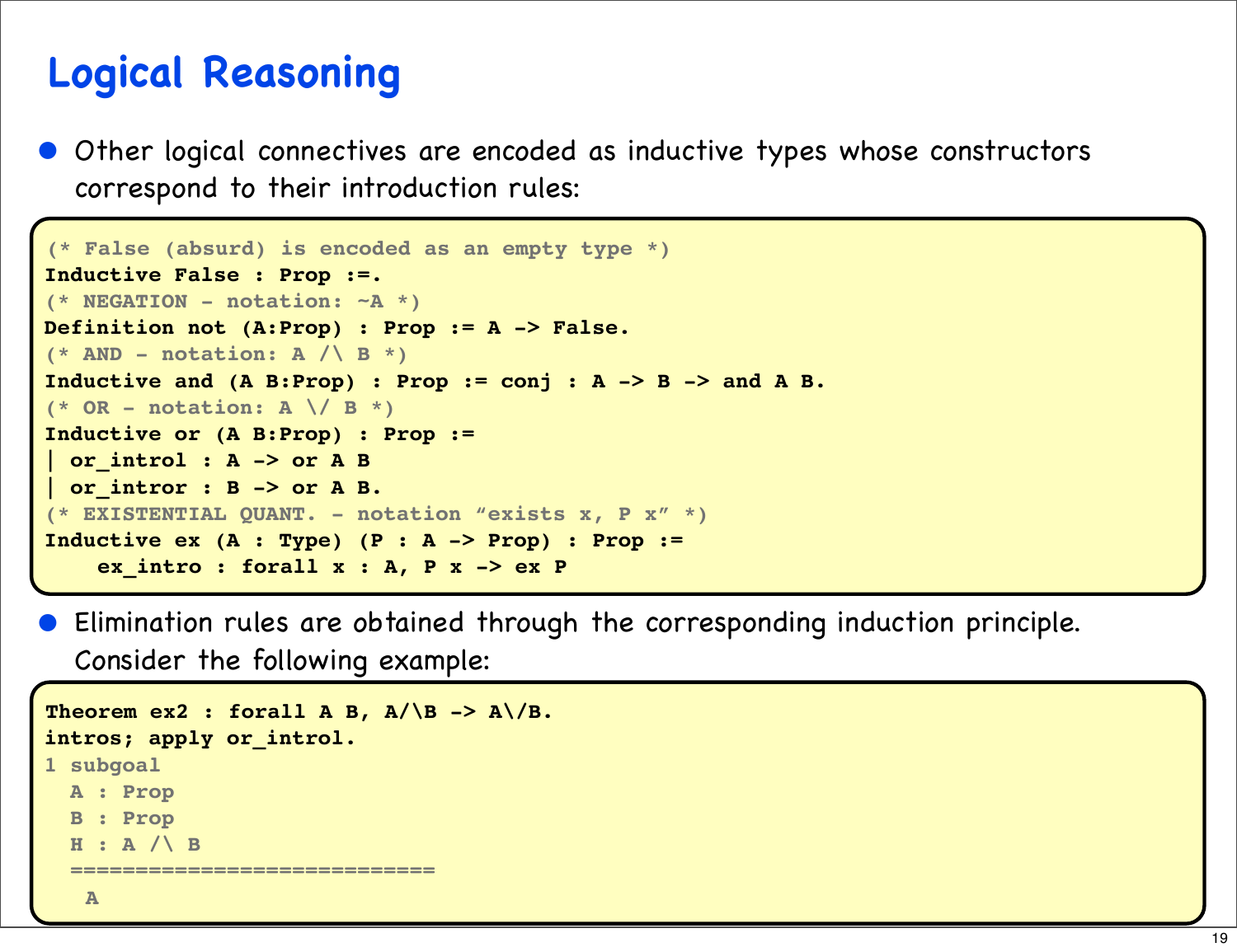## **Logical Reasoning**

• Other logical connectives are encoded as inductive types whose constructors correspond to their introduction rules:

```
(* False (absurd) is encoded as an empty type *)
Inductive False : Prop :=.
(* NEGATION - notation: ~A *)
Definition not (A:Prop) : Prop := A -> False.
(* AND - notation: A / \ B *)
Inductive and (A B:Prop) : Prop := conj : A -> B -> and A B.
(* OR - notation: A \/ B *)
Inductive or (A B:Prop) : Prop :=
 | or_introl : A -> or A B
| or_intror : B -> or A B.
(* EXISTENTIAL QUANT. - notation "exists x, P x" *)
Inductive ex (A : Type) (P : A -> Prop) : Prop :=
     ex_intro : forall x : A, P x -> ex P
```
• Elimination rules are obtained through the corresponding induction principle. Consider the following example:

```
Theorem ex2 : forall A B, A/\B -> A/\B.
intros; apply or_introl.
1 subgoal
  A : Prop
  B : Prop
   H : A /\ B
   ============================
    A
```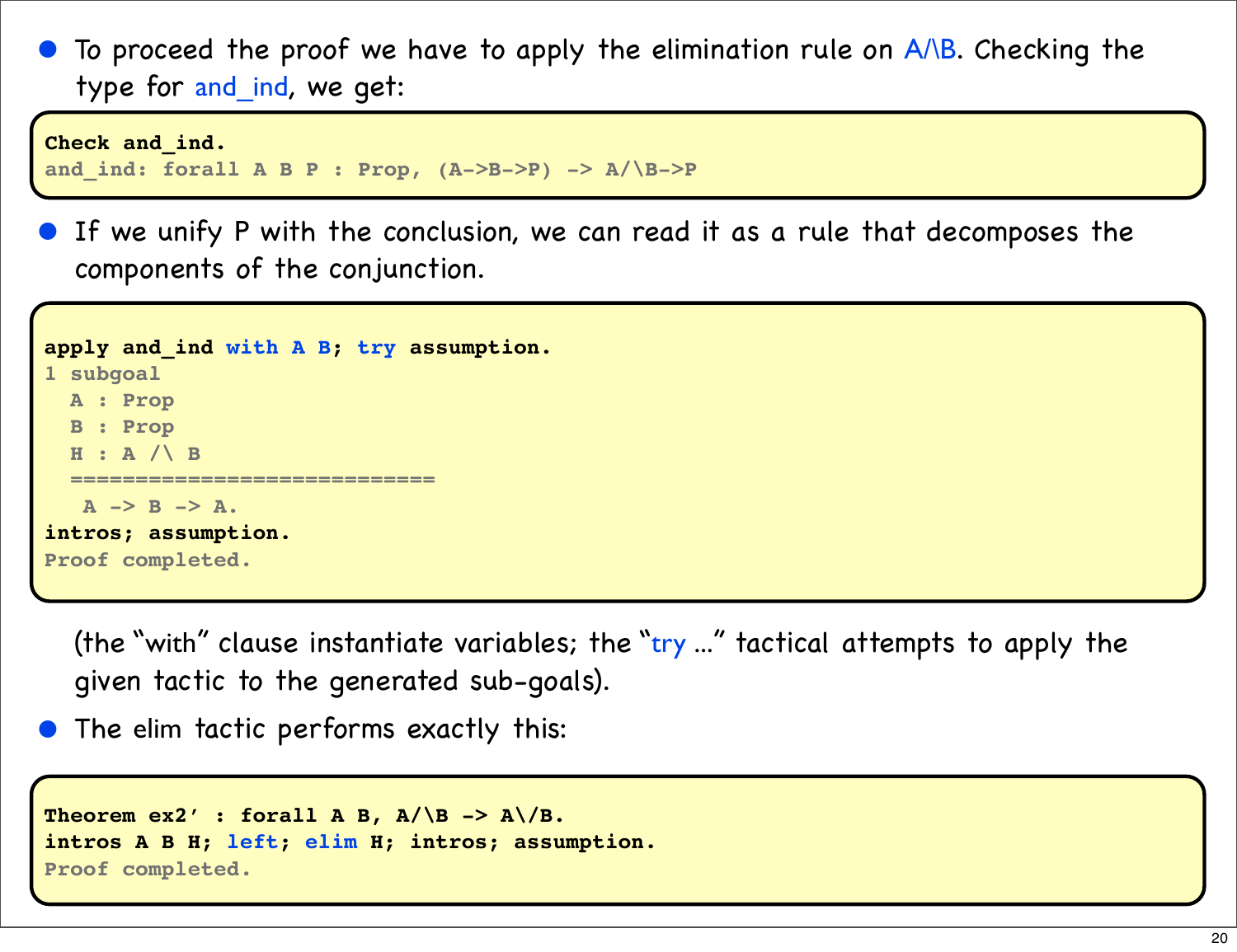To proceed the proof we have to apply the elimination rule on A/\B. Checking the type for and\_ind, we get:

```
Check and_ind.
and_ind: forall A B P : Prop, (A->B->P) -> A/\B->P
```
**•** If we unify P with the conclusion, we can read it as a rule that decomposes the components of the conjunction.

```
apply and_ind with A B; try assumption.
1 subgoal
   A : Prop
   B : Prop
   H : A /\ B
   ============================
    A -> B -> A.
intros; assumption.
Proof completed.
```
(the "with" clause instantiate variables; the "try ..." tactical attempts to apply the given tactic to the generated sub-goals).

The elim tactic performs exactly this:

```
Theorem ex2': forall A B, A/\B -> A/\B.
intros A B H; left; elim H; intros; assumption.
Proof completed.
```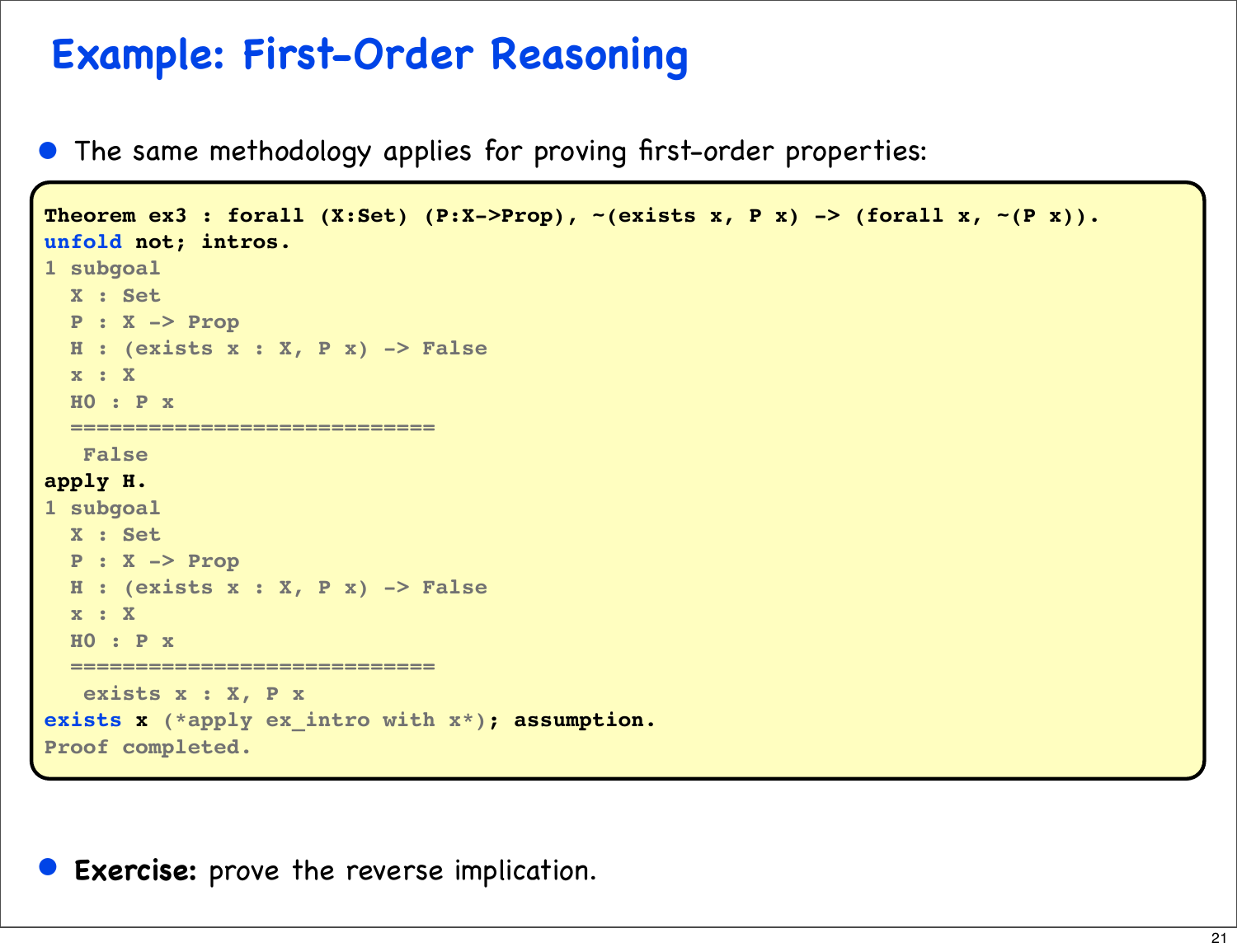## **Example: First-Order Reasoning**

• The same methodology applies for proving first-order properties:

```
Theorem ex3 : forall (X:Set) (P:X->Prop), ~(exists x, P x) -> (forall x, ~(P x)).
unfold not; intros.
1 subgoal
   X : Set
   P : X -> Prop
   H : (exists x : X, P x) -> False
   x : X
   H0 : P x
   ============================
    False
apply H.
1 subgoal
   X : Set
   P : X -> Prop
   H : (exists x : X, P x) -> False
   x : X
   H0 : P x
   ============================
    exists x : X, P x
exists x (*apply ex_intro with x*); assumption.
Proof completed.
```
• **Exercise:** prove the reverse implication.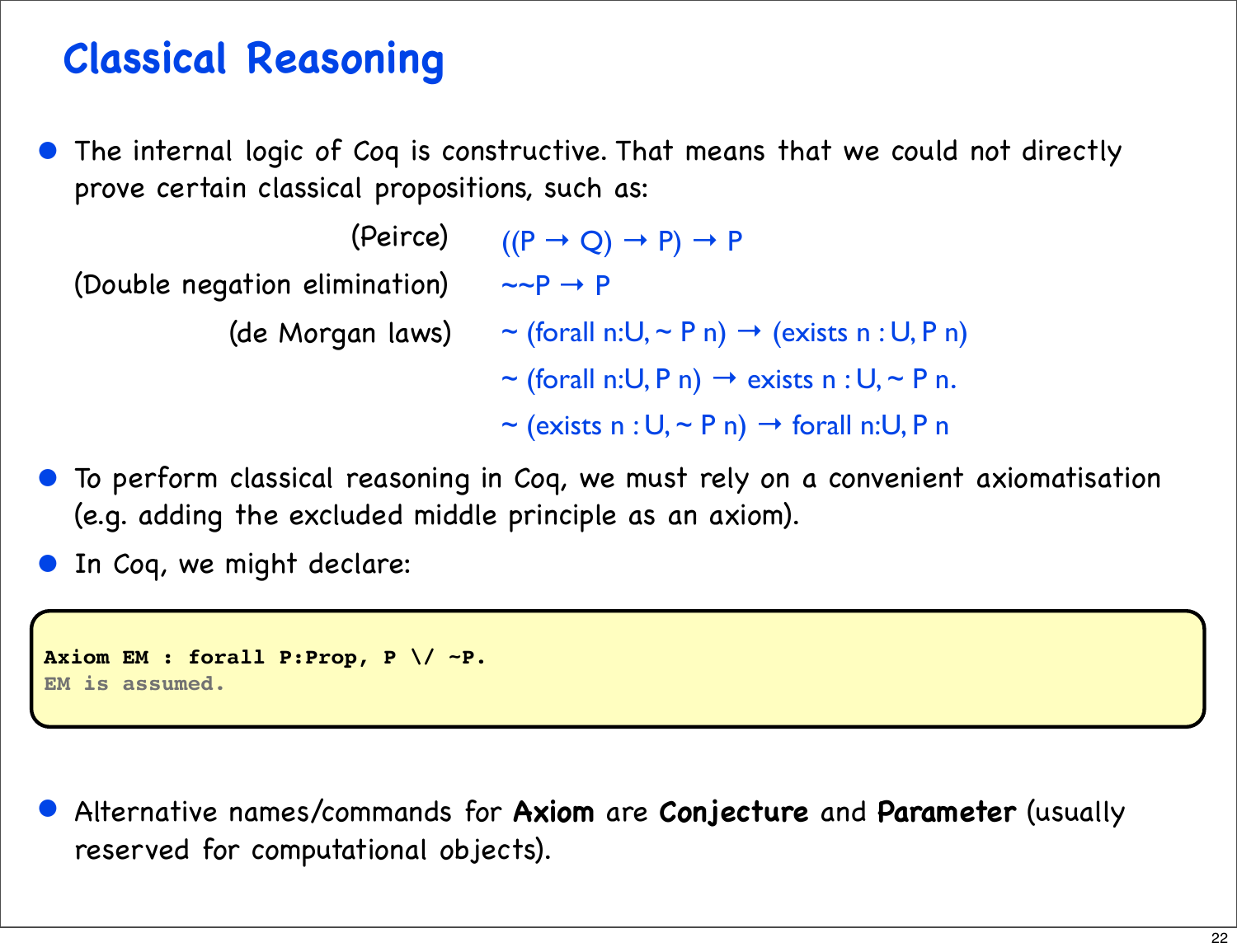## **Classical Reasoning**

The internal logic of Coq is constructive. That means that we could not directly prove certain classical propositions, such as:

(Double negation elimination)

- $(Peirce)$   $((P \rightarrow Q) \rightarrow P) \rightarrow P$  $\sim P \rightarrow P$
- (de Morgan laws)  $\sim$  (forall n:U,  $\sim$  P n)  $\rightarrow$  (exists n : U, P n)
	- ~ (forall n:U, P n)  $\rightarrow$  exists n : U, ~ P n.
	- $\sim$  (exists n : U,  $\sim$  P n)  $\rightarrow$  forall n:U, P n
- To perform classical reasoning in Coq, we must rely on a convenient axiomatisation (e.g. adding the excluded middle principle as an axiom).

In Coq, we might declare:

```
Axiom EM : forall P:Prop, P \/ ~P.
EM is assumed.
```
• Alternative names/commands for **Axiom** are **Conjecture** and **Parameter** (usually reserved for computational objects).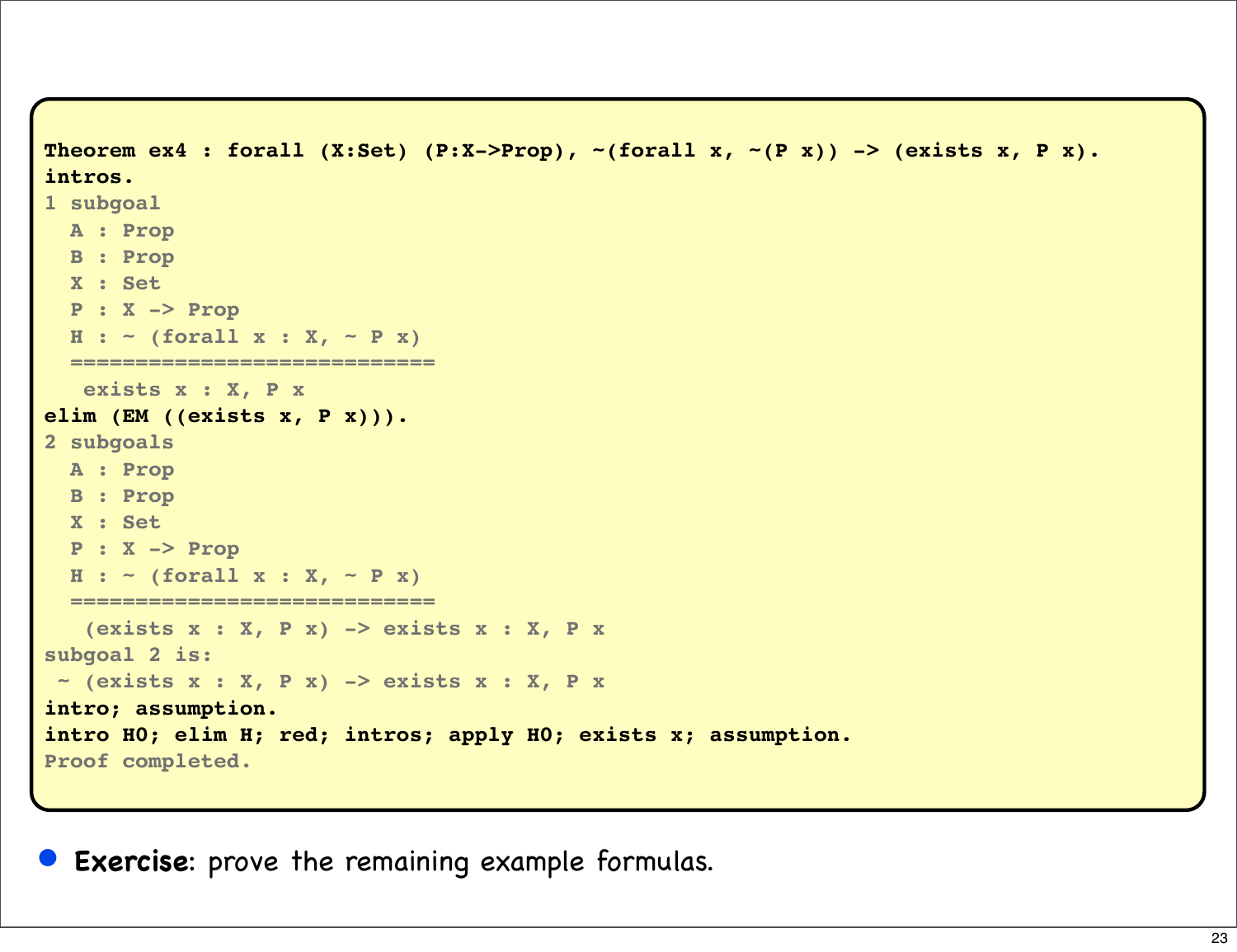```
Theorem ex4 : forall (X:Set) (P:X->Prop), ~(forall x, ~(P x)) -> (exists x, P x).
intros.
1 subgoal
  A : Prop
  B : Prop
   X : Set
   P : X -> Prop
  H : ~ ~ ~ (for all x : X, ~ ~ P x) ============================
   exists x : X, P x
elim (EM ((exists x, P x))).
2 subgoals
  A : Prop
   B : Prop
   X : Set
   P : X -> Prop
  H : ~ ~ ~ (forall x : X, ~ ~ P x))
   ============================
   (exists x : X, P x) -> exists x : X, P x
subgoal 2 is:
 ~ (exists x : X, P x) -> exists x : X, P x
intro; assumption.
intro H0; elim H; red; intros; apply H0; exists x; assumption.
Proof completed.
```
**Exercise**: prove the remaining example formulas.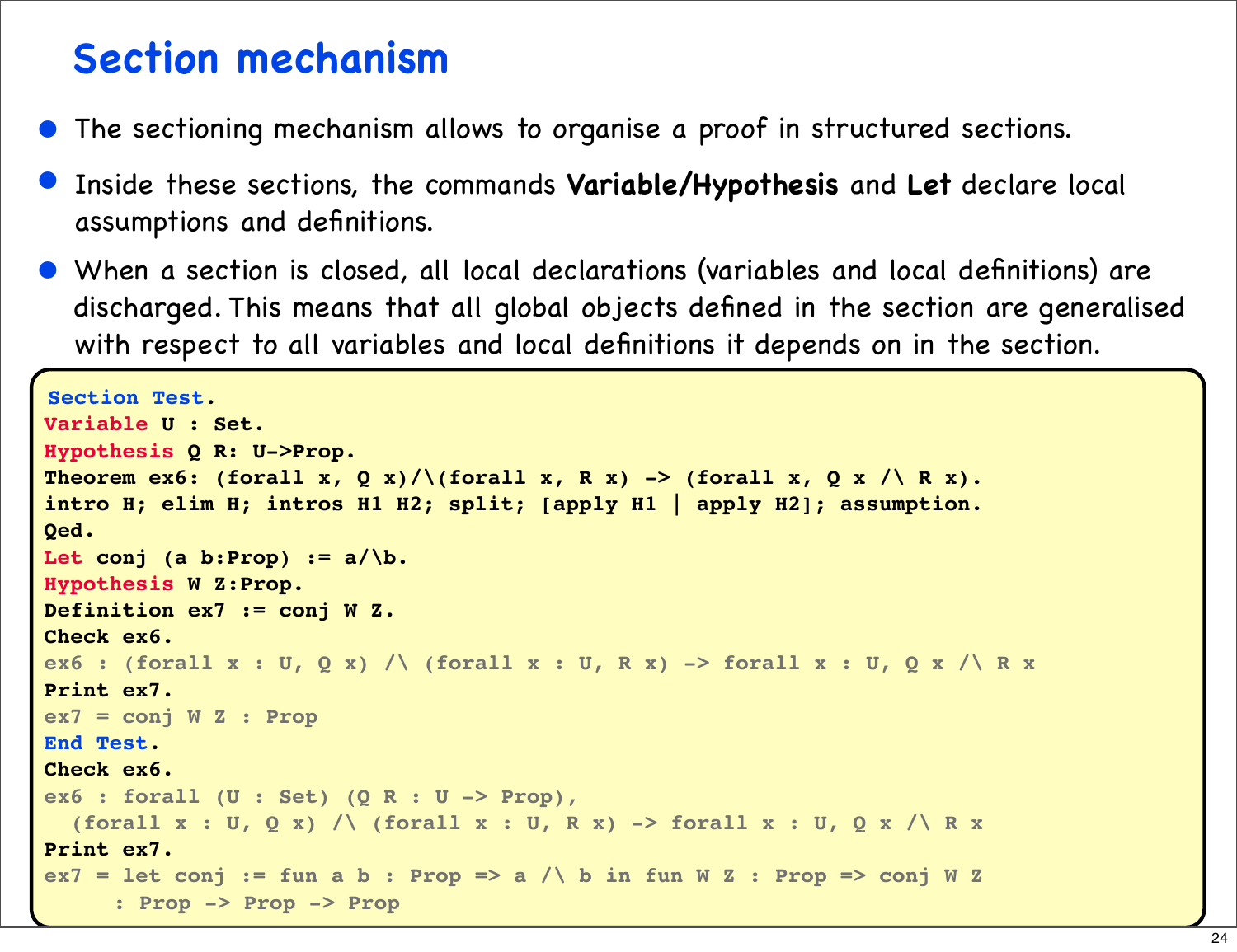### **Section mechanism**

- The sectioning mechanism allows to organise a proof in structured sections.
- Inside these sections, the commands **Variable/Hypothesis** and **Let** declare local assumptions and definitions.
- When a section is closed, all local declarations (variables and local definitions) are discharged. This means that all global objects defined in the section are generalised with respect to all variables and local definitions it depends on in the section.

```
•
Hypothesis Q R: U->Prop.
Section Test.
Variable U : Set.
Theorem ex6: (forall x, Q x)/\(forall x, R x) -> (forall x, Q x /\ R x).
intro H; elim H; intros H1 H2; split; [apply H1 | apply H2]; assumption.
Qed.
Let conj (a b:Prop) := a/\b.
Hypothesis W Z:Prop.
Definition ex7 := conj W Z. 
Check ex6.
ex6 : (forall x : U, Q x) /\ (forall x : U, R x) -> forall x : U, Q x /\ R x
Print ex7.
ex7 = conj W Z : Prop
End Test.
Check ex6.
ex6 : forall (U : Set) (Q R : U -> Prop),
  (forall x : U, Q x) \wedge (forall x : U, R x) -> forall x : U, Q x \wedge R xPrint ex7.
ex7 = let conj := fun a b : Prop => a /\ b in fun W Z : Prop => conj W Z
      : Prop -> Prop -> Prop
```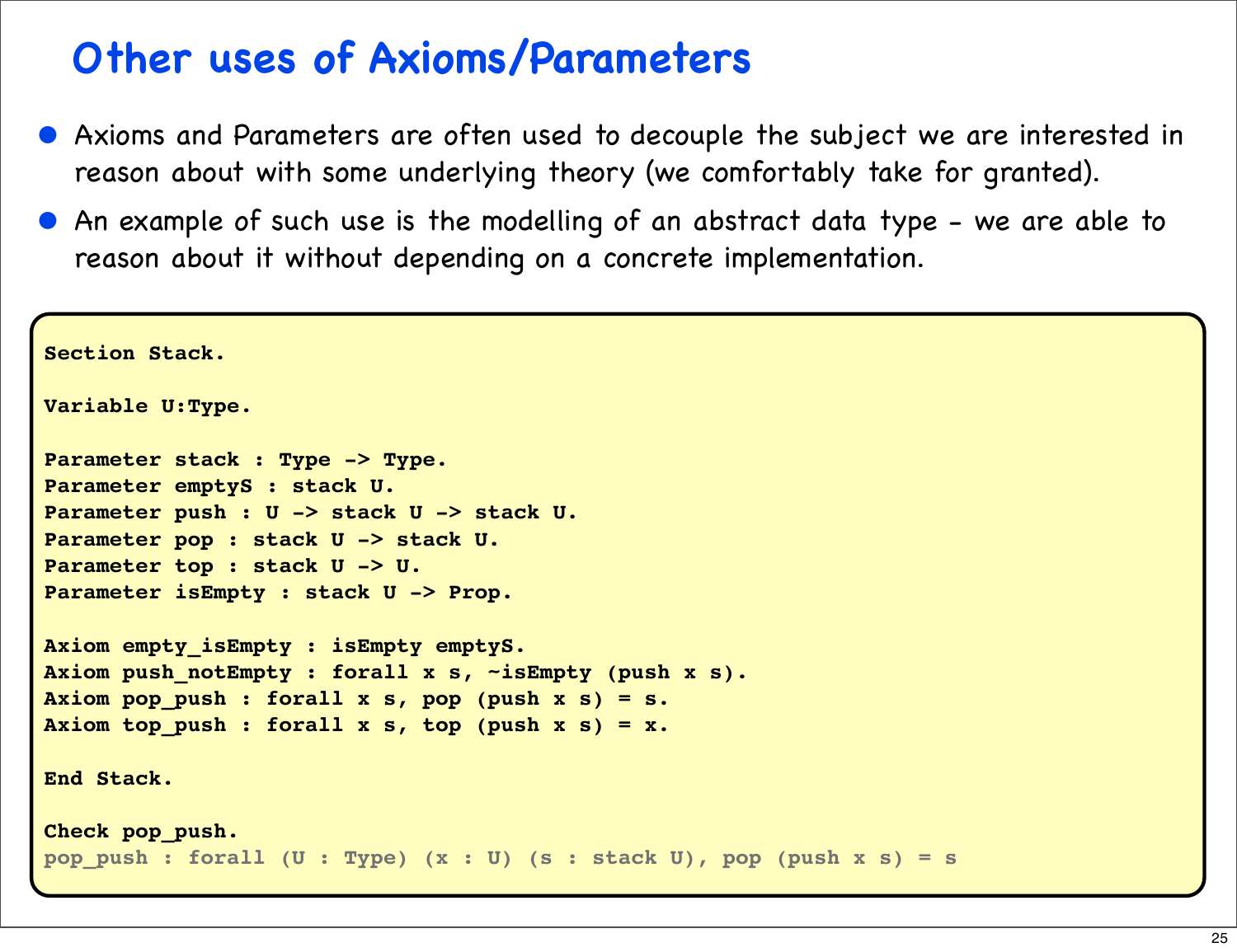## **Other uses of Axioms/Parameters**

- Axioms and Parameters are often used to decouple the subject we are interested in reason about with some underlying theory (we comfortably take for granted).
- An example of such use is the modelling of an abstract data type we are able to reason about it without depending on a concrete implementation.

```
Section Stack.
Variable U:Type.
Parameter stack : Type -> Type.
Parameter emptyS : stack U. 
Parameter push : U -> stack U -> stack U.
Parameter pop : stack U -> stack U.
Parameter top : stack U -> U.
Parameter isEmpty : stack U -> Prop.
Axiom empty_isEmpty : isEmpty emptyS.
Axiom push_notEmpty : forall x s, ~isEmpty (push x s).
Axiom pop_push : forall x s, pop (push x s) = s.
Axiom top_push : forall x s, top (push x s) = x.
End Stack.
Check pop_push.
pop_push : forall (U : Type) (x : U) (s : stack U), pop (push x s) = s
```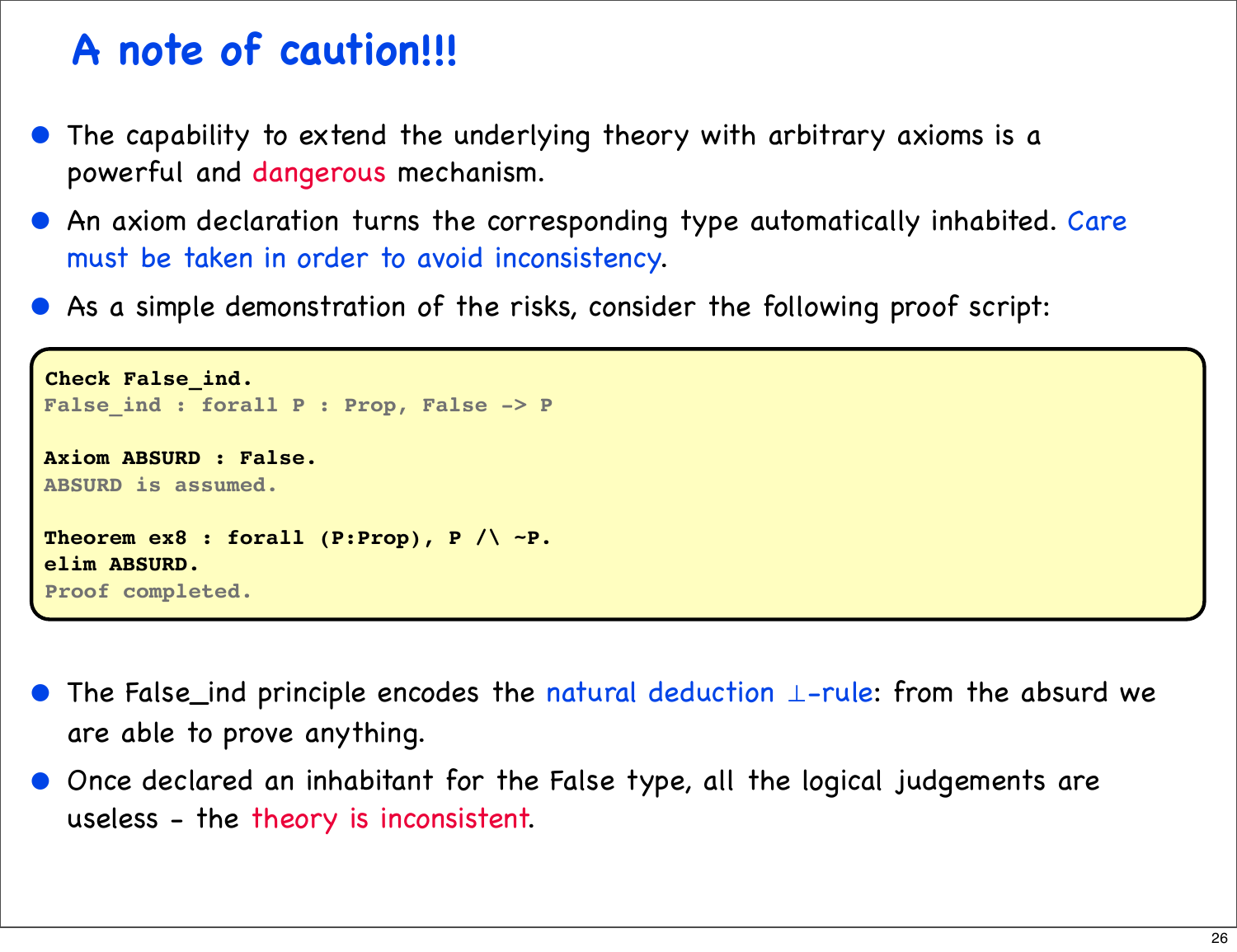## **A note of caution!!!**

- The capability to extend the underlying theory with arbitrary axioms is a powerful and dangerous mechanism.
- An axiom declaration turns the corresponding type automatically inhabited. Care must be taken in order to avoid inconsistency.
- As a simple demonstration of the risks, consider the following proof script:

```
Check False_ind.
False_ind : forall P : Prop, False -> P
Axiom ABSURD : False.
ABSURD is assumed.
Theorem ex8 : forall (P:Prop), P /\ ~P.
elim ABSURD.
Proof completed.
```
- The False\_ind principle encodes the natural deduction ⊥-rule: from the absurd we are able to prove anything.
- Once declared an inhabitant for the False type, all the logical judgements are useless - the theory is inconsistent.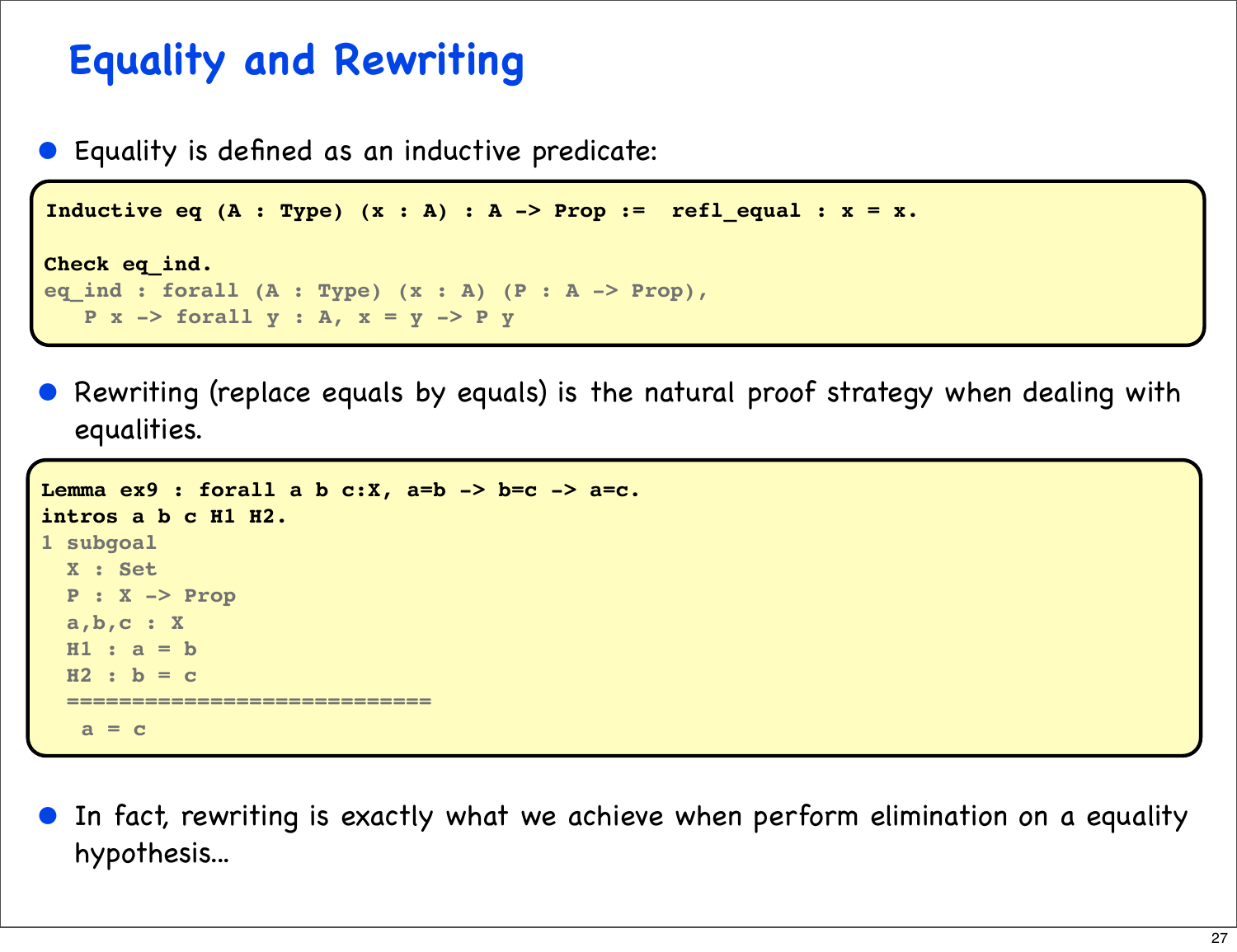## **Equality and Rewriting**

• Equality is defined as an inductive predicate:

```
Inductive eq (A : Type) (x : A) : A -> Prop := refl_equal : x = x.
```

```
Check eq_ind.
eq_ind : forall (A : Type) (x : A) (P : A -> Prop),
    P x -> forall y : A, x = y -> P y
```
• Rewriting (replace equals by equals) is the natural proof strategy when dealing with equalities.

```
Lemma ex9 : forall a b c:X, a=b -> b=c -> a=c.
intros a b c H1 H2.
1 subgoal
  X : Set
  P : X -> Prop
  a,b,c : X
  H1 : a = b
   H2 : b = c
   ============================
    a = c
```
• In fact, rewriting is exactly what we achieve when perform elimination on a equality hypothesis...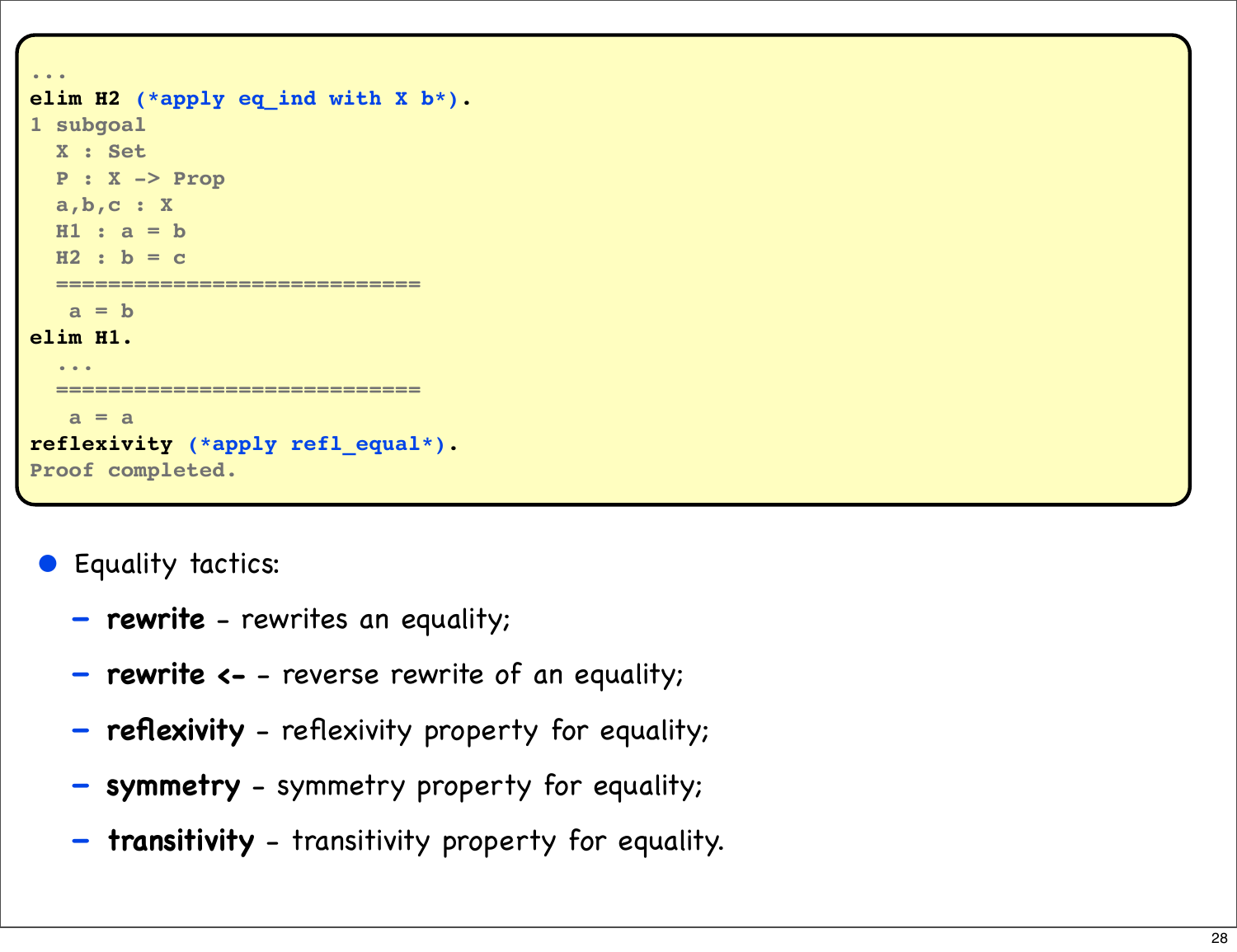```
...
elim H2 (*apply eq_ind with X b*).
1 subgoal
   X : Set
   P : X -> Prop
   a,b,c : X
   H1 : a = b
   H2 : b = c
   ============================
   a = belim H1.
   ...
              ============================
    a = a
reflexivity (*apply refl_equal*).
Proof completed.
```
• Equality tactics:

- **rewrite** rewrites an equality;
- **rewrite <-** reverse rewrite of an equality;
- **reflexivity** reflexivity property for equality;
- **symmetry** symmetry property for equality;
- **transitivity** transitivity property for equality.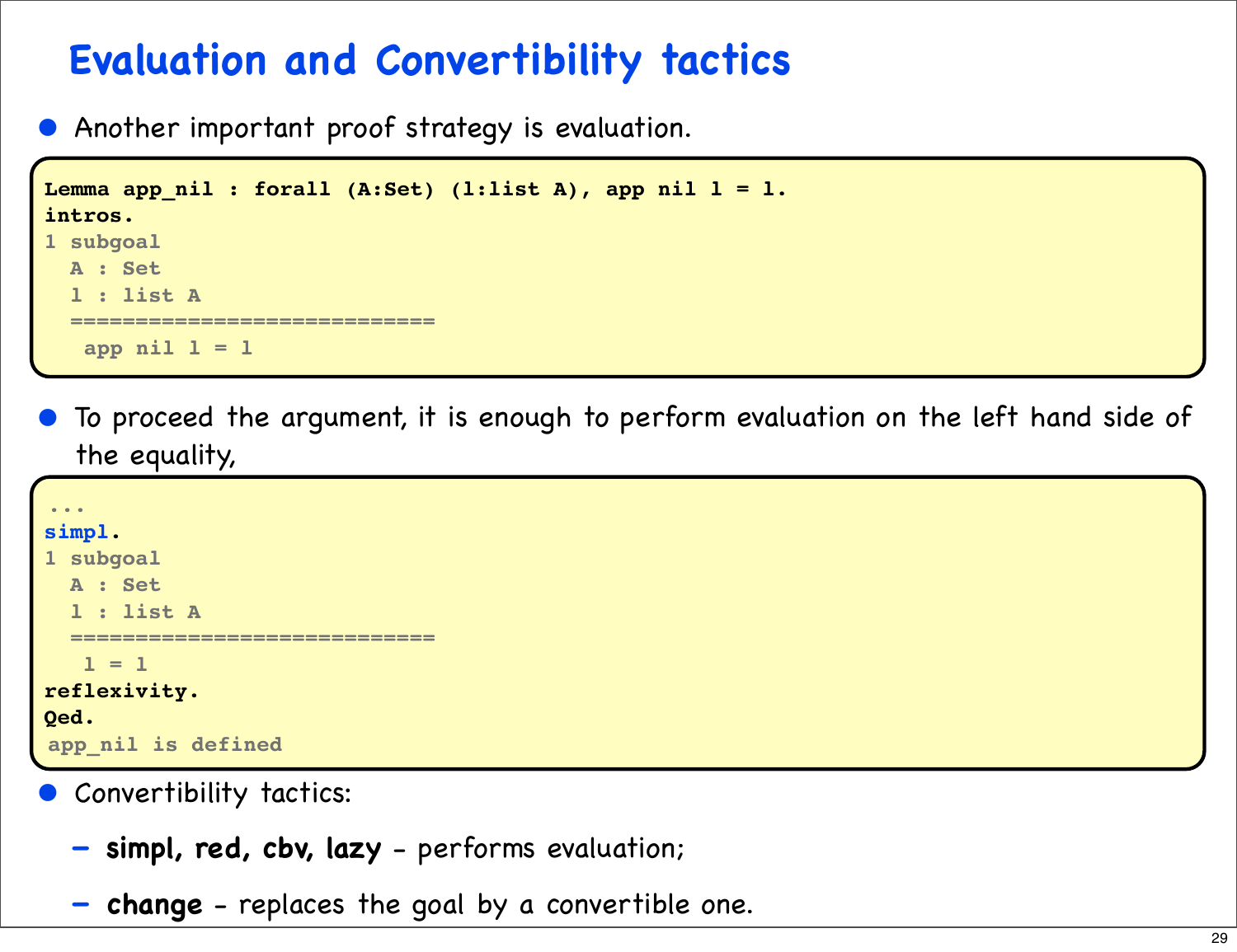## **Evaluation and Convertibility tactics**

Another important proof strategy is evaluation.

```
Lemma app nil : forall (A:Set) (l:list A), app nil l = l.
intros.
1 subgoal
   A : Set
   l : list A
   ============================
    app nil l = l
```
• To proceed the argument, it is enough to perform evaluation on the left hand side of the equality,

```
...
simpl.
1 subgoal
   A : Set
   l : list A
       ============================
   1 = 1reflexivity.
Qed.
app_nil is defined
```
- Convertibility tactics:
	- **simpl, red, cbv, lazy** performs evaluation;
	- **change** replaces the goal by a convertible one.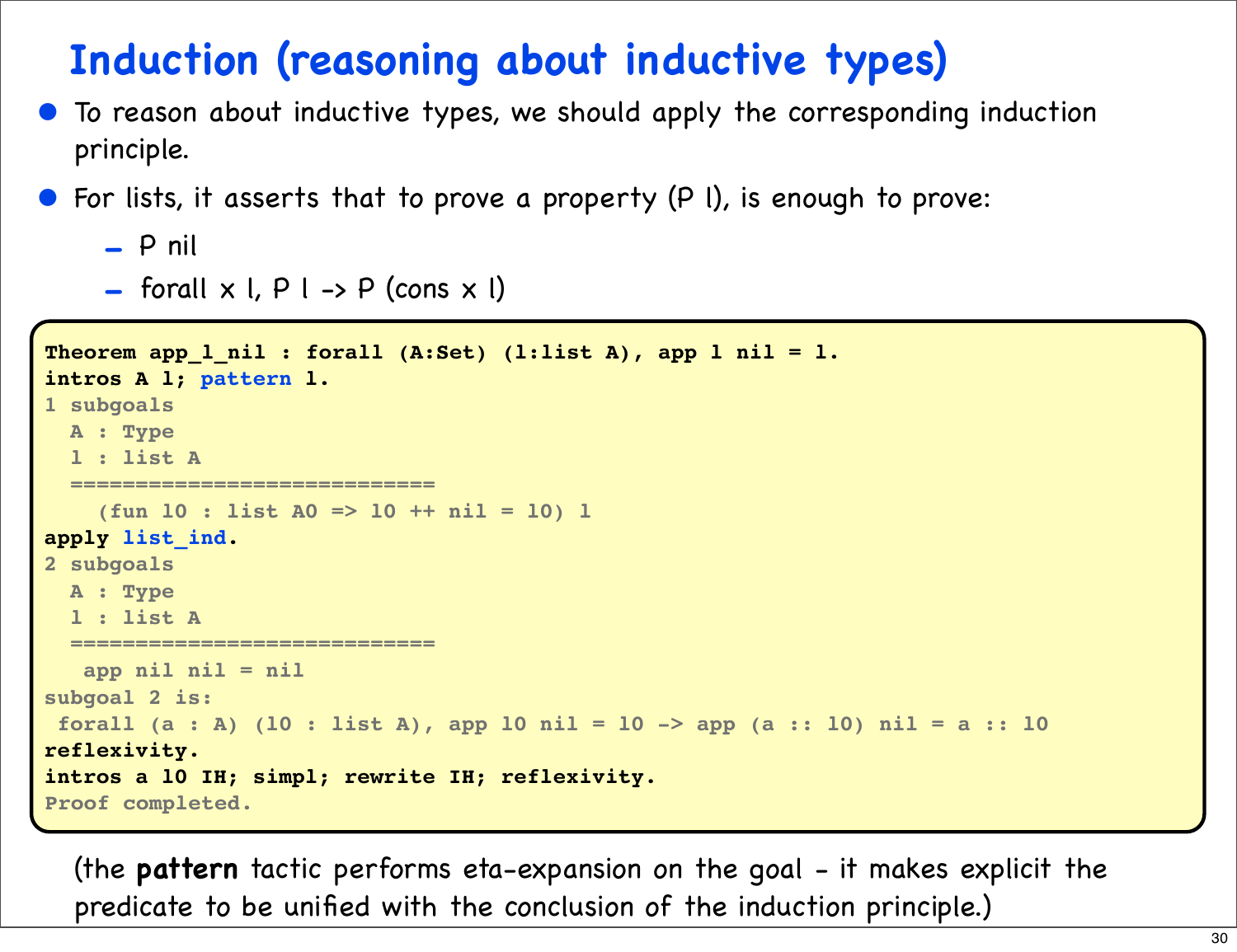## **Induction (reasoning about inductive types)**

- To reason about inductive types, we should apply the corresponding induction principle.
- For lists, it asserts that to prove a property (P I), is enough to prove:

```
- P nil
```
 $-$  forall  $\times$  l,  $P$  l  $\rightarrow$  P (cons  $\times$  l)

```
Theorem app_l_nil : forall (A:Set) (l:list A), app l nil = l.
intros A l; pattern l.
1 subgoals
  A : Type
   l : list A
   ============================
     (fun l0 : list A0 => l0 ++ nil = l0) l
apply list_ind.
2 subgoals
   A : Type
   l : list A
   ============================
    app nil nil = nil
subgoal 2 is:
 forall (a : A) (l0 : list A), app l0 nil = l0 -> app (a :: l0) nil = a :: l0
reflexivity.
intros a l0 IH; simpl; rewrite IH; reflexivity.
Proof completed.
```
(the **pattern** tactic performs eta-expansion on the goal - it makes explicit the predicate to be unified with the conclusion of the induction principle.)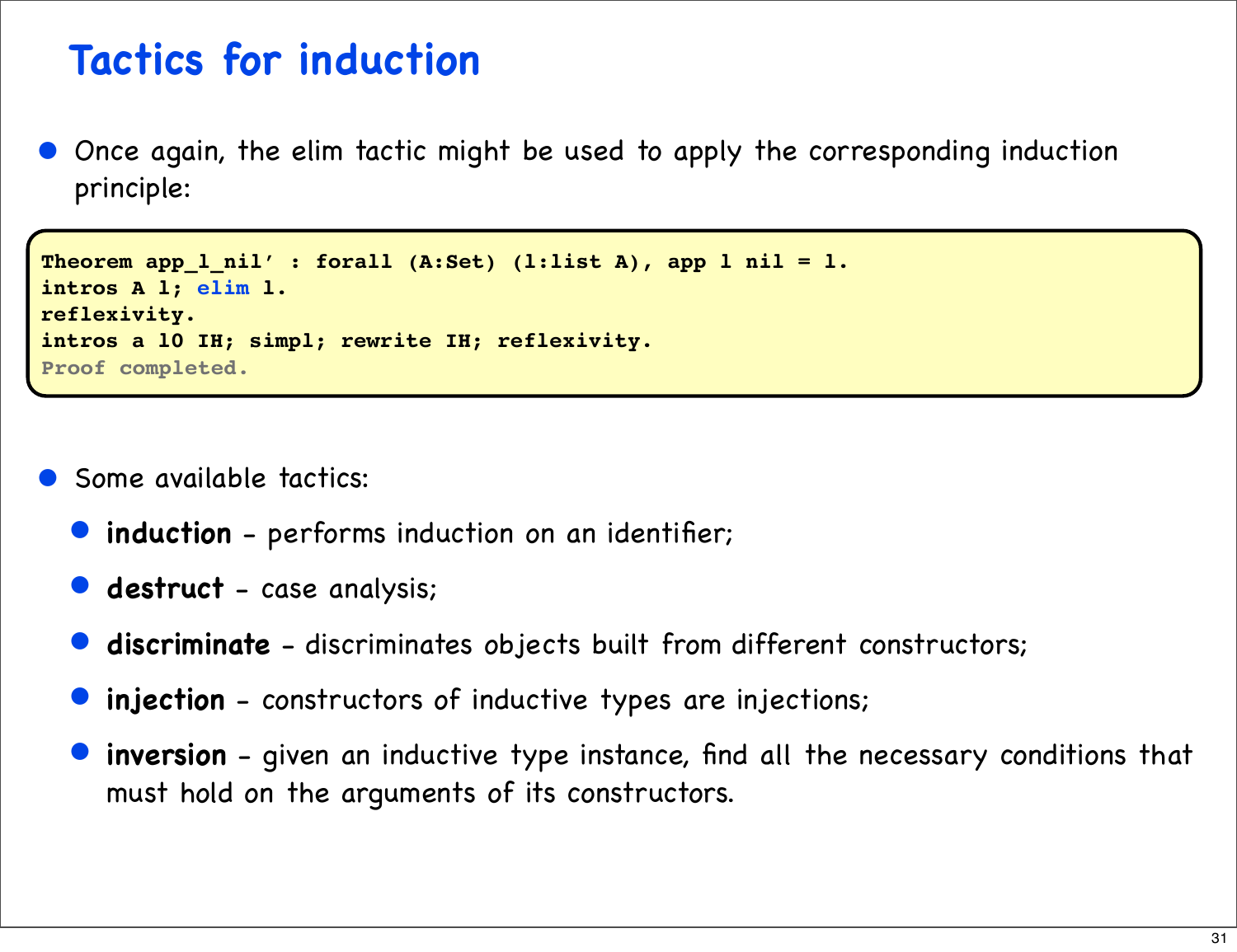## **Tactics for induction**

• Once again, the elim tactic might be used to apply the corresponding induction principle:

```
Theorem app_l_nil' : forall (A:Set) (l:list A), app l nil = l.
intros A l; elim l.
reflexivity.
intros a l0 IH; simpl; rewrite IH; reflexivity.
Proof completed.
```
- Some available tactics:
	- induction performs induction on an identifier;
	- **destruct** case analysis;
	- **discriminate** discriminates objects built from different constructors;
	- **injection** constructors of inductive types are injections;
	- **inversion** given an inductive type instance, find all the necessary conditions that must hold on the arguments of its constructors.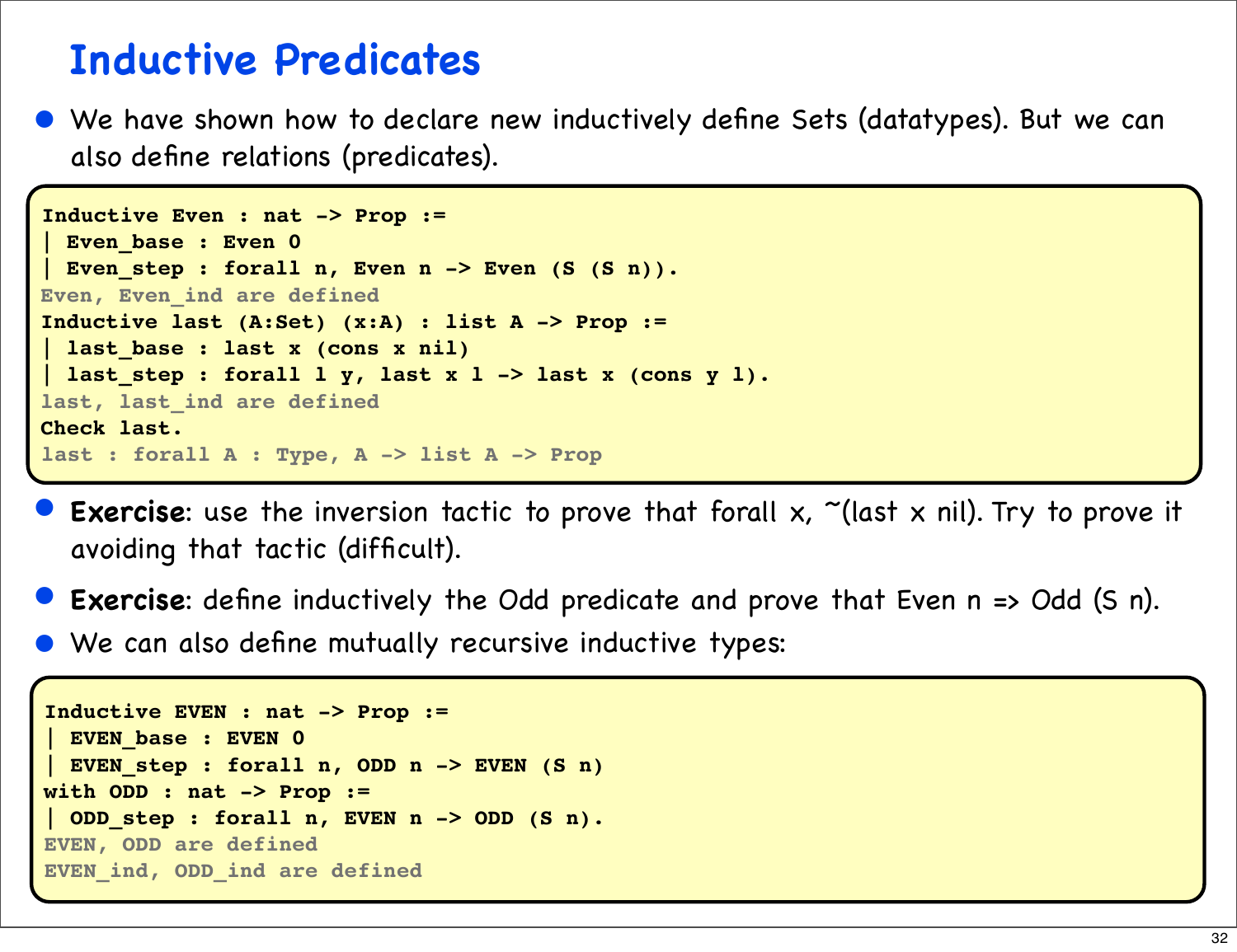#### **Inductive Predicates**

• We have shown how to declare new inductively define Sets (datatypes). But we can also define relations (predicates).

```
Inductive Even : nat -> Prop :=
 | Even_base : Even 0
 | Even_step : forall n, Even n -> Even (S (S n)).
Even, Even_ind are defined
Inductive last (A:Set) (x:A) : list A -> Prop :=
 | last_base : last x (cons x nil)
last step : forall l y, last x l -> last x (cons y l).
last, last_ind are defined
Check last.
last : forall A : Type, A -> list A -> Prop
```
- **Exercise**: use the inversion tactic to prove that forall x, "(last x nil). Try to prove it avoiding that tactic (difficult).
- **Exercise**: define inductively the Odd predicate and prove that Even n => Odd (S n).
- We can also define mutually recursive inductive types:

```
Inductive EVEN : nat -> Prop :=
 | EVEN_base : EVEN 0
 EVEN step : forall n, ODD n -> EVEN (S n)
with ODD : nat -> Prop :=
 | ODD_step : forall n, EVEN n -> ODD (S n).
EVEN, ODD are defined
EVEN_ind, ODD_ind are defined
```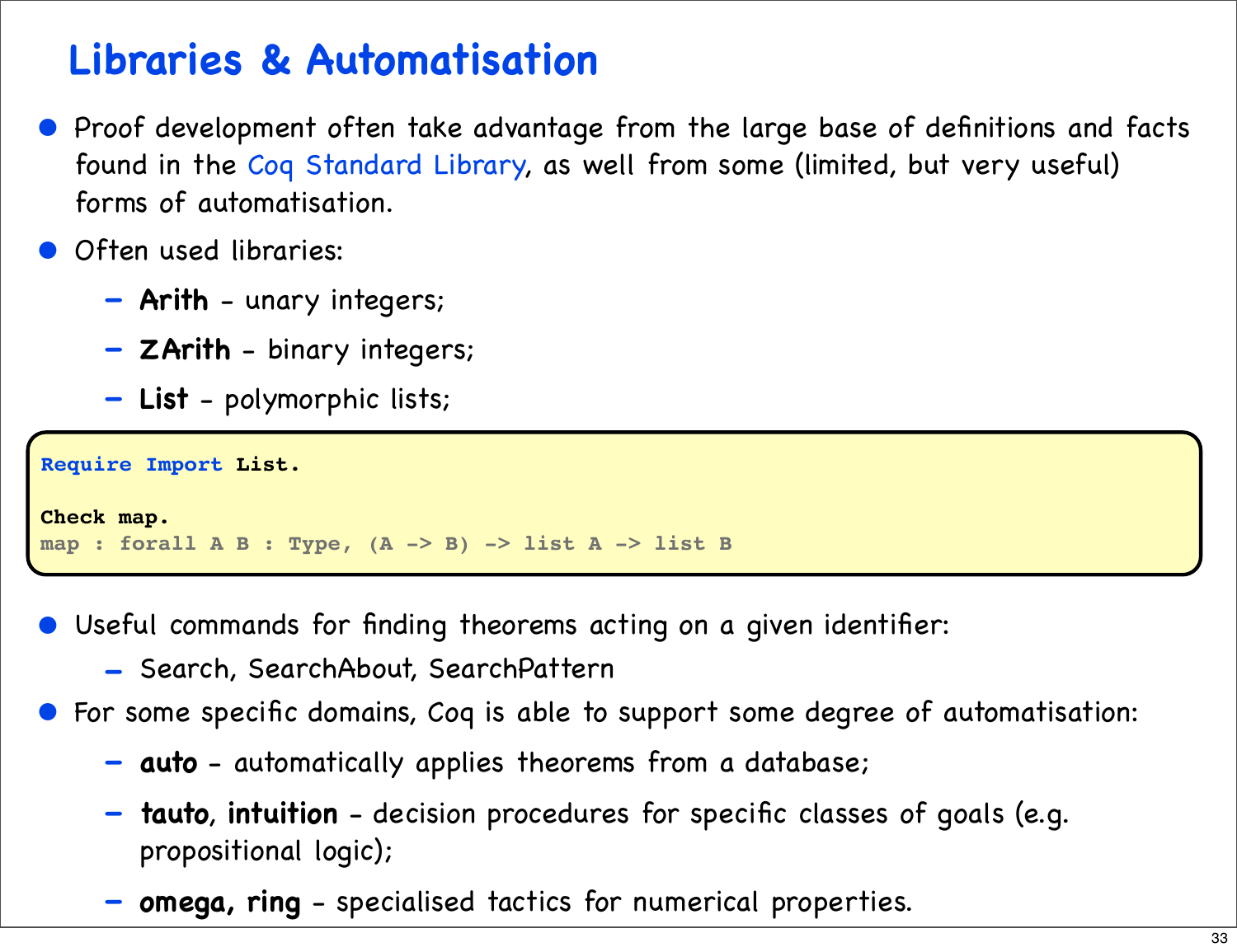## **Libraries & Automatisation**

- Proof development often take advantage from the large base of definitions and facts found in the Coq Standard Library, as well from some (limited, but very useful) forms of automatisation.
- **Often used libraries:** 
	- **Arith** unary integers;
	- **ZArith** binary integers;
	- **List** polymorphic lists;

```
Require Import List.
Check map.
map : forall A B : Type, (A -> B) -> list A -> list B
```
- Useful commands for finding theorems acting on a given identifier:
	- Search, SearchAbout, SearchPattern
- For some specific domains, Coq is able to support some degree of automatisation:
	- **auto** automatically applies theorems from a database;
	- **tauto**, **intuition** decision procedures for specific classes of goals (e.g. propositional logic);
	- **omega, ring** specialised tactics for numerical properties.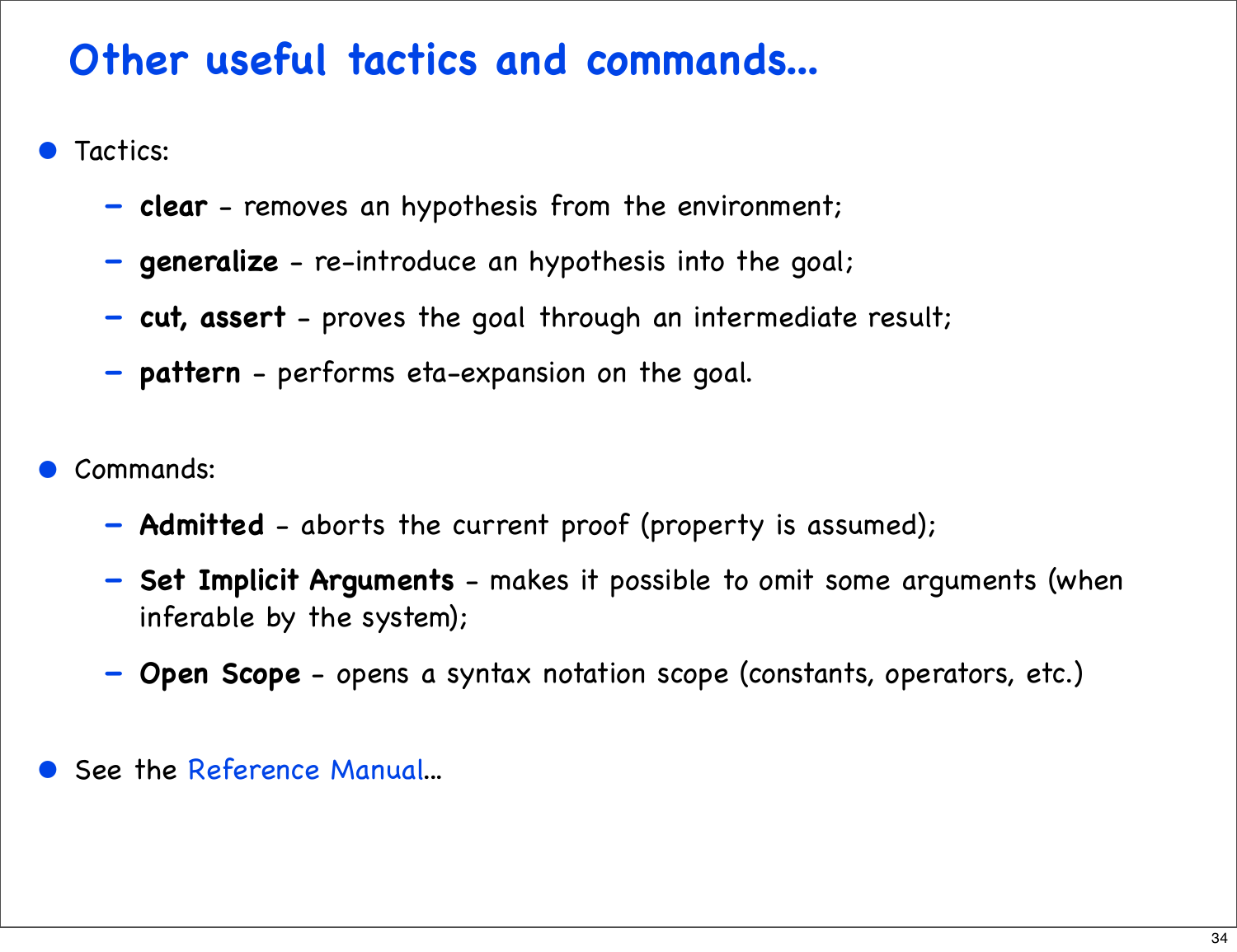## **Other useful tactics and commands...**

- Tactics:
	- **clear** removes an hypothesis from the environment;
	- **generalize** re-introduce an hypothesis into the goal;
	- **cut, assert** proves the goal through an intermediate result;
	- **pattern** performs eta-expansion on the goal.
- Commands:
	- **Admitted** aborts the current proof (property is assumed);
	- **Set Implicit Arguments** makes it possible to omit some arguments (when inferable by the system);
	- **Open Scope** opens a syntax notation scope (constants, operators, etc.)
- See the Reference Manual...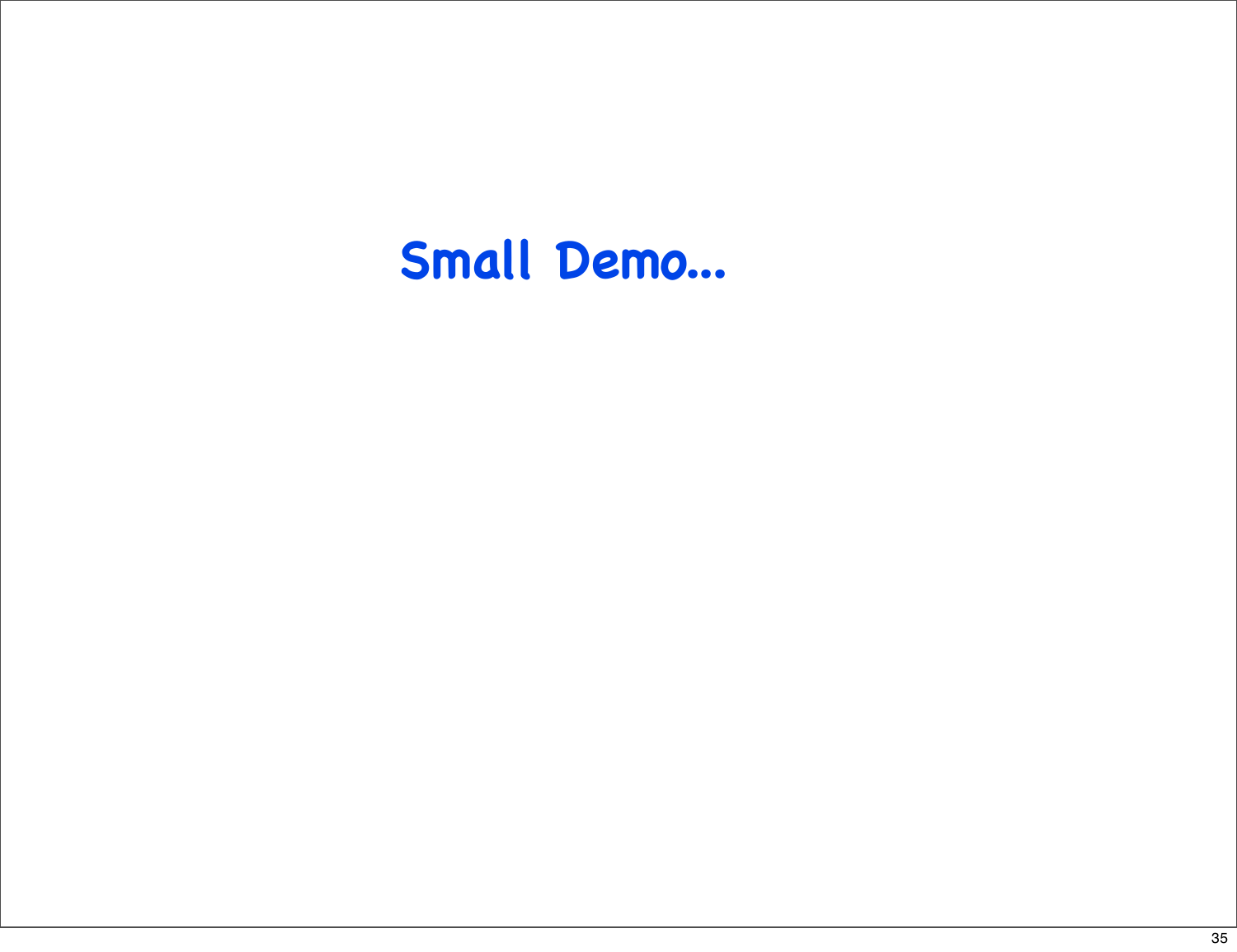## **Small Demo...**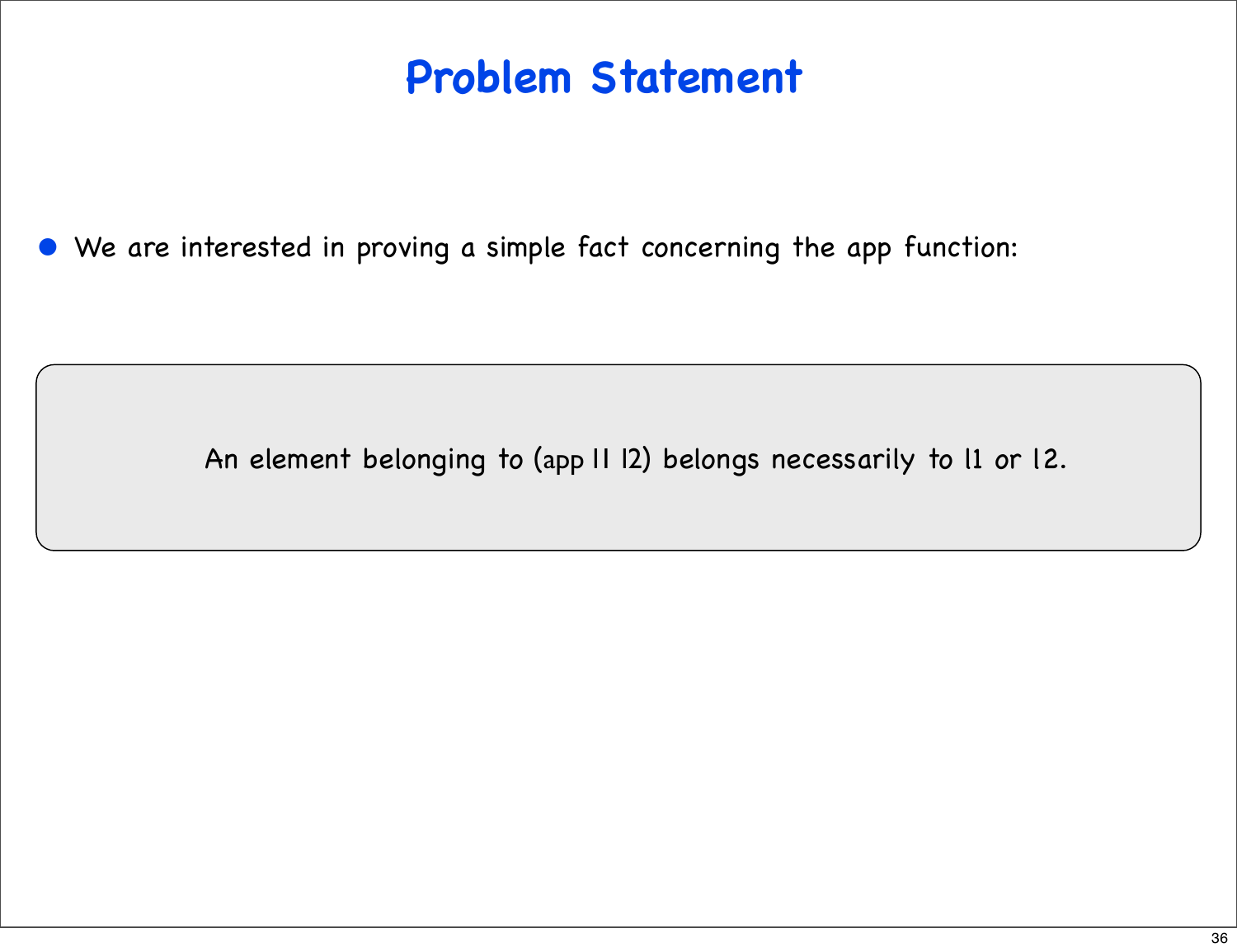## **Problem Statement**

• We are interested in proving a simple fact concerning the app function:

An element belonging to (app l1 l2) belongs necessarily to l1 or l2.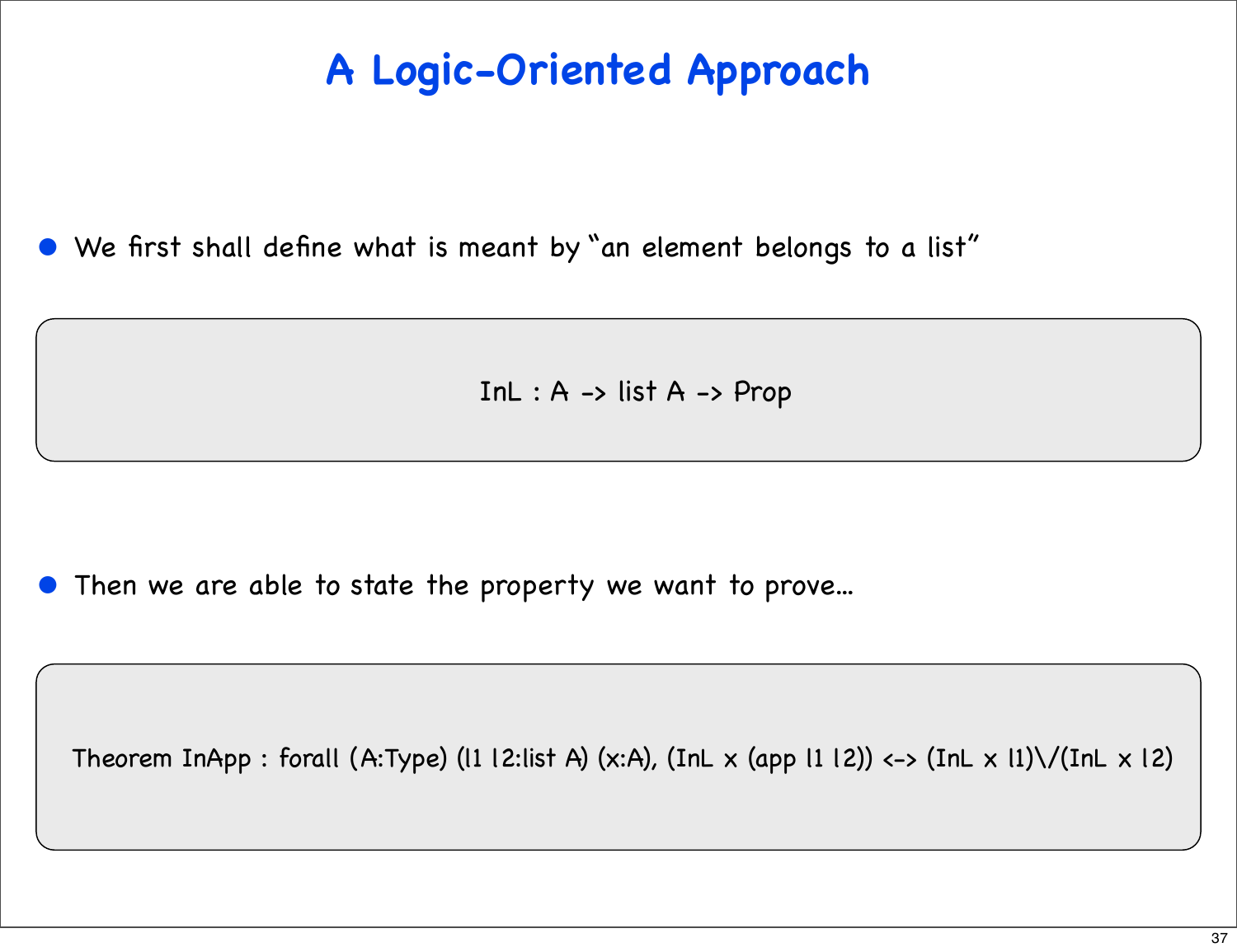#### **A Logic-Oriented Approach**

• We first shall define what is meant by "an element belongs to a list"

In $L : A \rightarrow$  list  $A \rightarrow$  Prop

Then we are able to state the property we want to prove...

Theorem InApp : forall (A:Type) (I1 12:list A) (x:A), (InL x (app 11 12)) <-> (InL x 11)\/(InL x 12)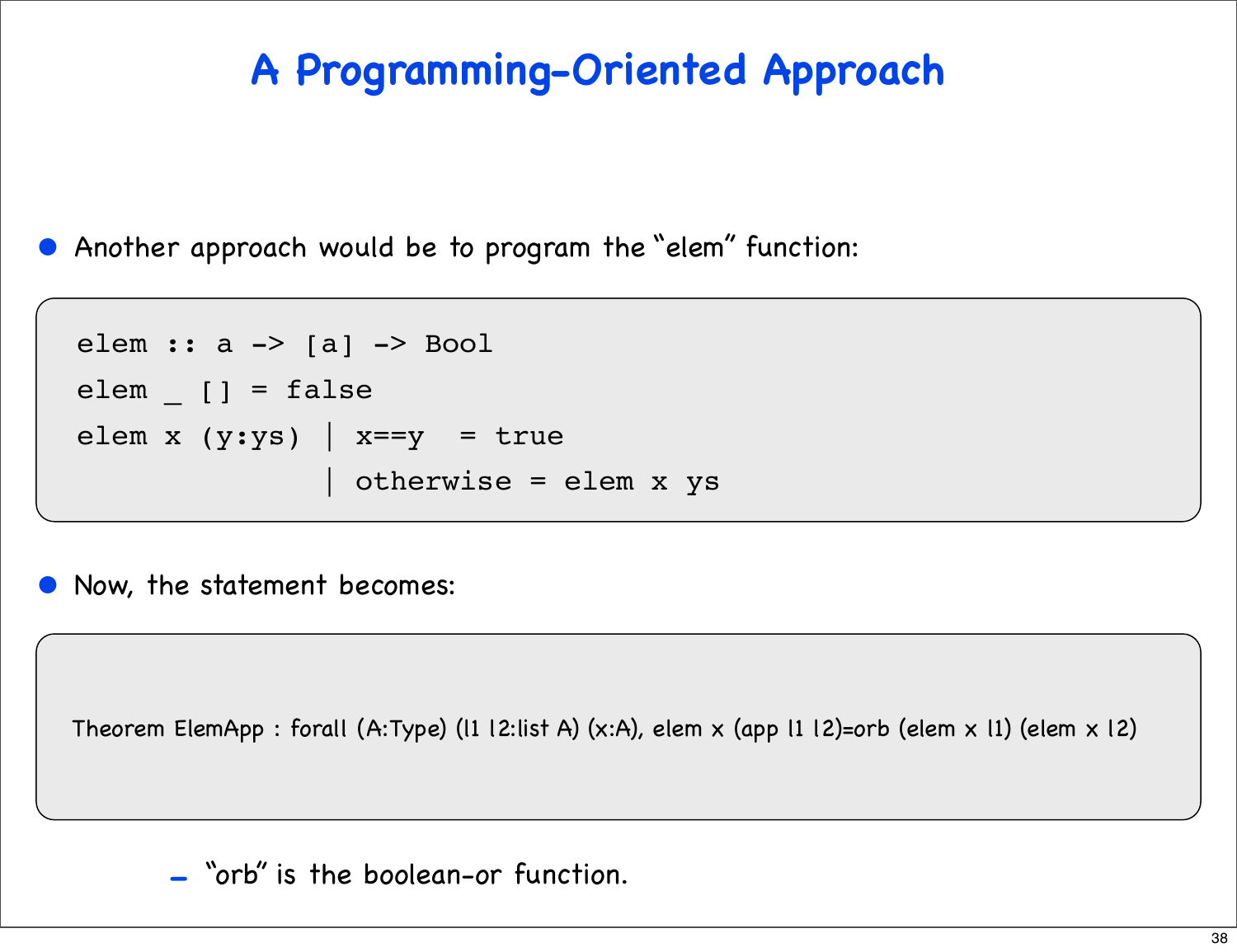#### **A Programming-Oriented Approach**

• Another approach would be to program the "elem" function:

```
elem :: a -> [a] -> Bool
elem [] = falseelem x (y:ys) | x=-y = true
                | otherwise = elem x ys
```
• Now, the statement becomes:

Theorem ElemApp : forall (A:Type) (l1 l2:list A) (x:A), elem x (app l1 l2)=orb (elem x l1) (elem x l2)

- "orb" is the boolean-or function.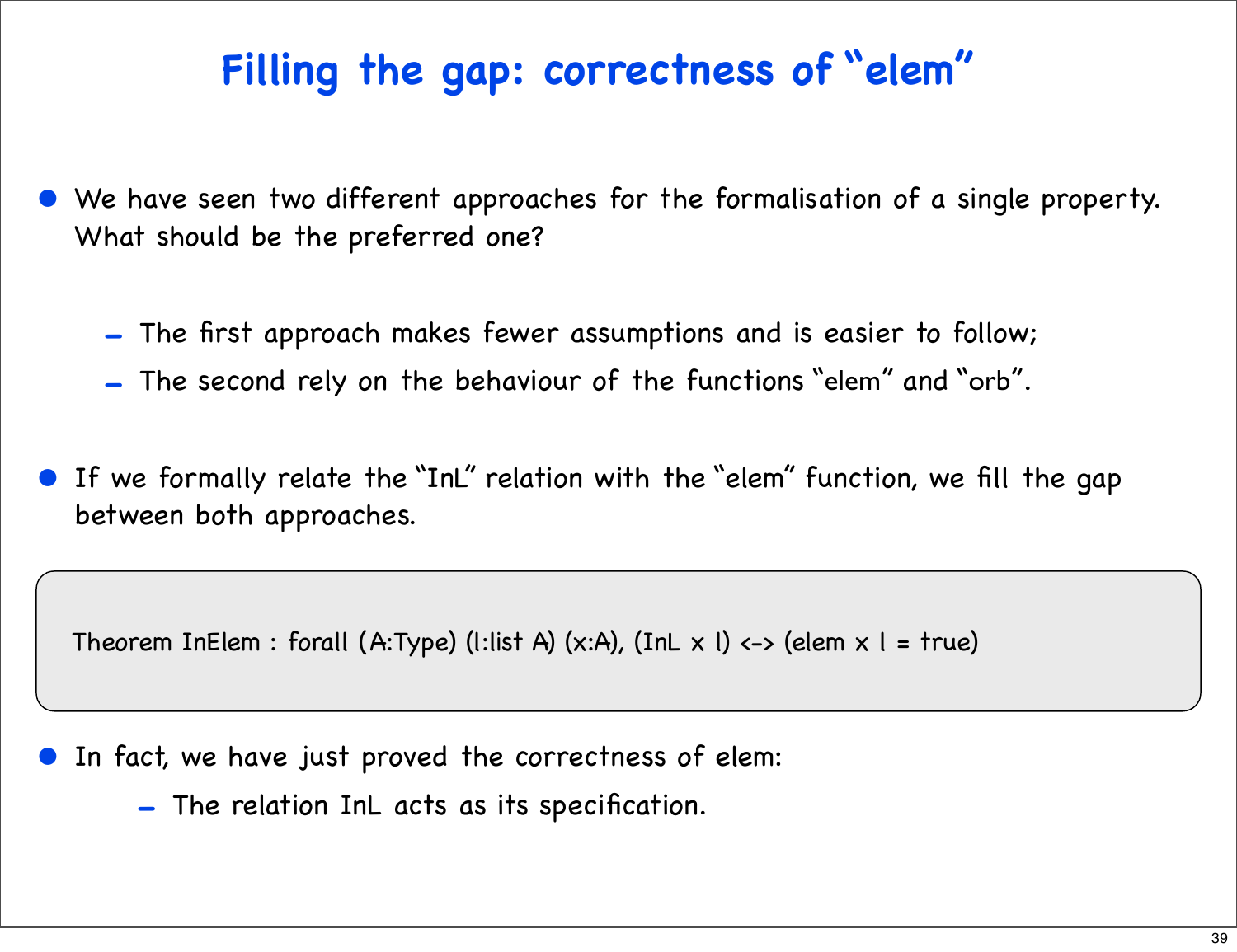#### **Filling the gap: correctness of "elem"**

- We have seen two different approaches for the formalisation of a single property. What should be the preferred one?
	- The first approach makes fewer assumptions and is easier to follow;
	- The second rely on the behaviour of the functions "elem" and "orb".
- If we formally relate the "InL" relation with the "elem" function, we fill the gap between both approaches.

Theorem InElem : forall (A:Type) (l:list A) (x:A), (InL x l) <-> (elem x l = true)

- In fact, we have just proved the correctness of elem:
	- The relation InL acts as its specification.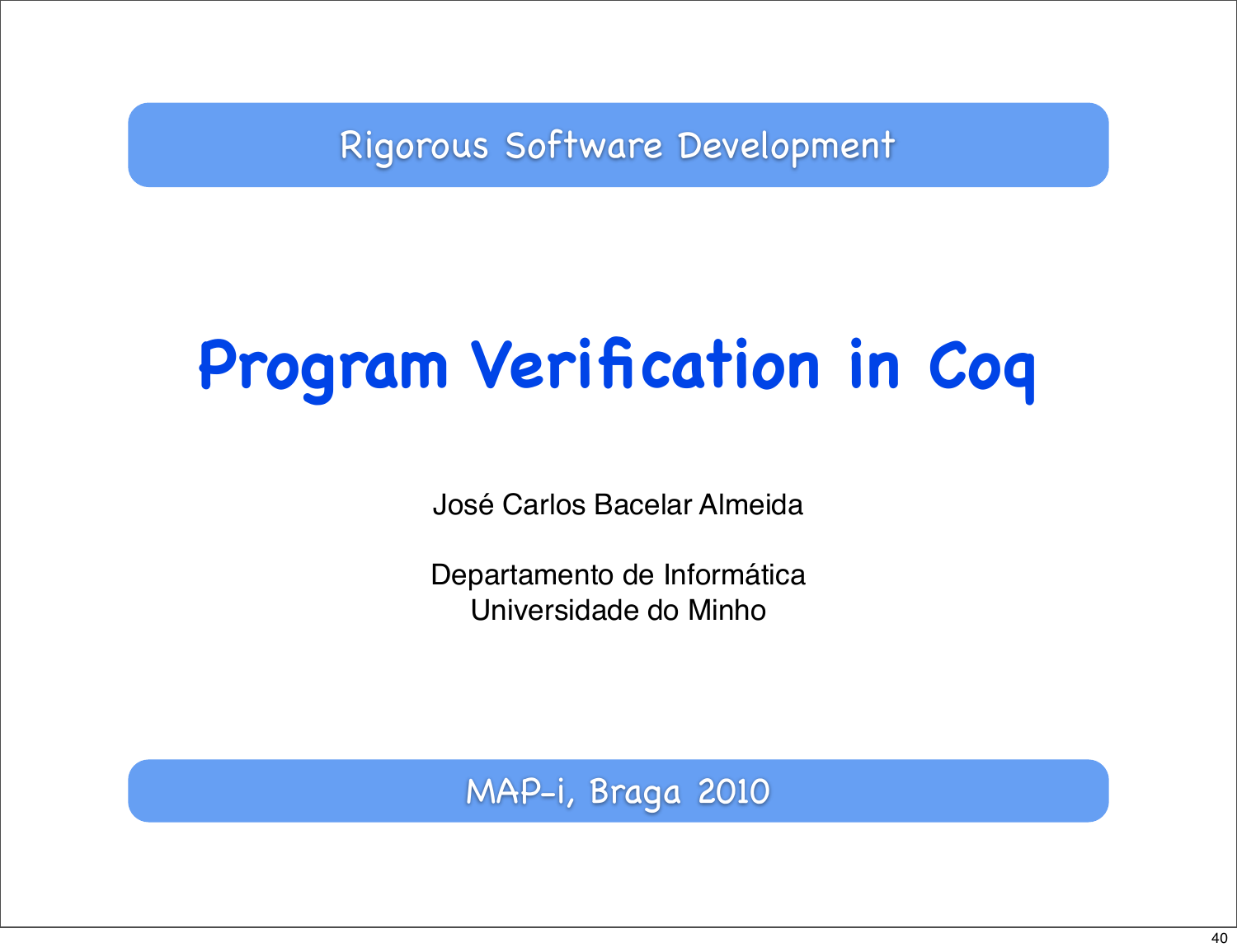Rigorous Software Development

# **Program Verification in Coq**

José Carlos Bacelar Almeida

Departamento de Informática Universidade do Minho

MAP-i, Braga 2010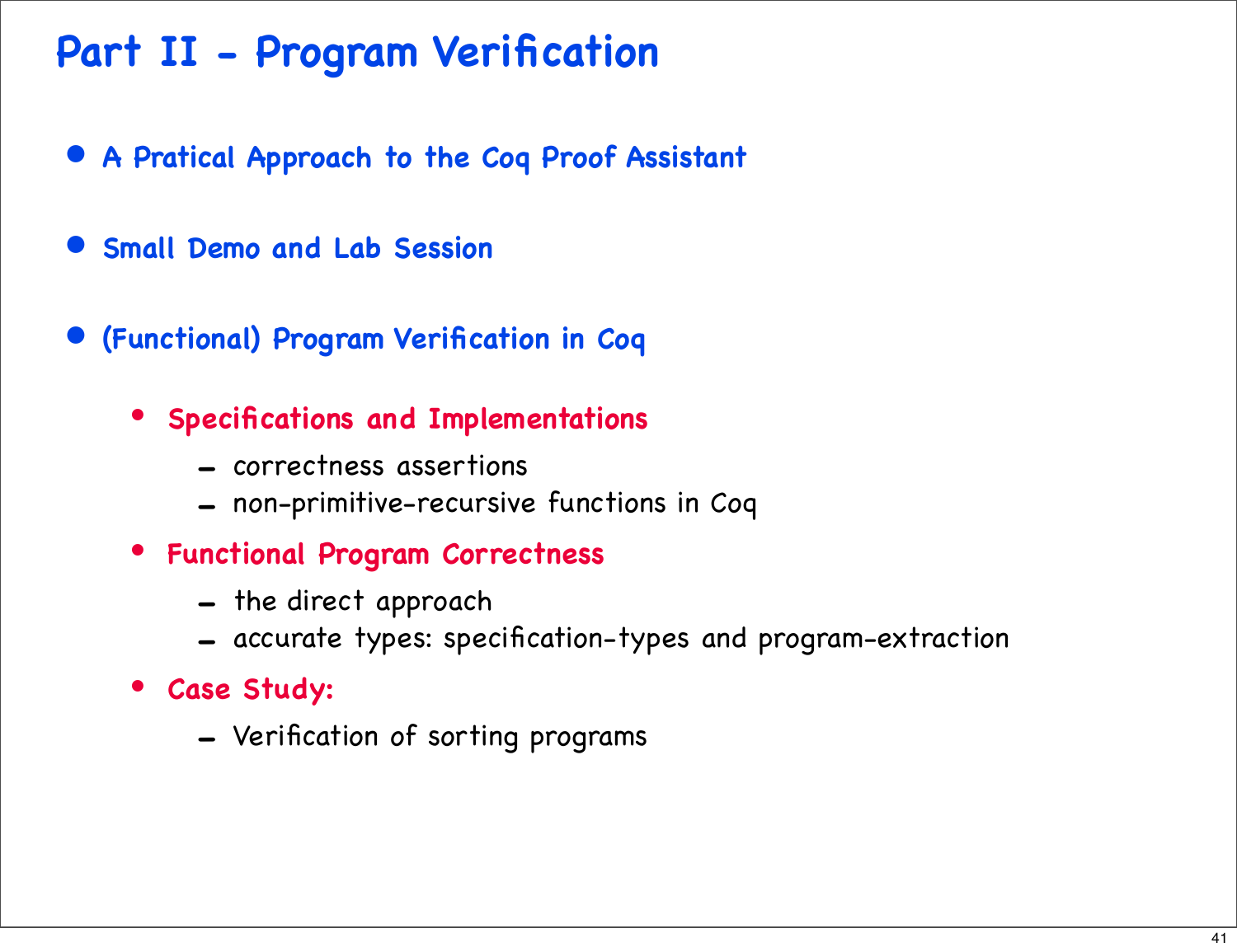#### **Part II - Program Verification**

- **A Pratical Approach to the Coq Proof Assistant**
- **Small Demo and Lab Session**
- **(Functional) Program Verification in Coq**
	- **Specifications and Implementations**
		- correctness assertions
		- non-primitive-recursive functions in Coq
	- **Functional Program Correctness**
		- the direct approach
		- accurate types: specification-types and program-extraction
	- **Case Study:** 
		- Verification of sorting programs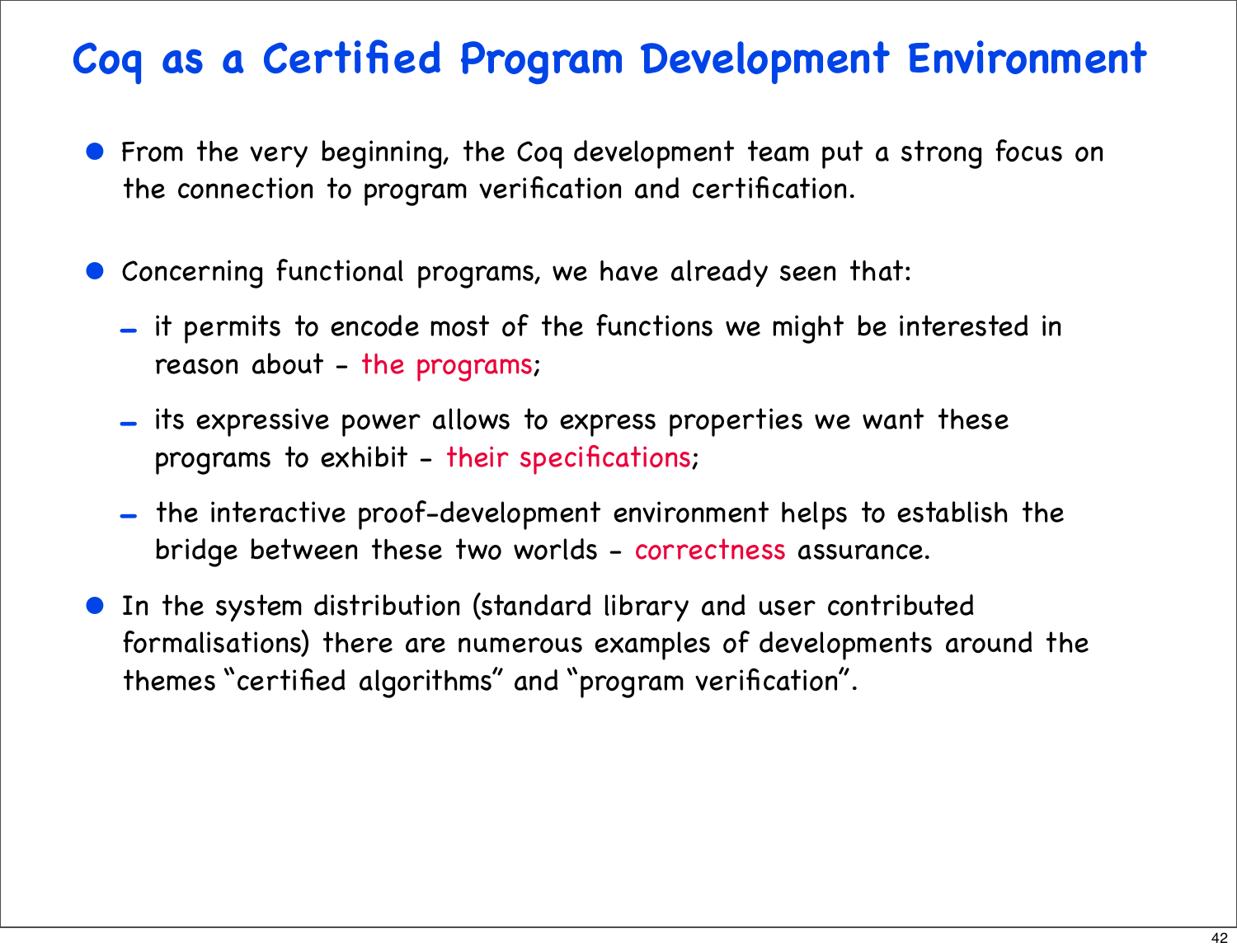#### **Coq as a Certified Program Development Environment**

- From the very beginning, the Coq development team put a strong focus on the connection to program verification and certification.
- Concerning functional programs, we have already seen that:
	- it permits to encode most of the functions we might be interested in reason about - the programs;
	- its expressive power allows to express properties we want these programs to exhibit - their specifications;
	- the interactive proof-development environment helps to establish the bridge between these two worlds - correctness assurance.
- In the system distribution (standard library and user contributed formalisations) there are numerous examples of developments around the themes "certified algorithms" and "program verification".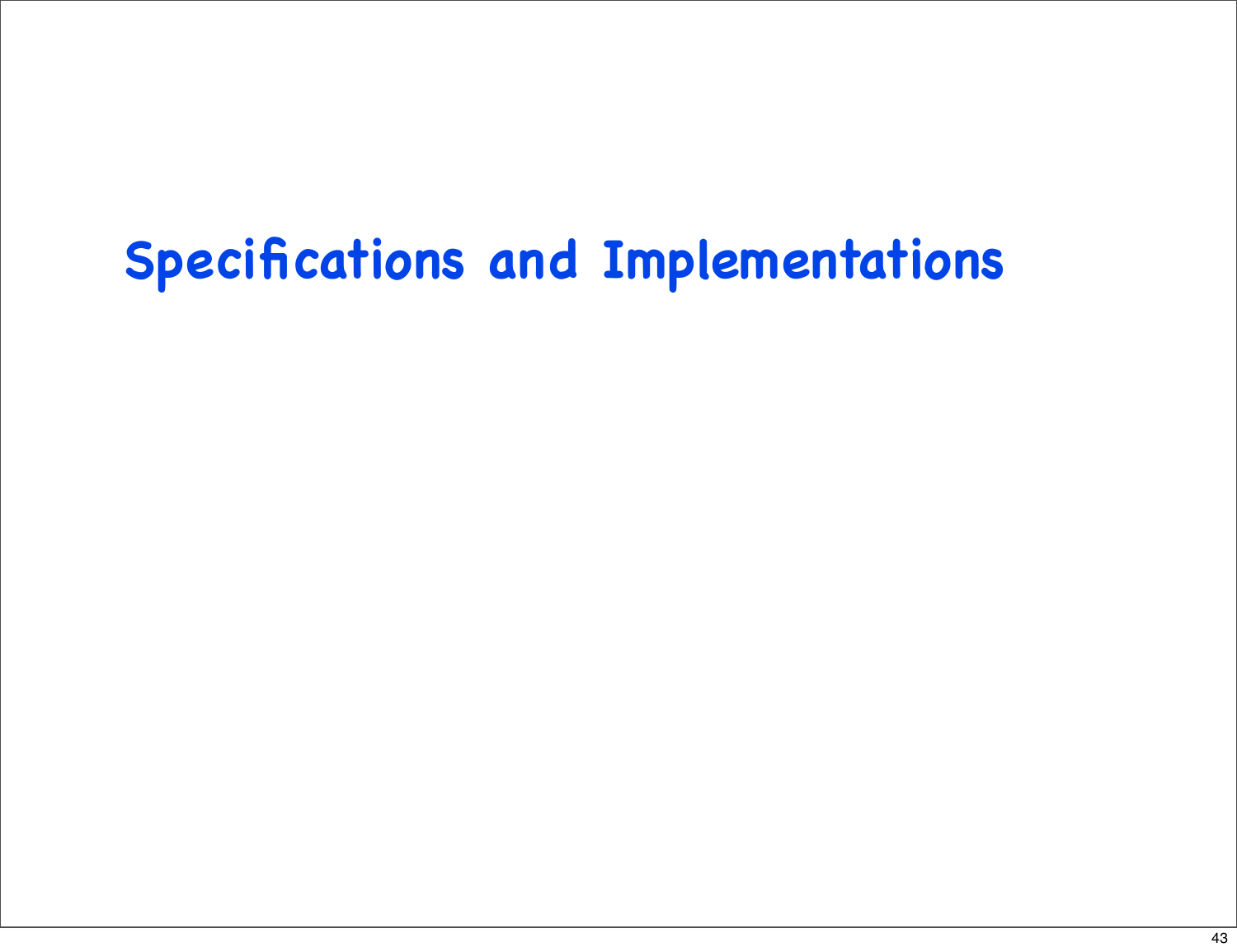## **Specifications and Implementations**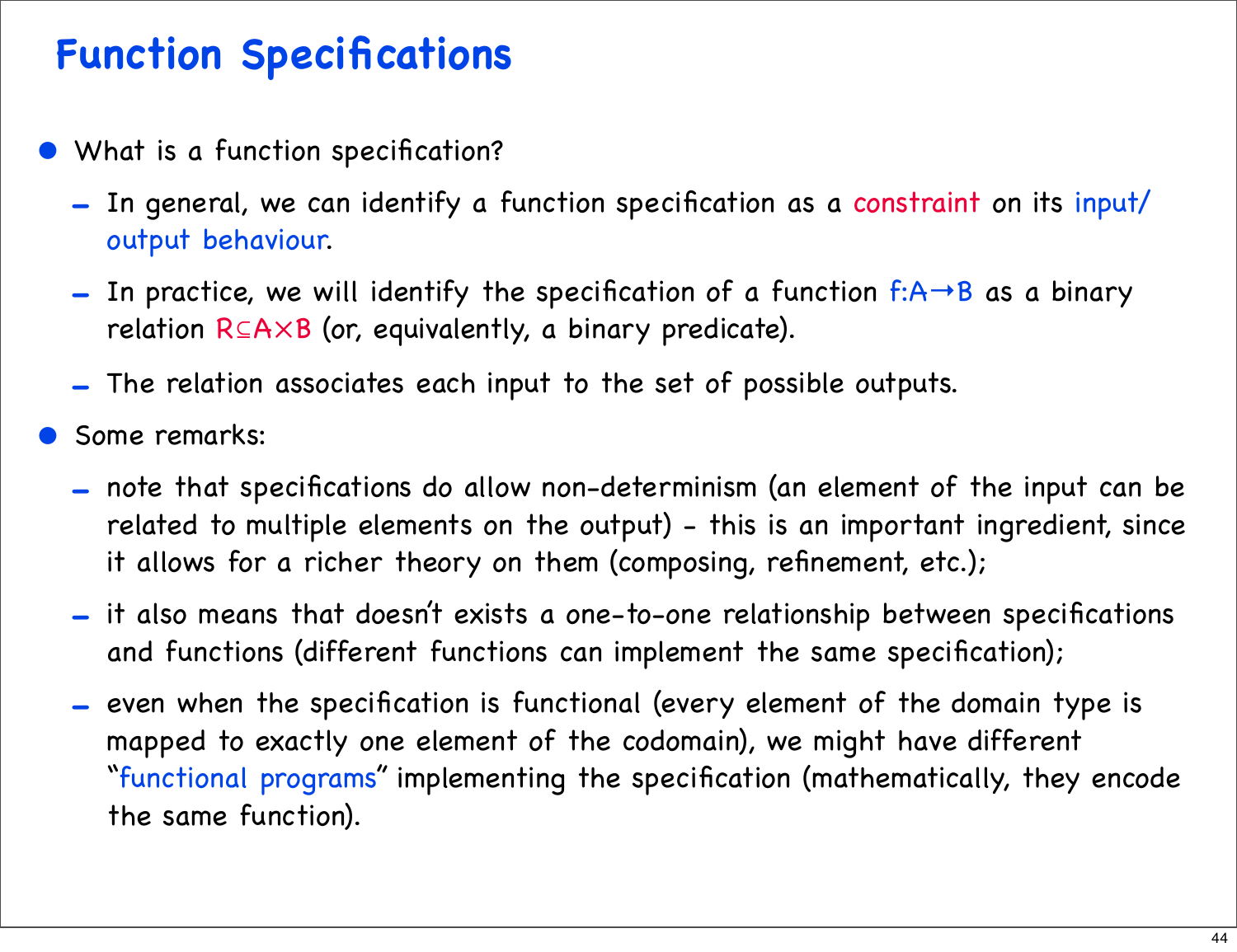#### **Function Specifications**

- What is a function specification?
	- In general, we can identify a function specification as a constraint on its input/ output behaviour.
	- In practice, we will identify the specification of a function  $f:A\rightarrow B$  as a binary relation R⊆A×B (or, equivalently, a binary predicate).
	- The relation associates each input to the set of possible outputs.
- Some remarks:
	- note that specifications do allow non-determinism (an element of the input can be related to multiple elements on the output) - this is an important ingredient, since it allows for a richer theory on them (composing, refinement, etc.);
	- it also means that doesn't exists a one-to-one relationship between specifications and functions (different functions can implement the same specification);
	- even when the specification is functional (every element of the domain type is mapped to exactly one element of the codomain), we might have different "functional programs" implementing the specification (mathematically, they encode the same function).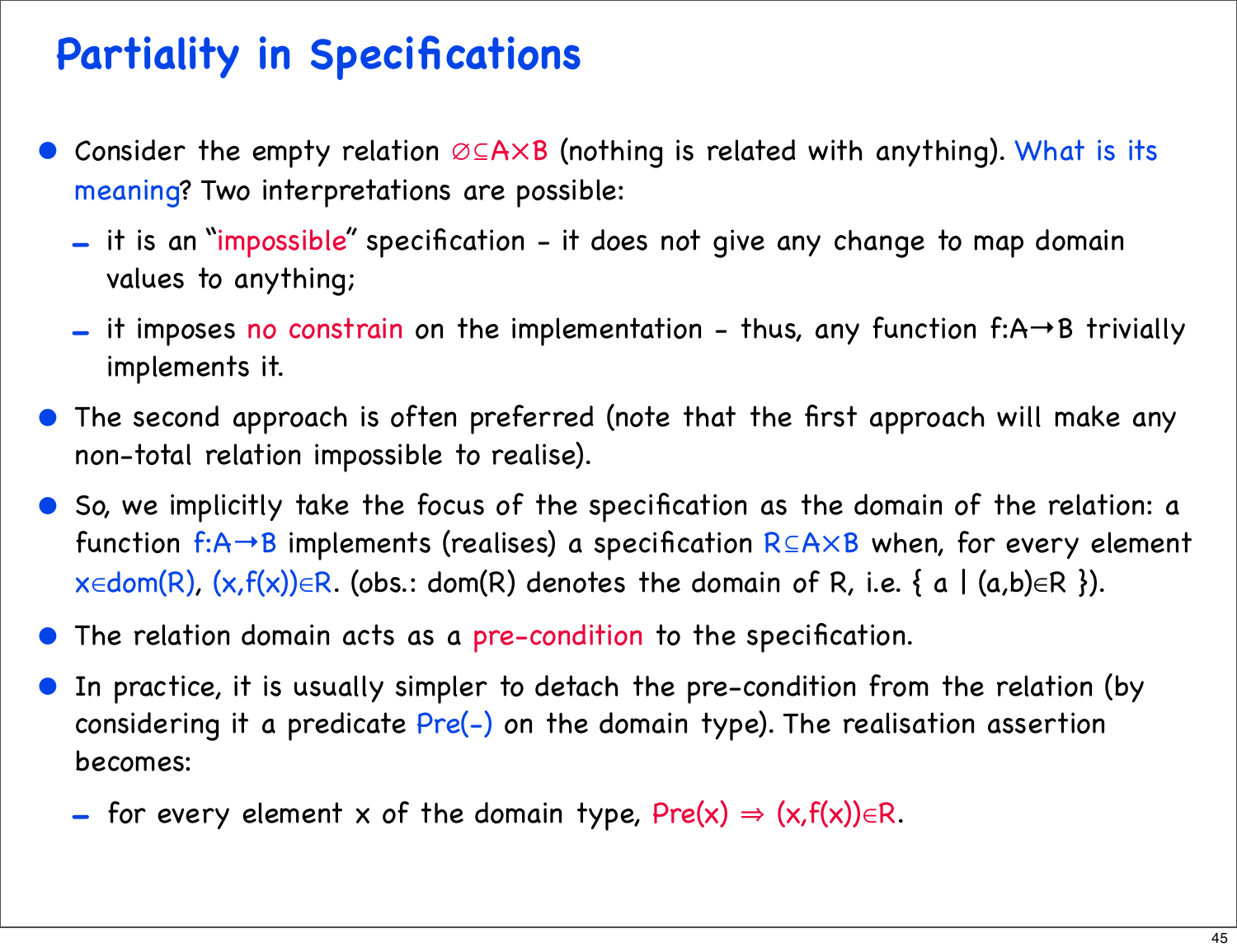#### **Partiality in Specifications**

- Consider the empty relation ∅⊆A×B (nothing is related with anything). What is its meaning? Two interpretations are possible:
	- it is an "impossible" specification it does not give any change to map domain values to anything;
	- it imposes no constrain on the implementation thus, any function f:A→B trivially implements it.
- The second approach is often preferred (note that the first approach will make any non-total relation impossible to realise).
- So, we implicitly take the focus of the specification as the domain of the relation: a function f:A→B implements (realises) a specification R⊆A×B when, for every element  $x \in dom(R)$ ,  $(x, f(x)) \in R$ . (obs.: dom(R) denotes the domain of R, i.e. { a | (a,b) $\in R$  }).
- The relation domain acts as a pre-condition to the specification.
- In practice, it is usually simpler to detach the pre-condition from the relation (by considering it a predicate Pre(-) on the domain type). The realisation assertion becomes:
	- for every element x of the domain type,  $Pre(x) \Rightarrow (x,f(x)) \in R$ .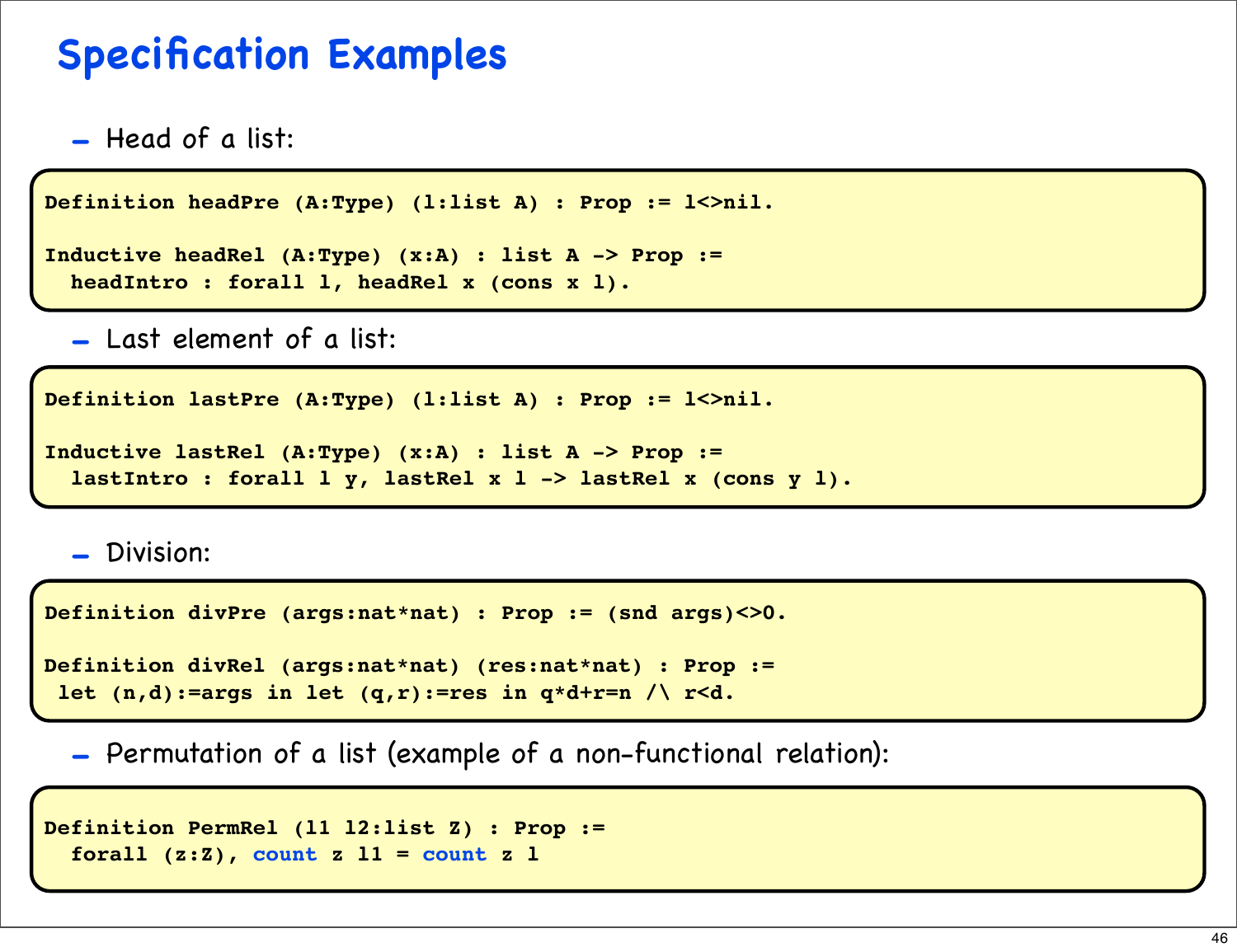#### **Specification Examples**

- Head of a list:

```
Definition headPre (A:Type) (l:list A) : Prop := l<>nil.
```

```
Inductive headRel (A:Type) (x:A) : list A -> Prop :=
  headIntro : forall l, headRel x (cons x l).
```
- Last element of a list:

```
Definition lastPre (A:Type) (l:list A) : Prop := l<>nil.
```

```
Inductive lastRel (A:Type) (x:A) : list A -> Prop :=
   lastIntro : forall l y, lastRel x l -> lastRel x (cons y l).
```
- Division:

```
Definition divPre (args:nat*nat) : Prop := (snd args)<>0.
```

```
Definition divRel (args:nat*nat) (res:nat*nat) : Prop :=
  let (n,d):=args in let (q,r):=res in q*d+r=n /\ r<d.
```
- Permutation of a list (example of a non-functional relation):

```
Definition PermRel (l1 l2:list Z) : Prop :=
   forall (z:Z), count z l1 = count z l
```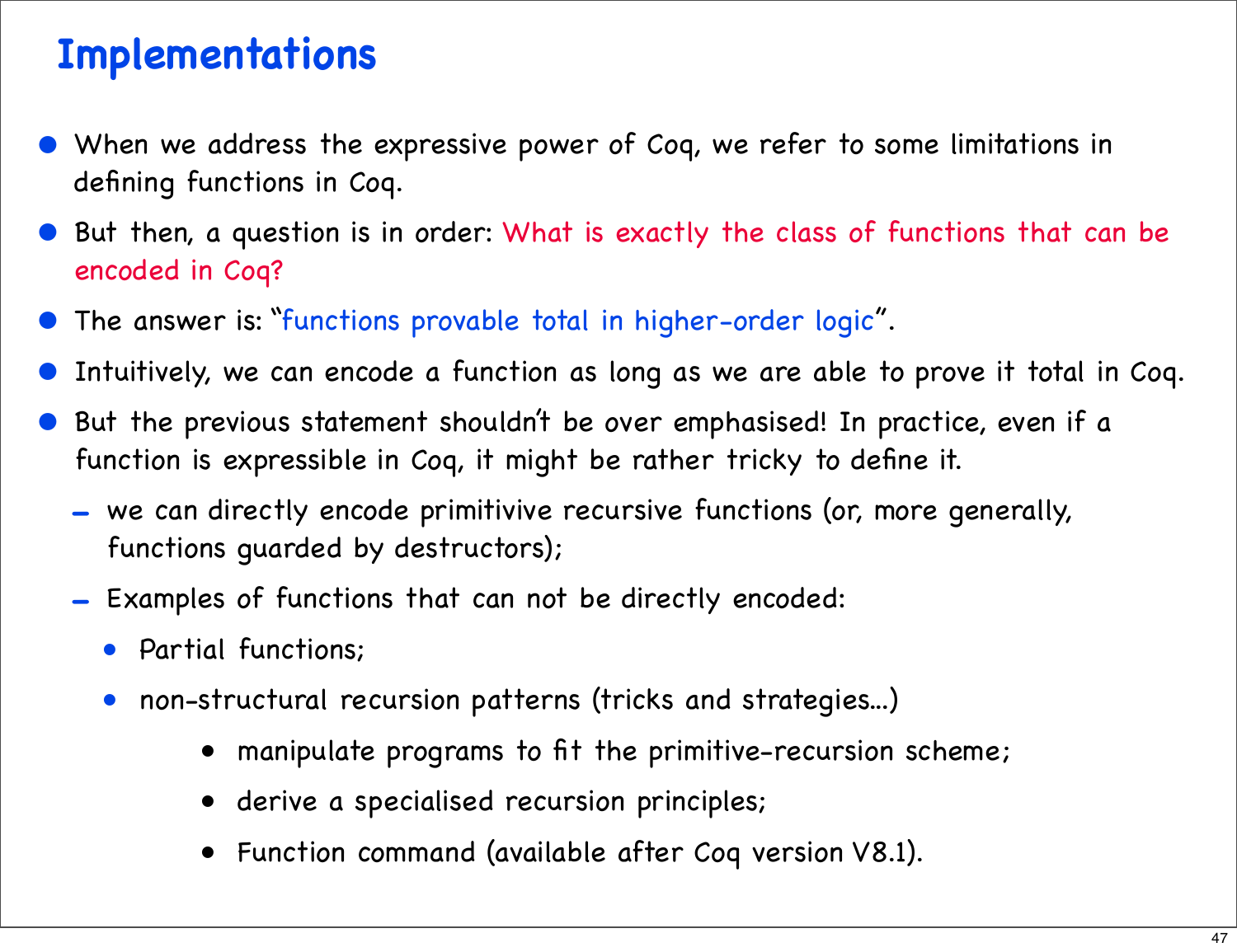#### **Implementations**

- When we address the expressive power of Coq, we refer to some limitations in defining functions in Coq.
- But then, a question is in order: What is exactly the class of functions that can be encoded in Coq?
- The answer is: "functions provable total in higher-order logic".
- Intuitively, we can encode a function as long as we are able to prove it total in Coq.
- But the previous statement shouldn't be over emphasised! In practice, even if a function is expressible in Coq, it might be rather tricky to define it.
	- we can directly encode primitivive recursive functions (or, more generally, functions guarded by destructors);
	- Examples of functions that can not be directly encoded:
		- Partial functions;
		- non-structural recursion patterns (tricks and strategies...)
			- manipulate programs to fit the primitive-recursion scheme;
			- derive a specialised recursion principles;
			- Function command (available after Coq version V8.1).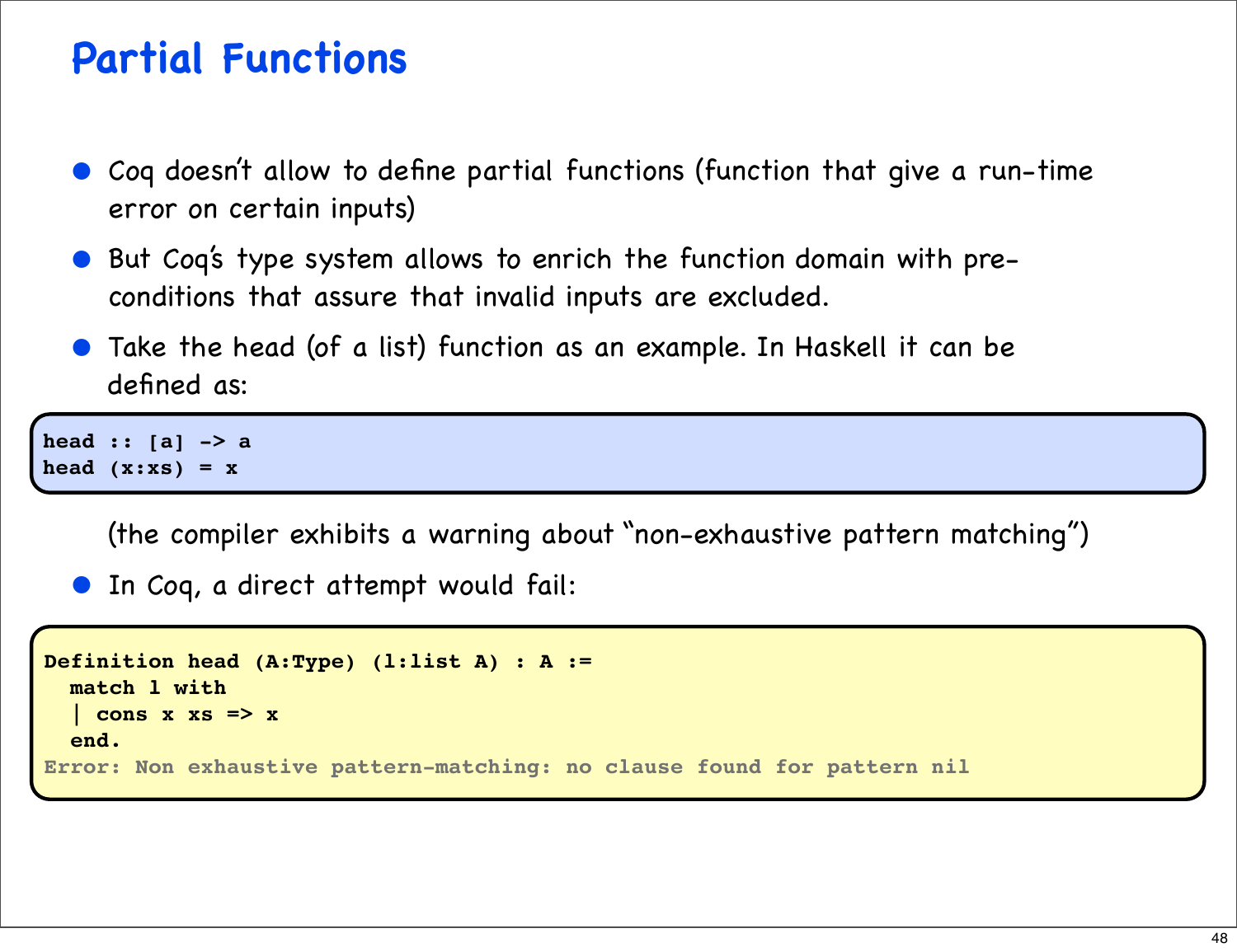#### **Partial Functions**

- Coq doesn't allow to define partial functions (function that give a run-time error on certain inputs)
- But Coq's type system allows to enrich the function domain with preconditions that assure that invalid inputs are excluded.
- Take the head (of a list) function as an example. In Haskell it can be defined as:

**head :: [a] -> a** head  $(x:xs) = x$ 

(the compiler exhibits a warning about "non-exhaustive pattern matching")

• In Coq, a direct attempt would fail:

```
Definition head (A:Type) (l:list A) : A :=
   match l with
   | cons x xs => x
   end.
Error: Non exhaustive pattern-matching: no clause found for pattern nil
```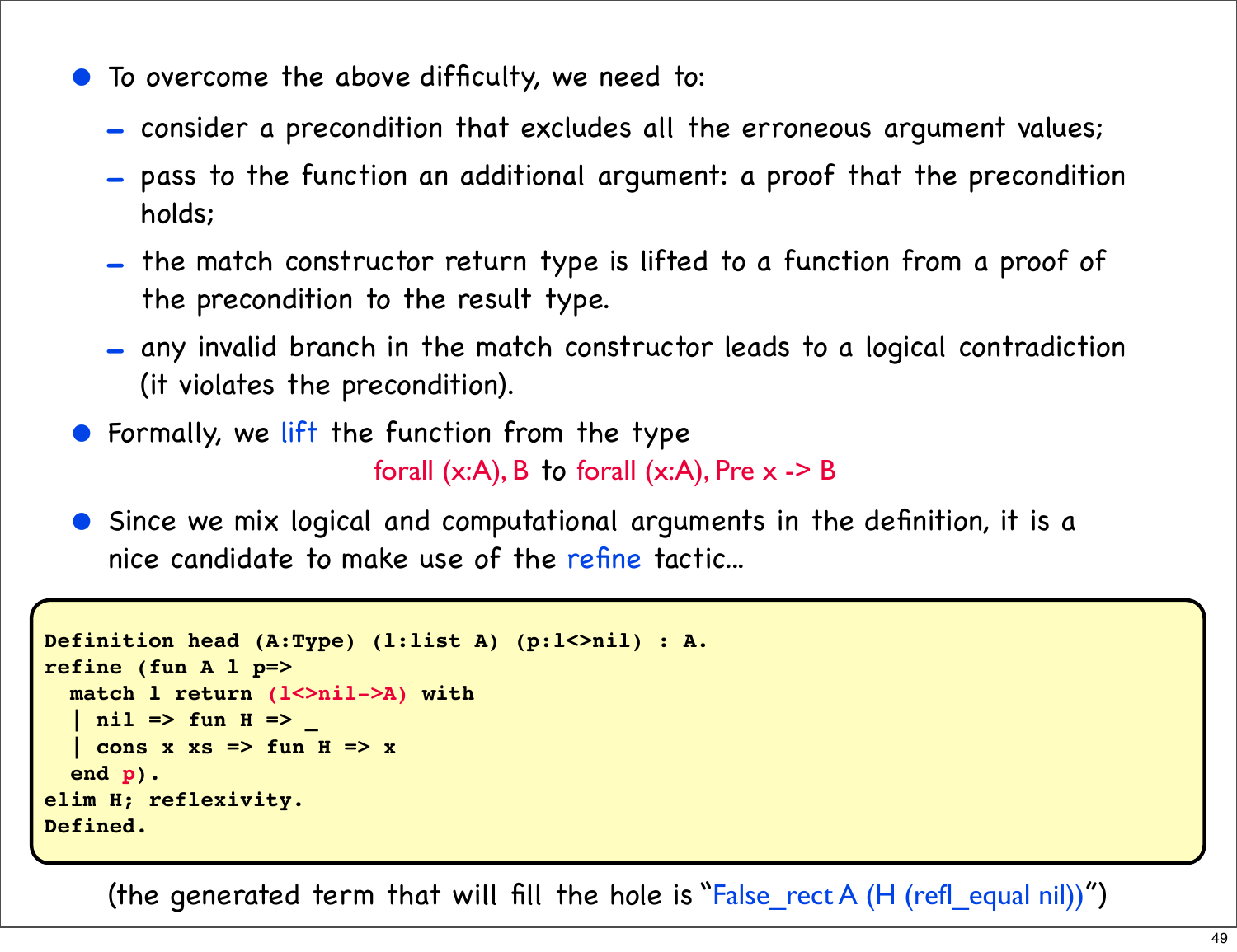- To overcome the above difficulty, we need to:
	- consider a precondition that excludes all the erroneous argument values;
	- pass to the function an additional argument: a proof that the precondition holds;
	- the match constructor return type is lifted to a function from a proof of the precondition to the result type.
	- any invalid branch in the match constructor leads to a logical contradiction (it violates the precondition).
- **•** Formally, we lift the function from the type forall  $(x:A)$ , B to forall  $(x:A)$ , Pre  $x -> B$
- Since we mix logical and computational arguments in the definition, it is a nice candidate to make use of the refine tactic...

```
Definition head (A:Type) (l:list A) (p:l<>nil) : A.
refine (fun A l p=>
  match l return (l<>nil->A) with
   | nil => fun H => _
    | cons x xs => fun H => x
   end p).
elim H; reflexivity.
Defined.
```
(the generated term that will fill the hole is "False\_rect A (H (refl\_equal nil))")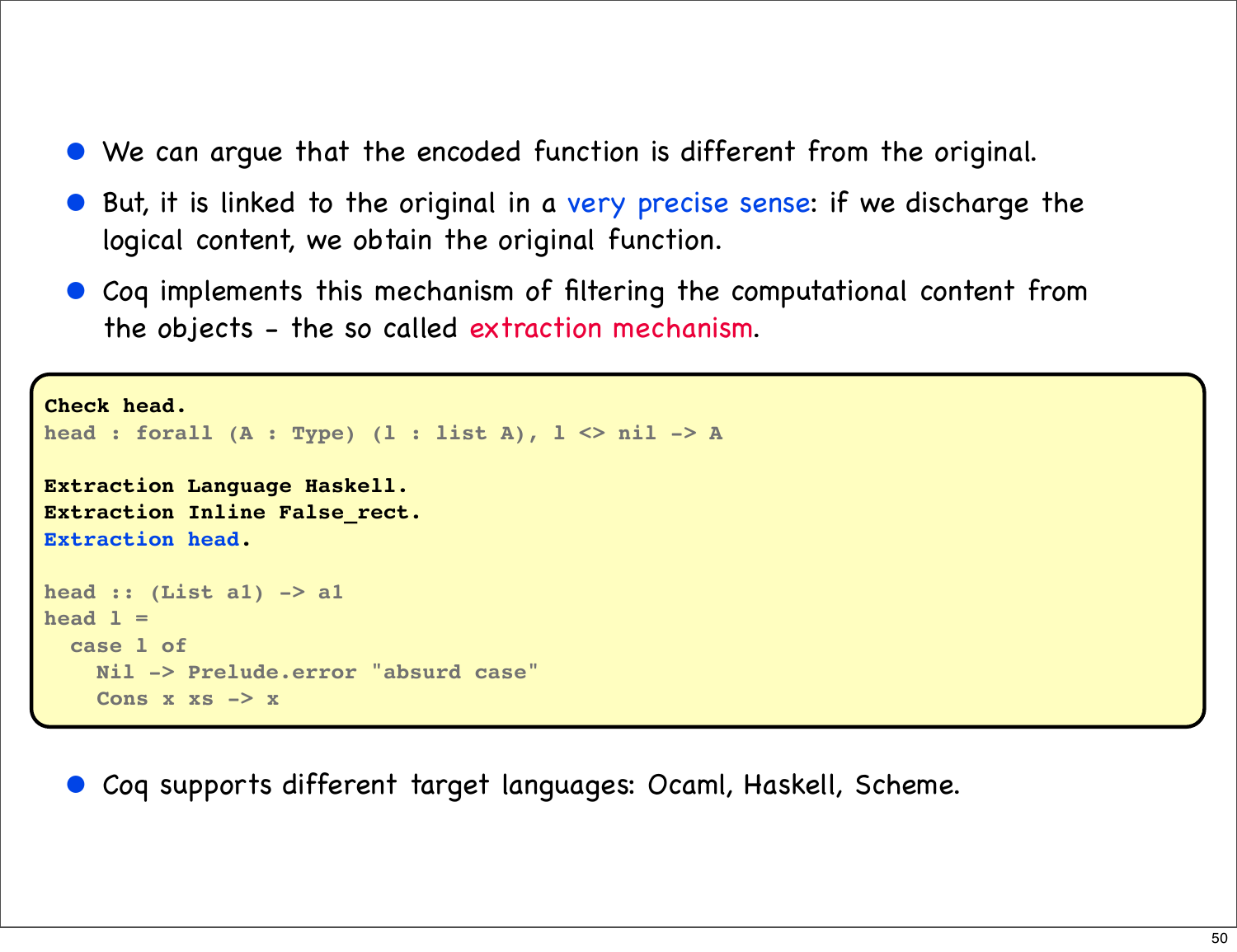- We can arque that the encoded function is different from the original.
- But, it is linked to the original in a very precise sense: if we discharge the logical content, we obtain the original function.
- Coq implements this mechanism of filtering the computational content from the objects - the so called extraction mechanism.

```
Check head.
head : forall (A : Type) (l : list A), l <> nil -> A
Extraction Language Haskell.
Extraction Inline False_rect.
Extraction head.
head :: (List a1) -> a1
head l =
   case l of
     Nil -> Prelude.error "absurd case"
     Cons x xs -> x
```
• Coq supports different target languages: Ocaml, Haskell, Scheme.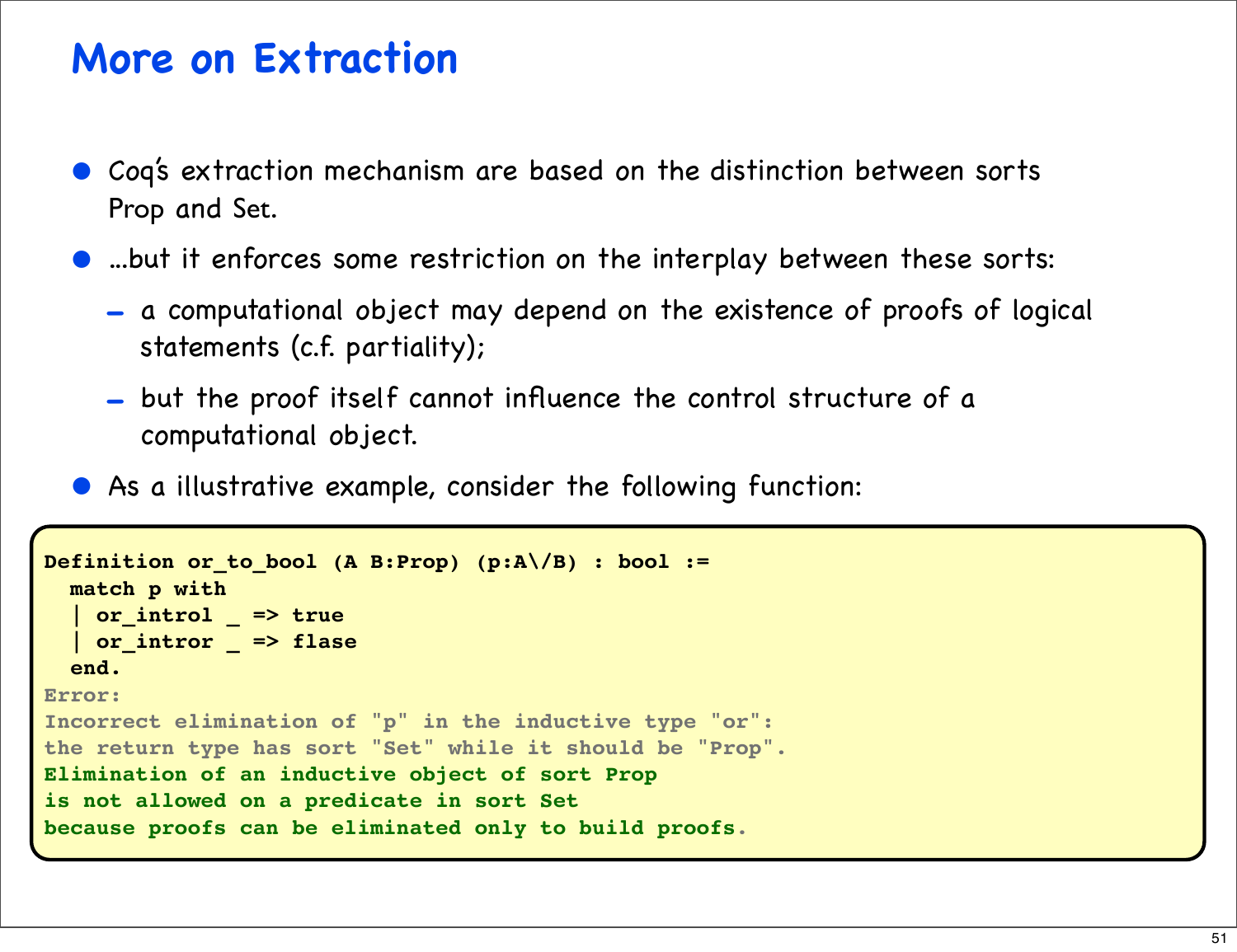#### **More on Extraction**

- Coq's extraction mechanism are based on the distinction between sorts Prop and Set.
- ...but it enforces some restriction on the interplay between these sorts:
	- a computational object may depend on the existence of proofs of logical statements (c.f. partiality);
	- but the proof itself cannot influence the control structure of a computational object.
- As a illustrative example, consider the following function:

```
Definition or_to_bool (A B:Prop) (p:A\/B) : bool :=
  match p with
   | or_introl _ => true
   | or_intror _ => flase
   end.
Error:
Incorrect elimination of "p" in the inductive type "or":
the return type has sort "Set" while it should be "Prop".
Elimination of an inductive object of sort Prop
is not allowed on a predicate in sort Set
because proofs can be eliminated only to build proofs.
```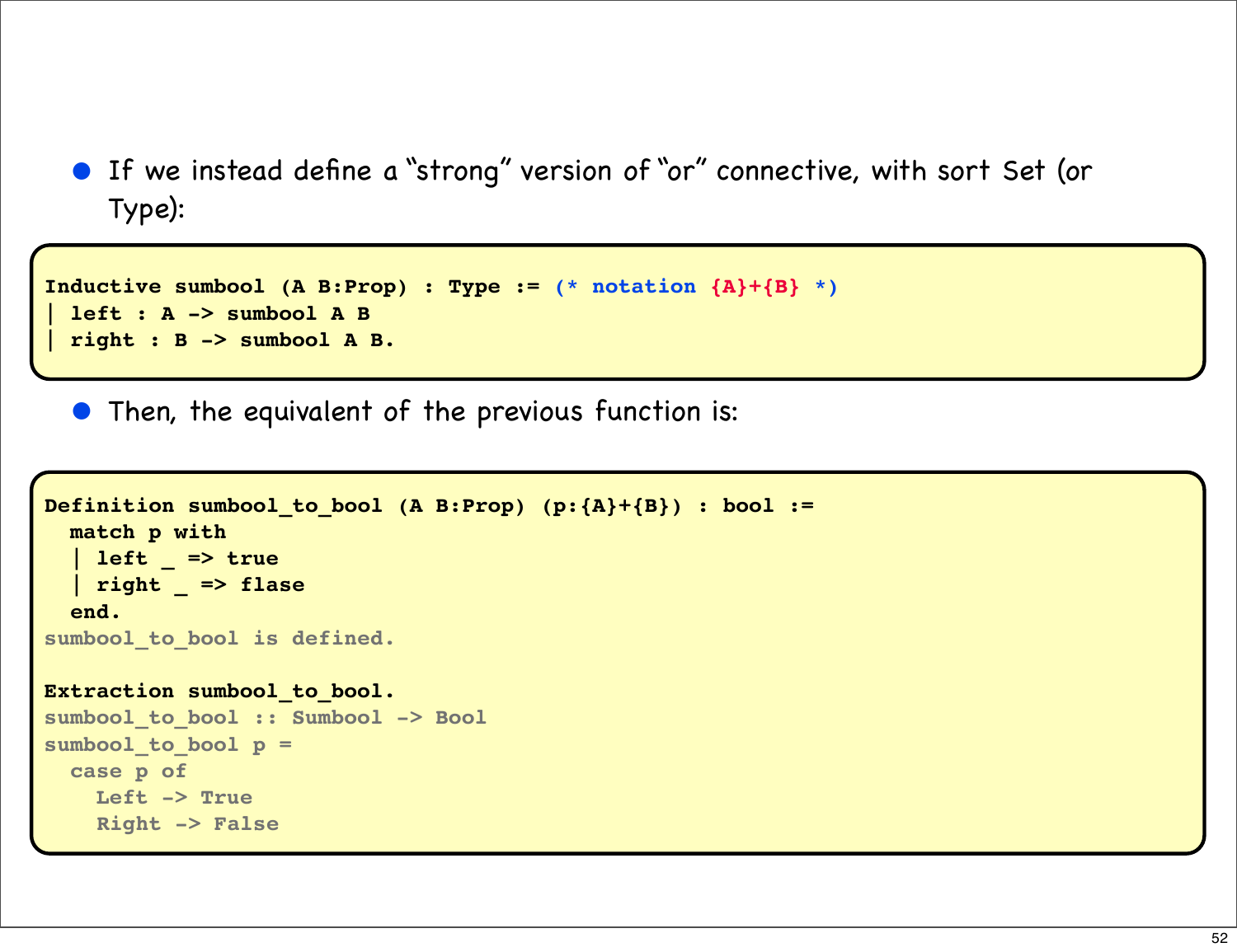• If we instead define a "strong" version of "or" connective, with sort Set (or Type):

```
Inductive sumbool (A B:Prop) : Type := (* notation {A}+{B} *)
 | left : A -> sumbool A B
 | right : B -> sumbool A B.
```
• Then, the equivalent of the previous function is:

```
Definition sumbool_to_bool (A B:Prop) (p:{A}+{B}) : bool :=
   match p with
   | left _ => true
   | right _ => flase
   end.
sumbool_to_bool is defined.
Extraction sumbool_to_bool.
sumbool_to_bool :: Sumbool -> Bool
sumbool_to_bool p =
   case p of
     Left -> True
     Right -> False
```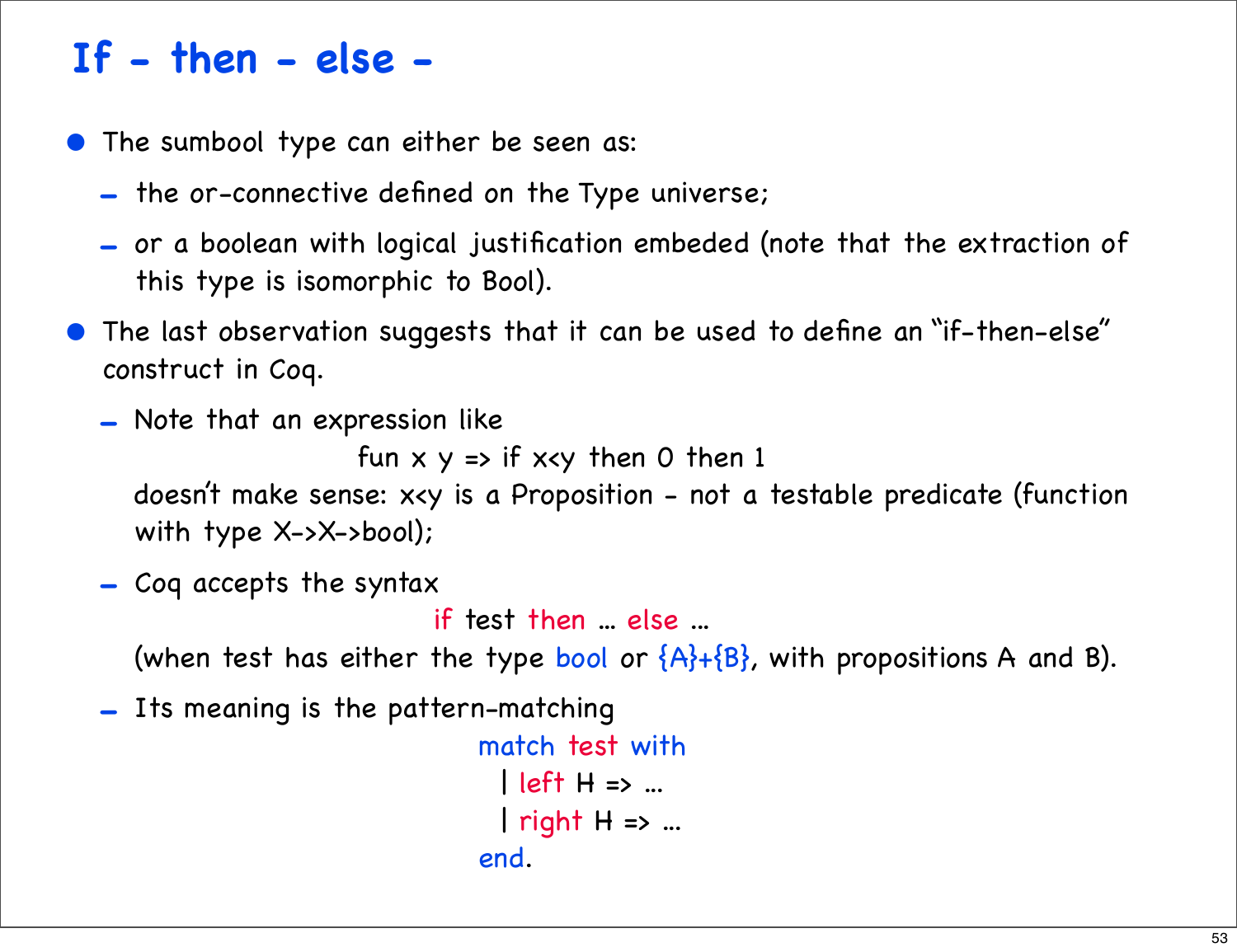#### **If - then - else -**

- The sumbool type can either be seen as:
	- the or-connective defined on the Type universe;
	- or a boolean with logical justification embeded (note that the extraction of this type is isomorphic to Bool).
- The last observation suggests that it can be used to define an "if-then-else" construct in Coq.
	- Note that an expression like

```
fun x y => if x < y then 0 then 1
```
doesn't make sense: x<y is a Proposition - not a testable predicate (function with type X->X->bool);

- Coq accepts the syntax

if test then ... else ...

(when test has either the type bool or  ${A}$ + ${B}$ , with propositions A and B).

- Its meaning is the pattern-matching

```
 match test with
                                                                                                        | left H => ...
                                                                                                        | right H = \times ...
end. The contract of the contract of the contract of the contract of the contract of the contract of the contract of the contract of the contract of the contract of the contract of the contract of the contract of the contr
```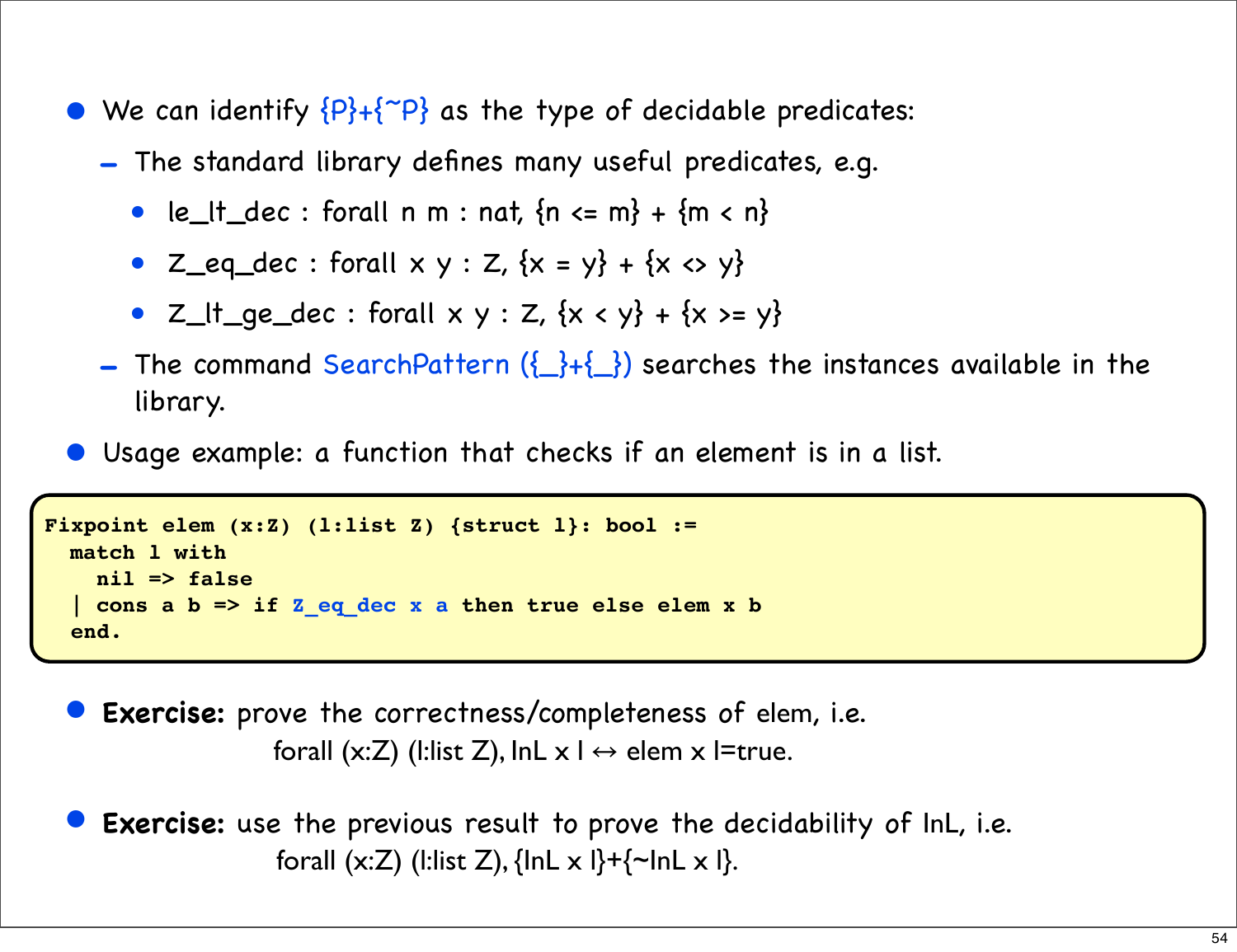- We can identify  ${P}+{^\sim P}$  as the type of decidable predicates:
	- The standard library defines many useful predicates, e.g.
		- le\_lt\_dec : forall n m : nat,  ${n \le m} + {m \le n}$
		- $Z_{eq}_{dec}$ : forall  $x \vee y : Z$ ,  $\{x = y\} + \{x \Leftrightarrow y\}$
		- $Z_{t+ge\text{dec}}$ : forall  $x \vee y : Z$ ,  $\{x < y\} + \{x >= y\}$
	- The command SearchPattern  $(\{\}\cdot\})$  searches the instances available in the library.
- Usage example: a function that checks if an element is in a list.

```
Fixpoint elem (x:Z) (l:list Z) {struct l}: bool :=
   match l with
     nil => false
   | cons a b => if Z_eq_dec x a then true else elem x b
   end.
```
**Exercise:** prove the correctness/completeness of elem, i.e. forall (x:Z) (l:list Z), lnL  $x \mid \leftrightarrow$  elem  $x \mid$ =true.

• **Exercise:** use the previous result to prove the decidability of InL, i.e. forall  $(x:Z)$  (l:list Z),  $\{ \text{InL} \times \text{I} \}$ + $\{ \text{InL} \times \text{I} \}$ .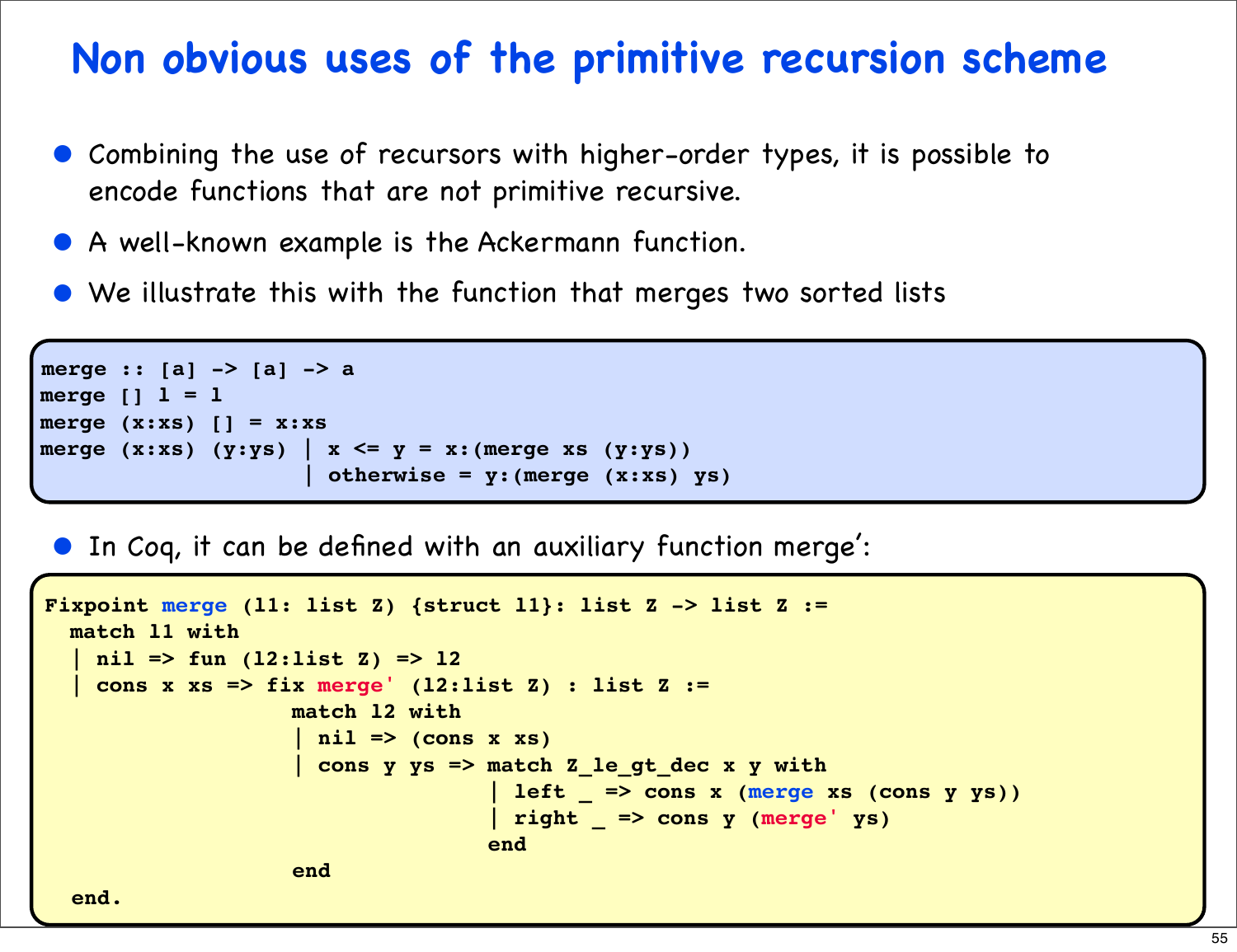#### **Non obvious uses of the primitive recursion scheme**

- Combining the use of recursors with higher-order types, it is possible to encode functions that are not primitive recursive.
- A well-known example is the Ackermann function.
- We illustrate this with the function that merges two sorted lists

```
merge :: [a] -> [a] -> a
merge [] l = l
merge (x:xs) [] = x:xs
merge (x:xs) (y:ys) | x \leq y = x: (merge xs (y:ys)) | otherwise = y:(merge (x:xs) ys)
```
• In Coq, it can be defined with an auxiliary function merge':

```
Fixpoint merge (l1: list Z) {struct l1}: list Z -> list Z :=
   match l1 with
    | nil => fun (l2:list Z) => l2
     | cons x xs => fix merge' (l2:list Z) : list Z := 
                         match l2 with
                          | nil => (cons x xs)
                         | cons y ys => match Z_le_gt_dec x y with
                                             | left _ => cons x (merge xs (cons y ys))
                                             | right _ => cons y (merge' ys)
end and the contract of the contract of the contract of the contract of the contract of the contract of the con
end end and the second end
   end.
```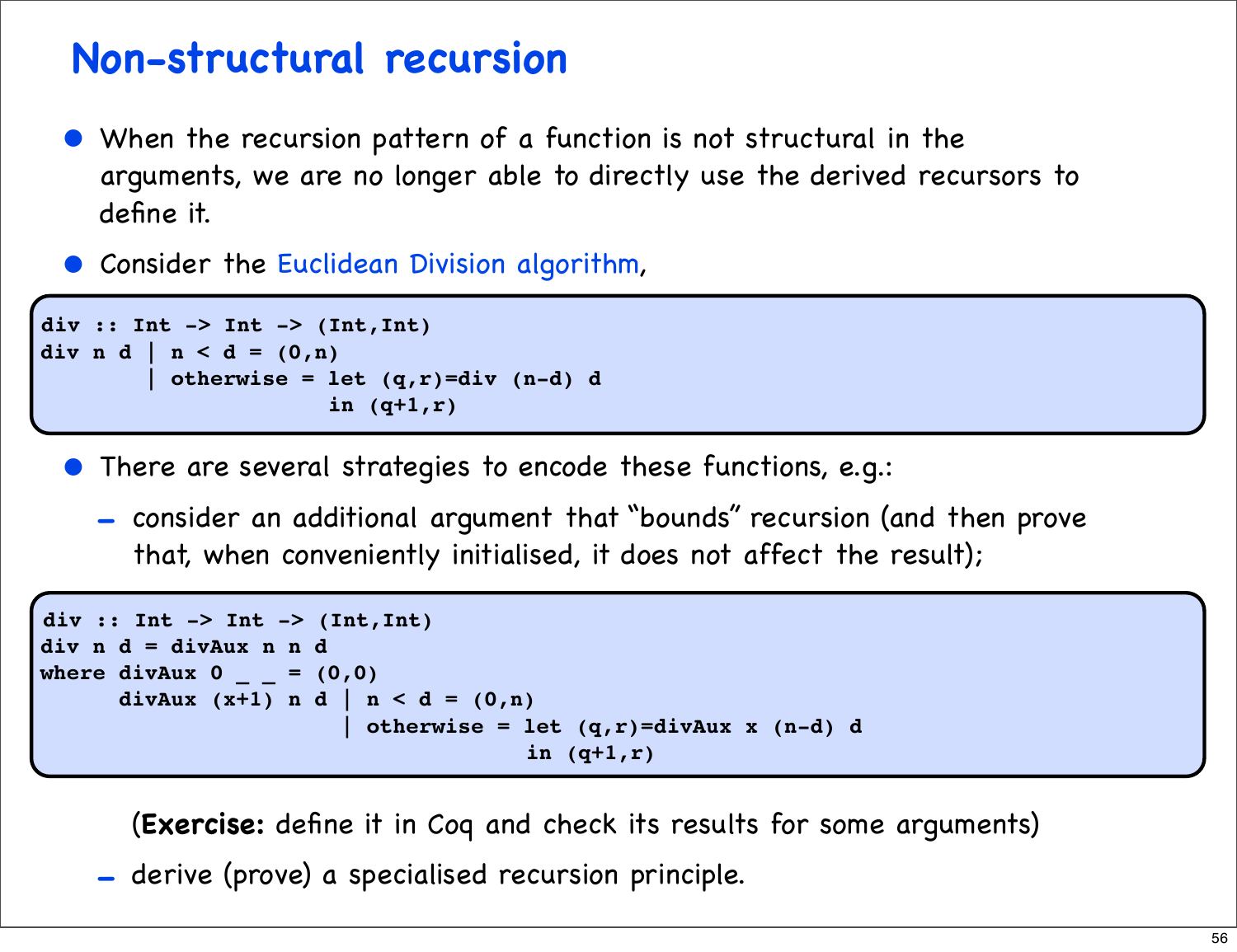#### **Non-structural recursion**

- When the recursion pattern of a function is not structural in the arguments, we are no longer able to directly use the derived recursors to define it.
- Consider the Euclidean Division algorithm,

```
div :: Int -> Int -> (Int,Int)
div n d | n < d = (0, n) | otherwise = let (q,r)=div (n-d) d
                        in (q+1,r)
```
- There are several strategies to encode these functions, e.g.:
	- consider an additional argument that "bounds" recursion (and then prove that, when conveniently initialised, it does not affect the result);

```
div :: Int -> Int -> (Int,Int)
div n d = divAux n n d
where divAux 0 = (0, 0)divAux (x+1) n d | n < d = (0,n) | otherwise = let (q,r)=divAux x (n-d) d
                                      in (q+1,r)
```
(**Exercise:** define it in Coq and check its results for some arguments)

- derive (prove) a specialised recursion principle.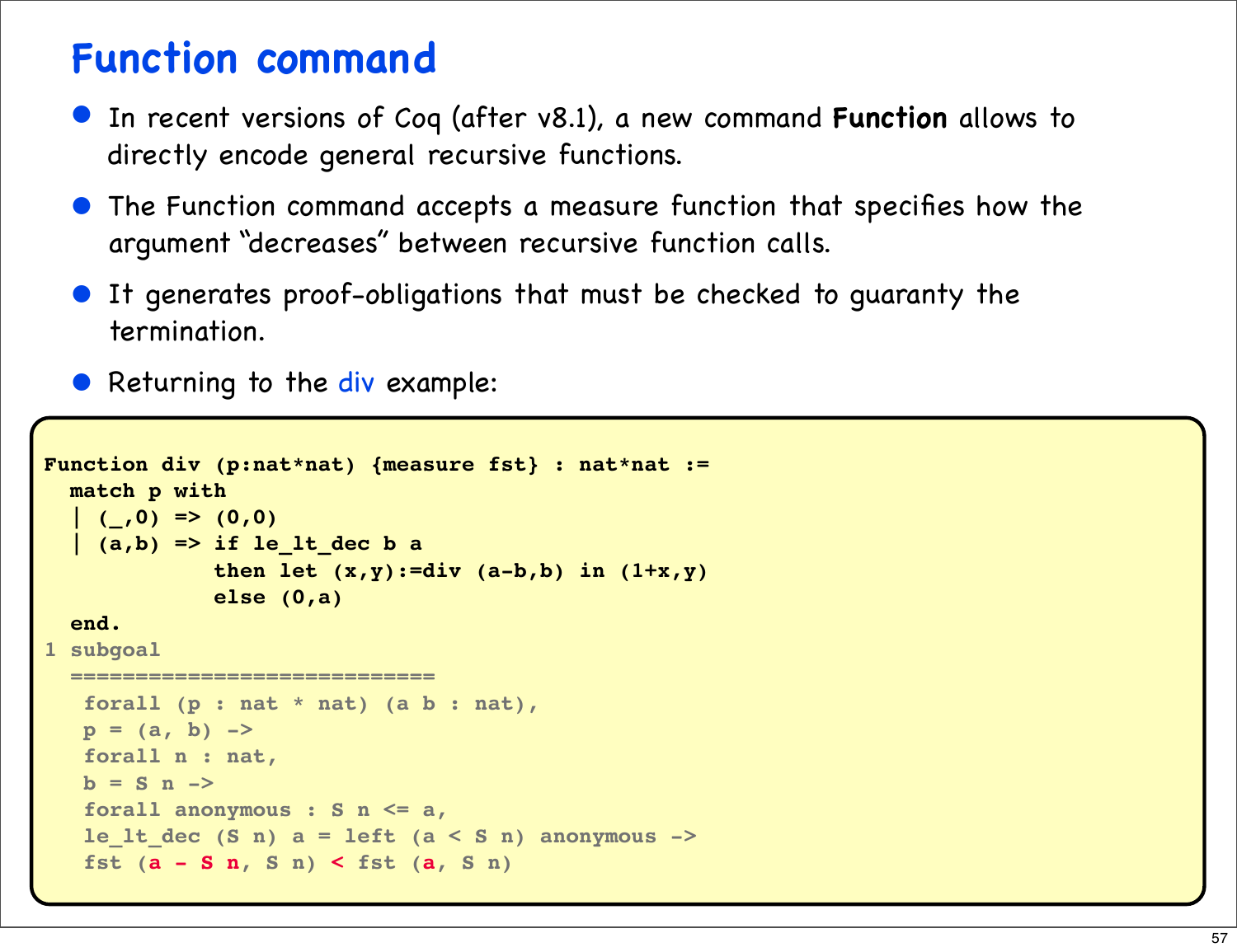#### **Function command**

- In recent versions of Coq (after v8.1), a new command **Function** allows to directly encode general recursive functions.
- The Function command accepts a measure function that specifies how the argument "decreases" between recursive function calls.
- It generates proof-obligations that must be checked to guaranty the termination.
- Returning to the div example:

```
Function div (p:nat*nat) {measure fst} : nat*nat :=
  match p with
  | (,0) => (0,0)
   | (a,b) => if le_lt_dec b a
              then let (x,y):=div (a-b,b) in (1+x,y)
              else (0,a)
   end.
1 subgoal
   ============================
    forall (p : nat * nat) (a b : nat),
  p = (a, b) ->
    forall n : nat,
   b = S n forall anonymous : S n <= a,
    le_lt_dec (S n) a = left (a < S n) anonymous ->
    fst (a - S n, S n) < fst (a, S n)
```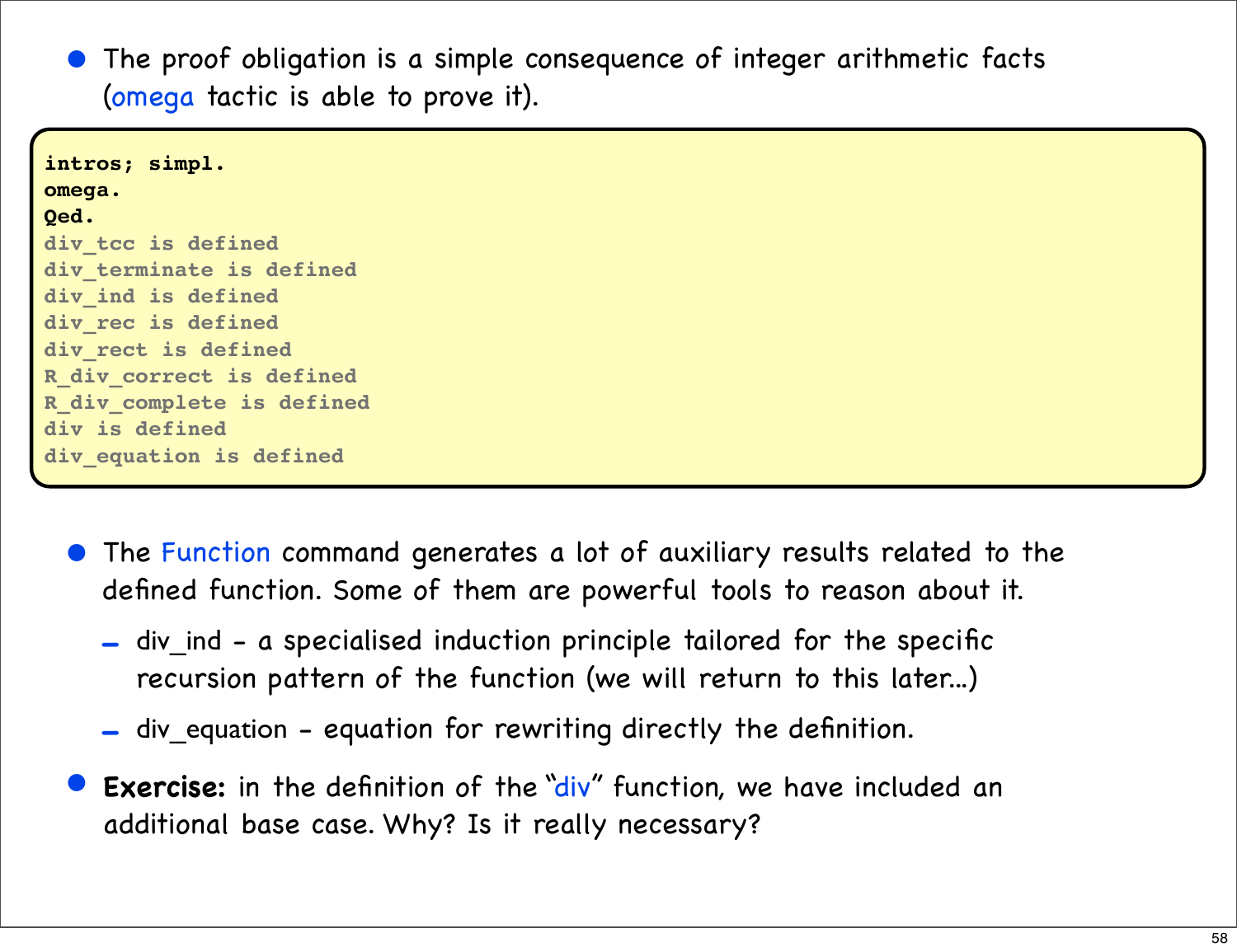The proof obligation is a simple consequence of integer arithmetic facts (omega tactic is able to prove it).

**intros; simpl. omega. Qed. div\_tcc is defined div\_terminate is defined div\_ind is defined div\_rec is defined div\_rect is defined R\_div\_correct is defined R\_div\_complete is defined div is defined div\_equation is defined**

- The Function command generates a lot of auxiliary results related to the defined function. Some of them are powerful tools to reason about it.
	- div ind a specialised induction principle tailored for the specific recursion pattern of the function (we will return to this later...)
	- div\_equation equation for rewriting directly the definition.
- **Exercise:** in the definition of the "div" function, we have included an additional base case. Why? Is it really necessary?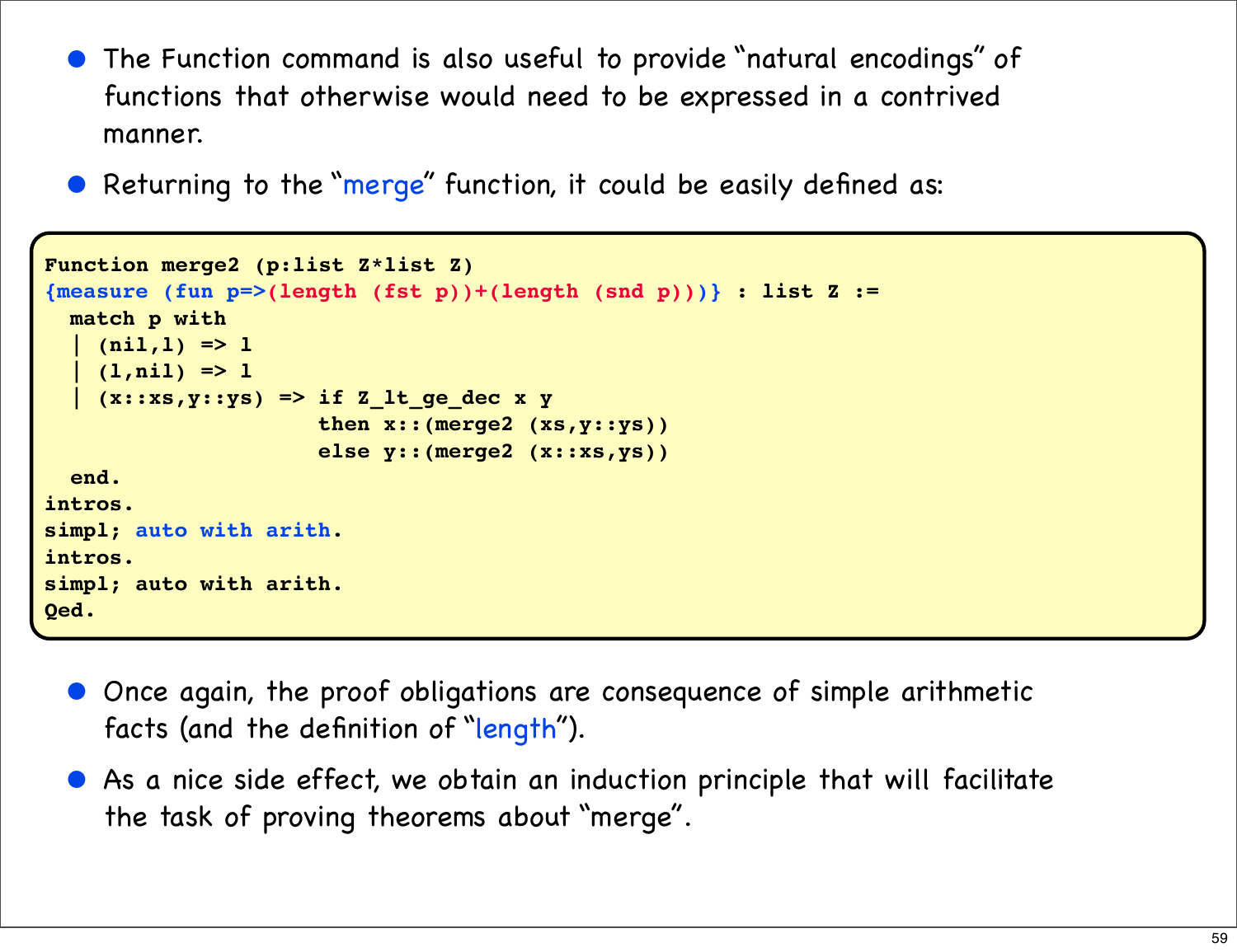- The Function command is also useful to provide "natural encodings" of functions that otherwise would need to be expressed in a contrived manner.
- Returning to the "merge" function, it could be easily defined as:

```
Function merge2 (p:list Z*list Z)
{measure (fun p=>(length (fst p))+(length (snd p)))} : list Z :=
  match p with
   | (nil,l) => l
    (l, nil) => l | (x::xs,y::ys) => if Z_lt_ge_dec x y
                      then x::(merge2 (xs,y::ys))
                       else y::(merge2 (x::xs,ys))
   end.
intros.
simpl; auto with arith.
intros.
simpl; auto with arith.
Qed.
```
- Once again, the proof obligations are consequence of simple arithmetic facts (and the definition of "length").
- As a nice side effect, we obtain an induction principle that will facilitate the task of proving theorems about "merge".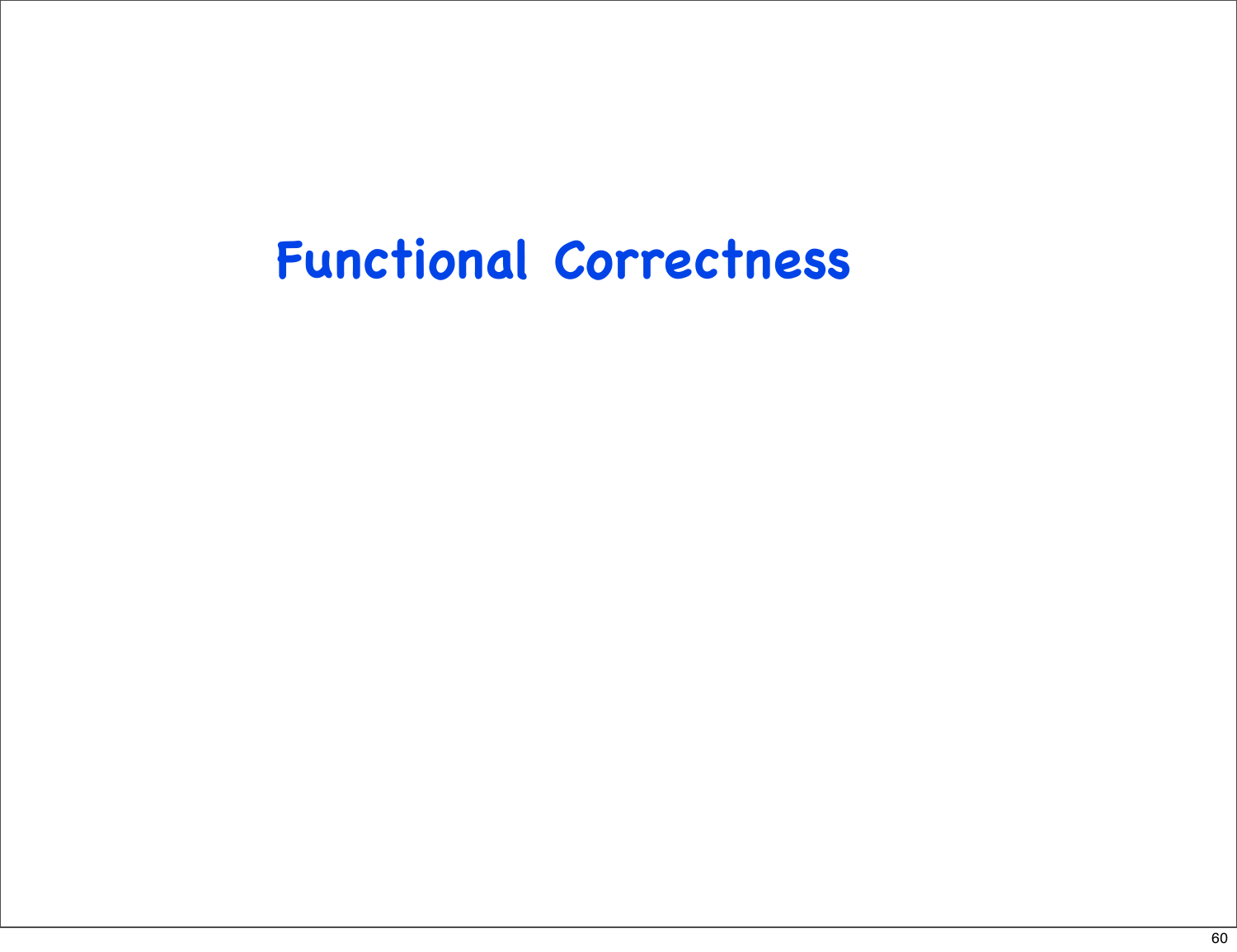### **Functional Correctness**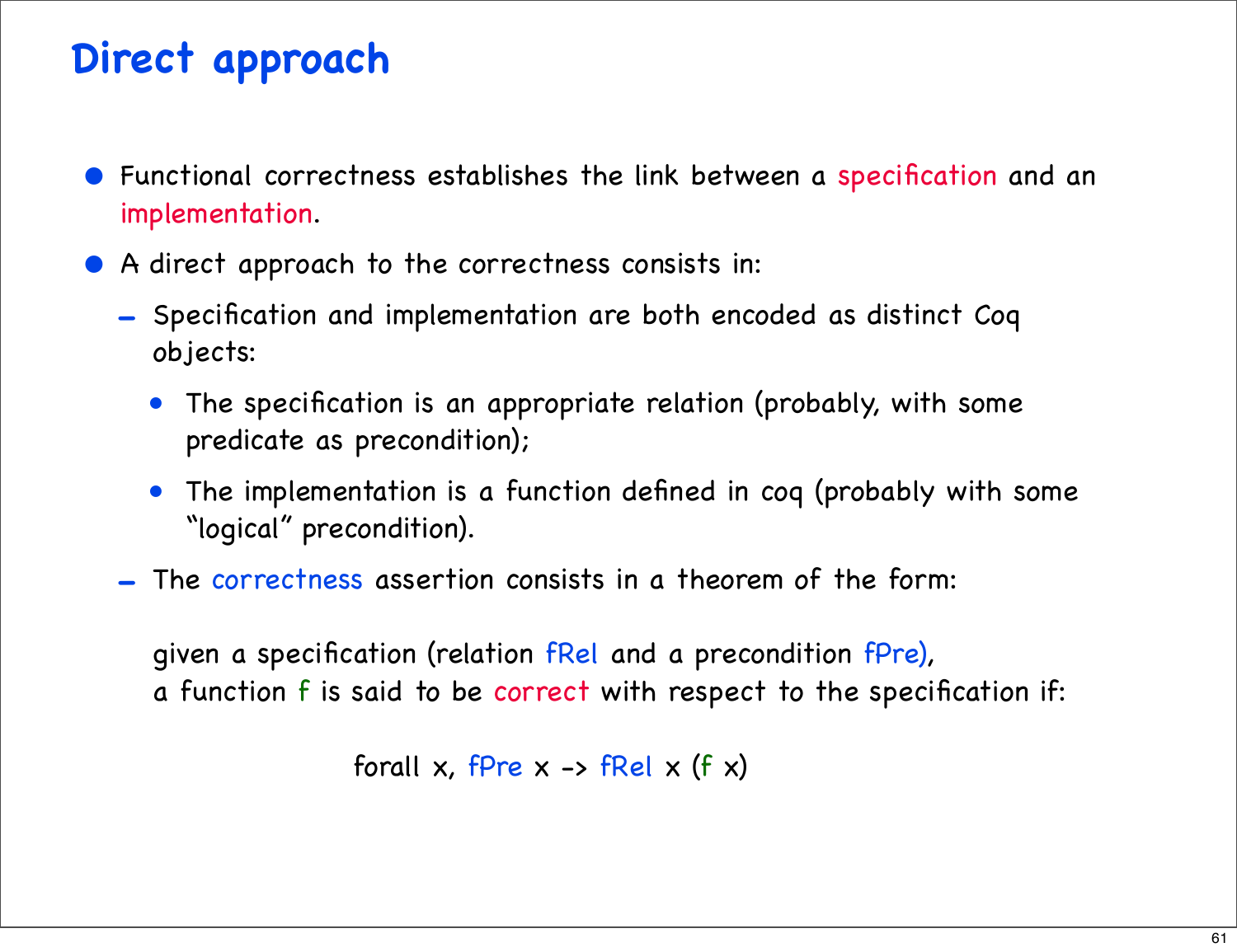#### **Direct approach**

- Functional correctness establishes the link between a specification and an implementation.
- A direct approach to the correctness consists in:
	- Specification and implementation are both encoded as distinct Coq objects:
		- The specification is an appropriate relation (probably, with some predicate as precondition);
		- The implementation is a function defined in coq (probably with some "logical" precondition).
	- The correctness assertion consists in a theorem of the form:

given a specification (relation fRel and a precondition fPre), a function f is said to be correct with respect to the specification if:

forall x, f $Pre \times -$  fRel  $\times$  (f  $\times$ )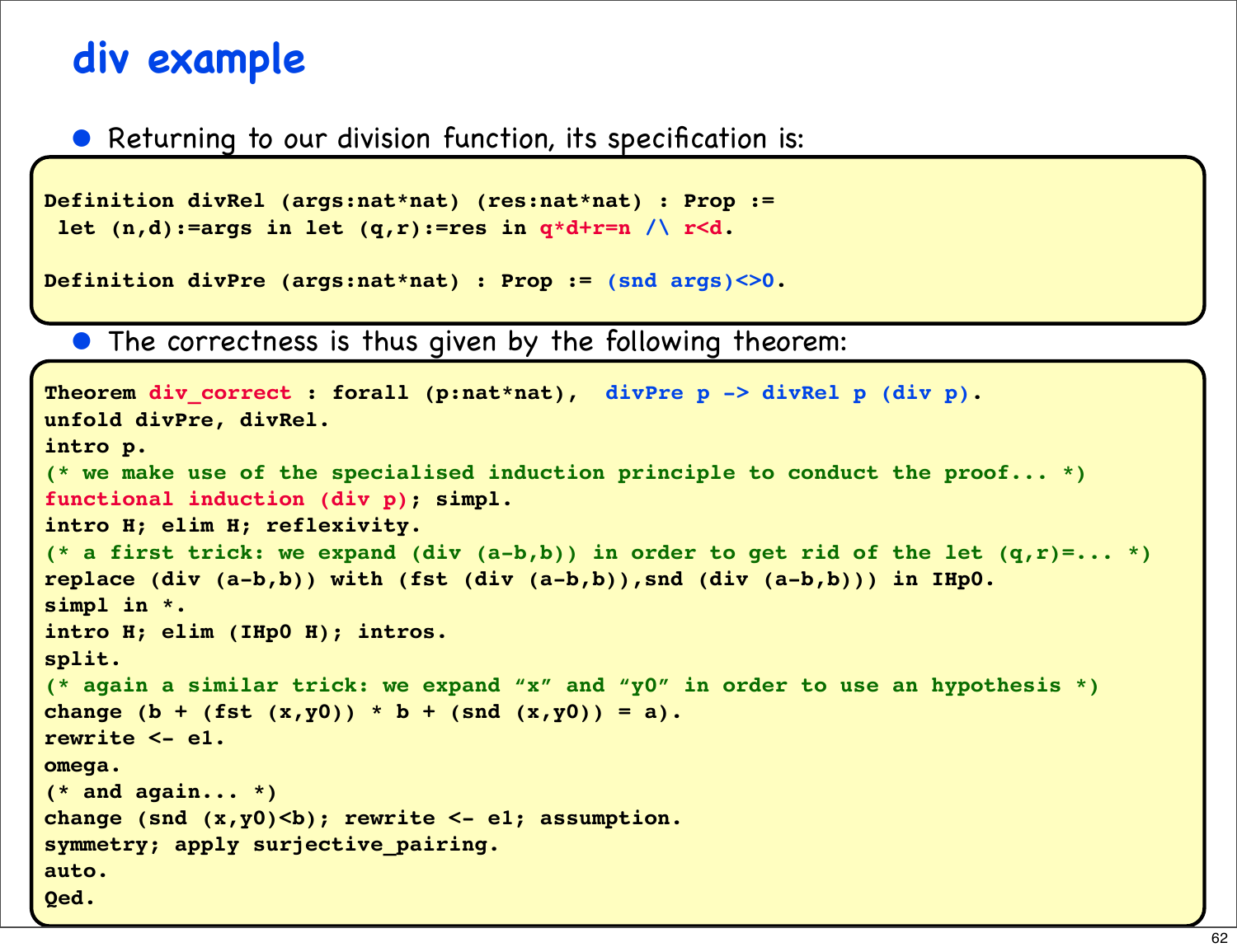#### **div example**

#### • Returning to our division function, its specification is:

```
Definition divRel (args:nat*nat) (res:nat*nat) : Prop :=
  let (n,d):=args in let (q,r):=res in q*d+r=n /\ r<d.
```

```
Definition divPre (args:nat*nat) : Prop := (snd args)<>0.
```
• The correctness is thus given by the following theorem:

```
Theorem div correct : forall (p:nat*nat), divPre p -> divRel p (div p).
unfold divPre, divRel.
intro p.
(* we make use of the specialised induction principle to conduct the proof... *)
functional induction (div p); simpl.
intro H; elim H; reflexivity.
(* a first trick: we expand (div (a-b,b)) in order to get rid of the let (q,r)=... *)
replace (div (a-b,b)) with (fst (div (a-b,b)),snd (div (a-b,b))) in IHp0.
simpl in *.
intro H; elim (IHp0 H); intros.
split.
(* again a similar trick: we expand "x" and "y0" in order to use an hypothesis *)
change (b + (fst(x,y0)) * b + (snd(x,y0)) = a).
rewrite <- e1.
omega.
(* and again... *)
change (snd (x,y0)<b); rewrite <- e1; assumption.
symmetry; apply surjective_pairing.
auto.
Qed.
```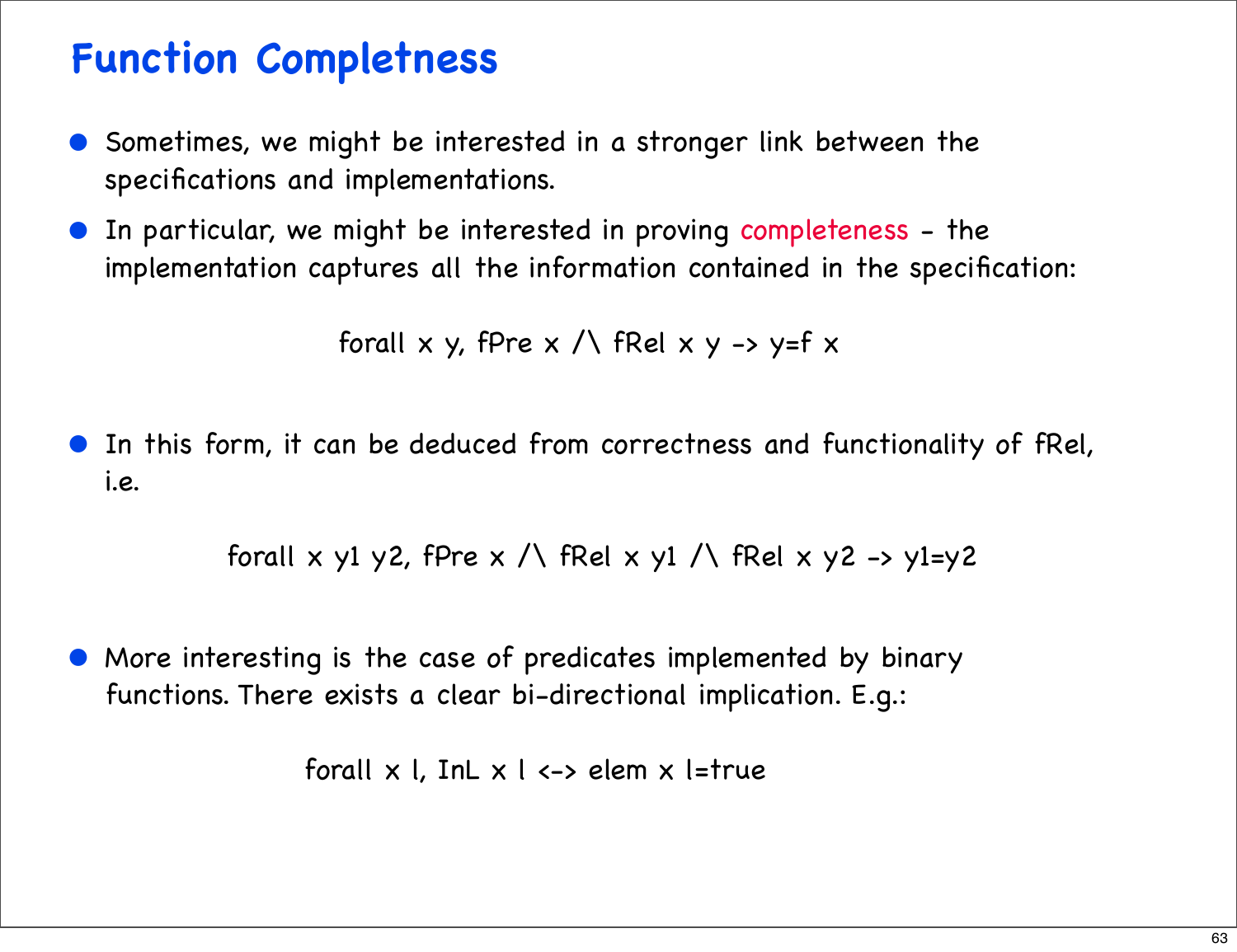#### **Function Completness**

- Sometimes, we might be interested in a stronger link between the specifications and implementations.
- In particular, we might be interested in proving completeness the implementation captures all the information contained in the specification:

forall x y, fPre  $x \wedge$  fRel x y -> y=f x

• In this form, it can be deduced from correctness and functionality of fRel, i.e.

forall x y1 y2, fPre x  $\wedge$  fRel x y1  $\wedge$  fRel x y2 -> y1=y2

• More interesting is the case of predicates implemented by binary functions. There exists a clear bi-directional implication. E.g.:

forall  $x$  l, InL  $x$  l  $\leftarrow$  elem  $x$  l=true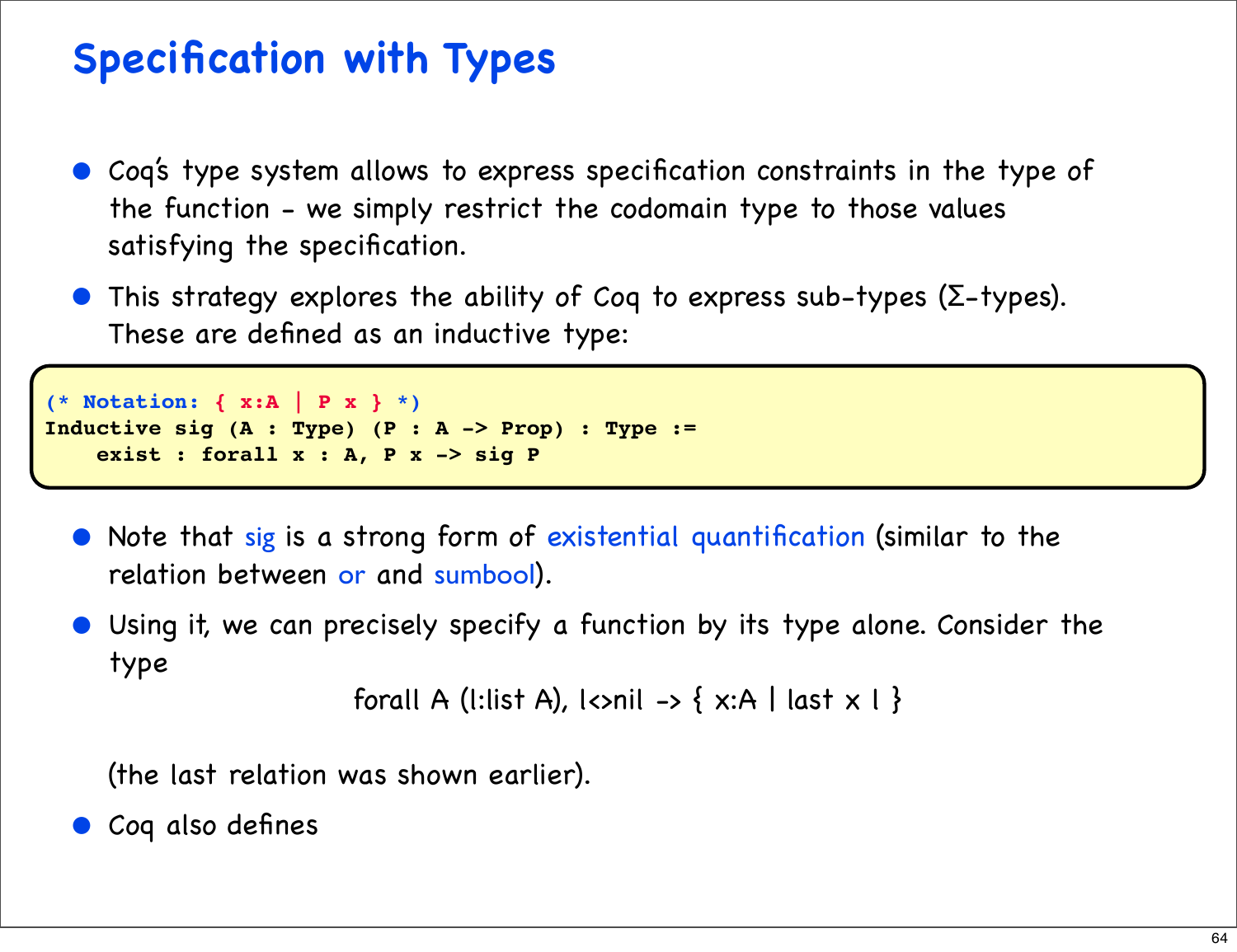#### **Specification with Types**

- Coq's type system allows to express specification constraints in the type of the function - we simply restrict the codomain type to those values satisfying the specification.
- This strategy explores the ability of Coq to express sub-types ( $\Sigma$ -types). These are defined as an inductive type:

```
(* Notation: { x:A | P x } *)
Inductive sig (A : Type) (P : A -> Prop) : Type :=
    exist : forall x : A, P x -> sig P
```
- Note that sig is a strong form of existential quantification (similar to the relation between or and sumbool).
- Using it, we can precisely specify a function by its type alone. Consider the type

```
forall A (l:list A), l<>nil -> { x:A | last x \perp }
```
(the last relation was shown earlier).

• Coq also defines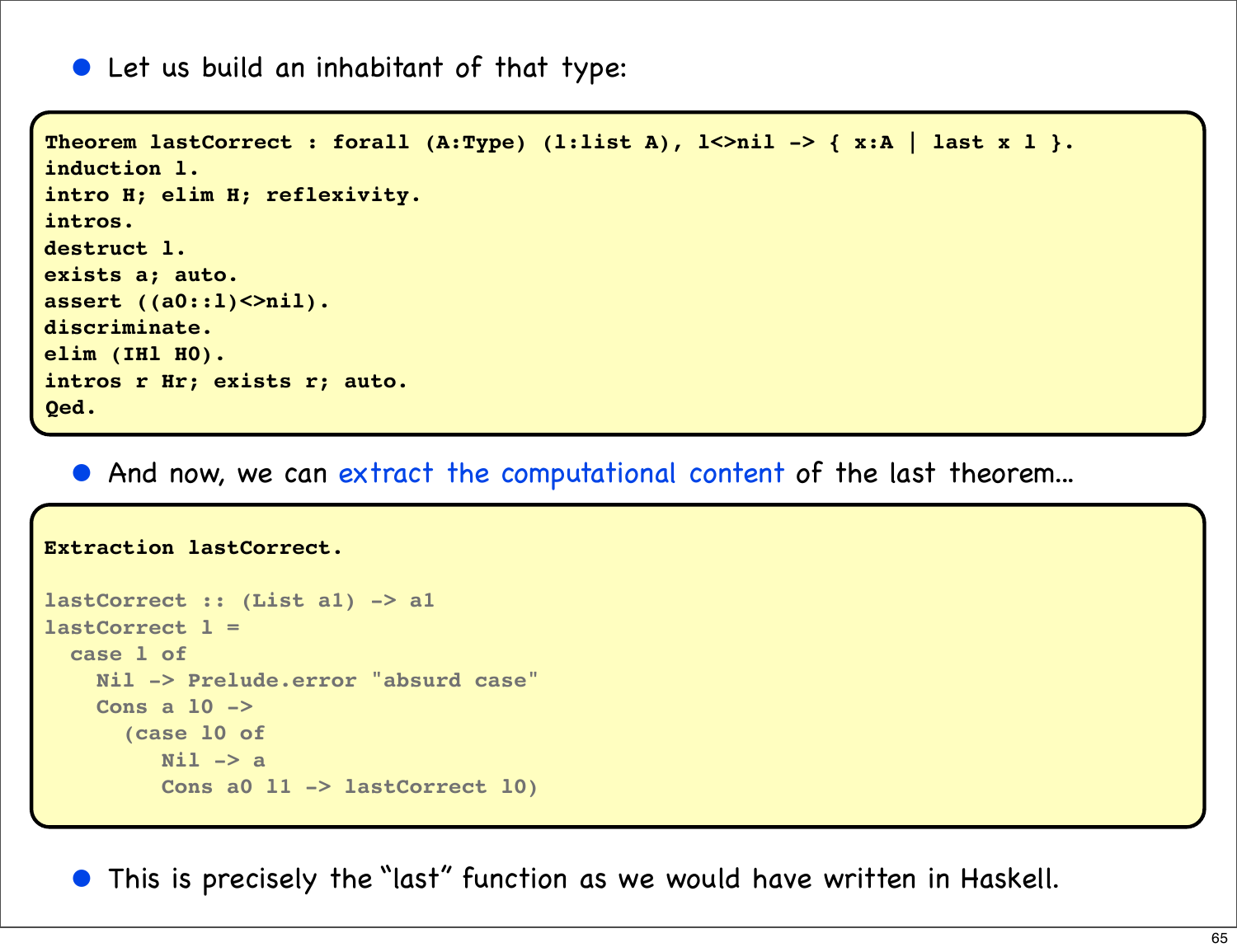• Let us build an inhabitant of that type:

```
Theorem lastCorrect : forall (A:Type) (l:list A), l<>nil -> { x:A | last x l }.
induction l.
intro H; elim H; reflexivity.
intros.
destruct l.
exists a; auto.
assert ((a0::l)<>nil).
discriminate.
elim (IHl H0).
intros r Hr; exists r; auto.
Qed.
```
• And now, we can extract the computational content of the last theorem...

```
Extraction lastCorrect.
lastCorrect :: (List a1) -> a1
lastCorrect l =
   case l of
     Nil -> Prelude.error "absurd case"
     Cons a l0 ->
       (case l0 of
          Nil -> a
          Cons a0 l1 -> lastCorrect l0)
```
• This is precisely the "last" function as we would have written in Haskell.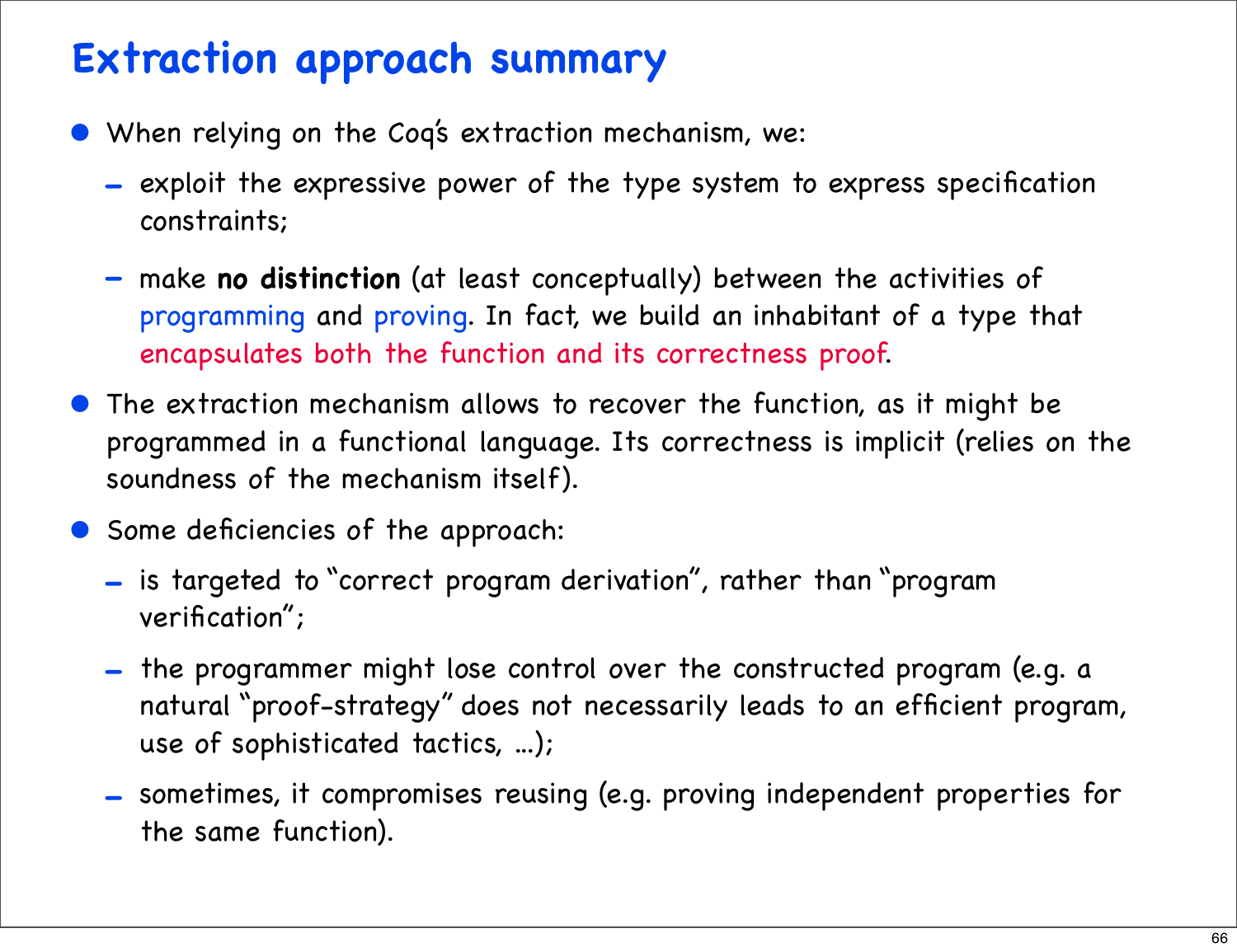#### **Extraction approach summary**

- When relying on the Coq's extraction mechanism, we:
	- exploit the expressive power of the type system to express specification constraints;
	- make **no distinction** (at least conceptually) between the activities of programming and proving. In fact, we build an inhabitant of a type that encapsulates both the function and its correctness proof.
- The extraction mechanism allows to recover the function, as it might be programmed in a functional language. Its correctness is implicit (relies on the soundness of the mechanism itself).
- Some deficiencies of the approach:
	- is targeted to "correct program derivation", rather than "program verification";
	- the programmer might lose control over the constructed program (e.g. a natural "proof-strategy" does not necessarily leads to an efficient program, use of sophisticated tactics, ...);
	- sometimes, it compromises reusing (e.g. proving independent properties for the same function).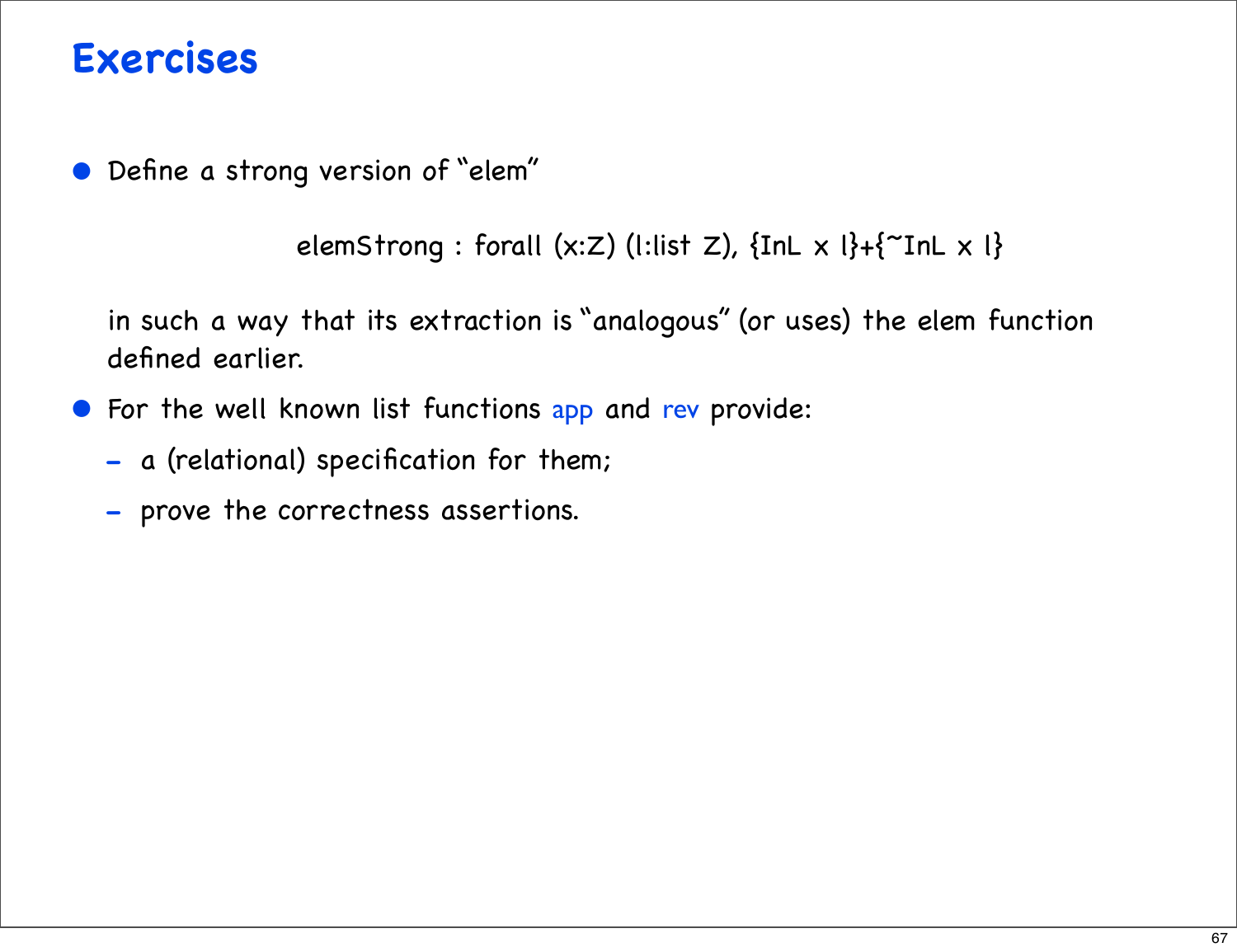#### **Exercises**

• Define a strong version of "elem"

```
elemStrong : forall (x:Z) (l:list Z), {InL x \left[\right] + \left\{<sup>2</sup>InL x \left[\right\}
```
in such a way that its extraction is "analogous" (or uses) the elem function defined earlier.

- For the well known list functions app and rev provide:
	- a (relational) specification for them;
	- prove the correctness assertions.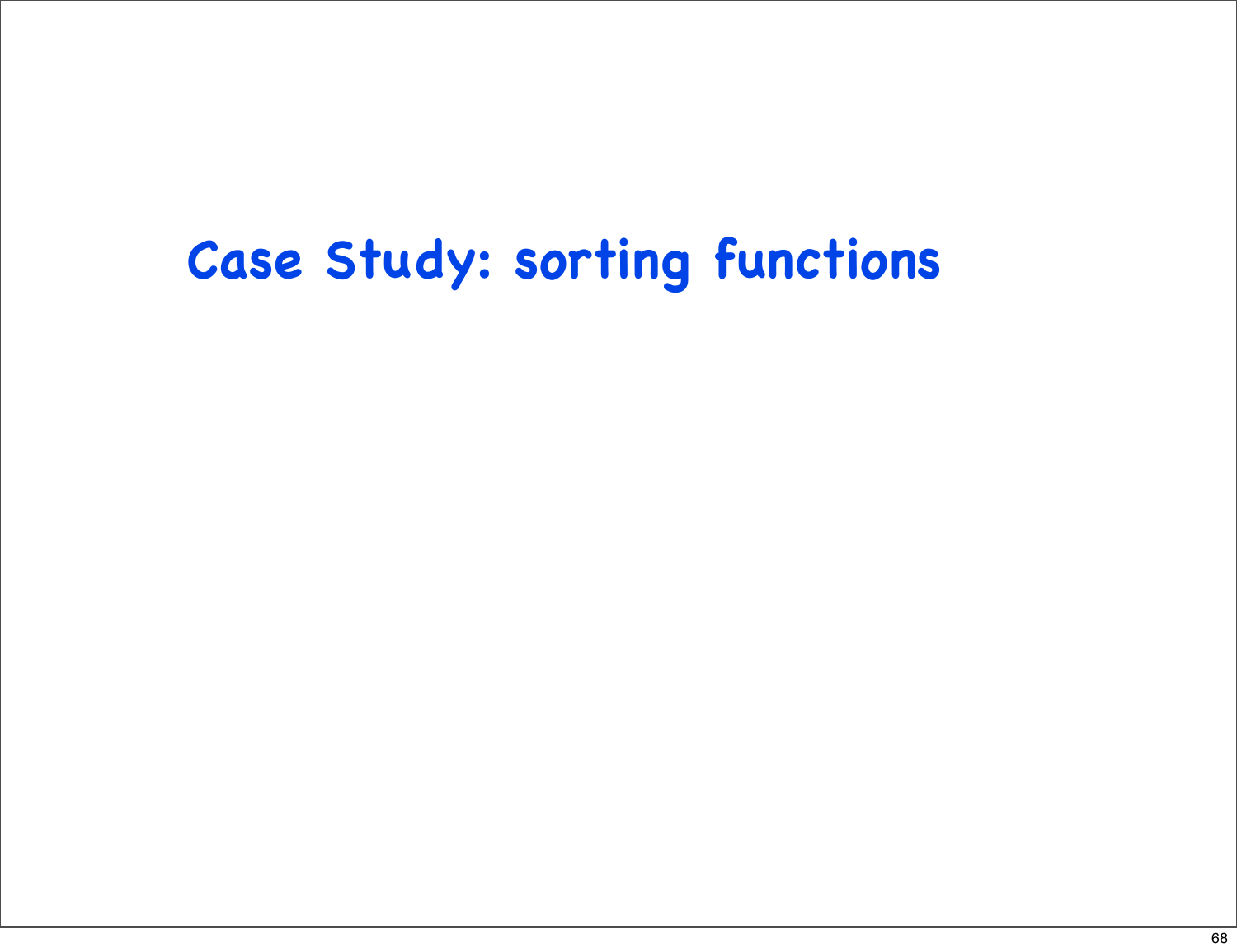### **Case Study: sorting functions**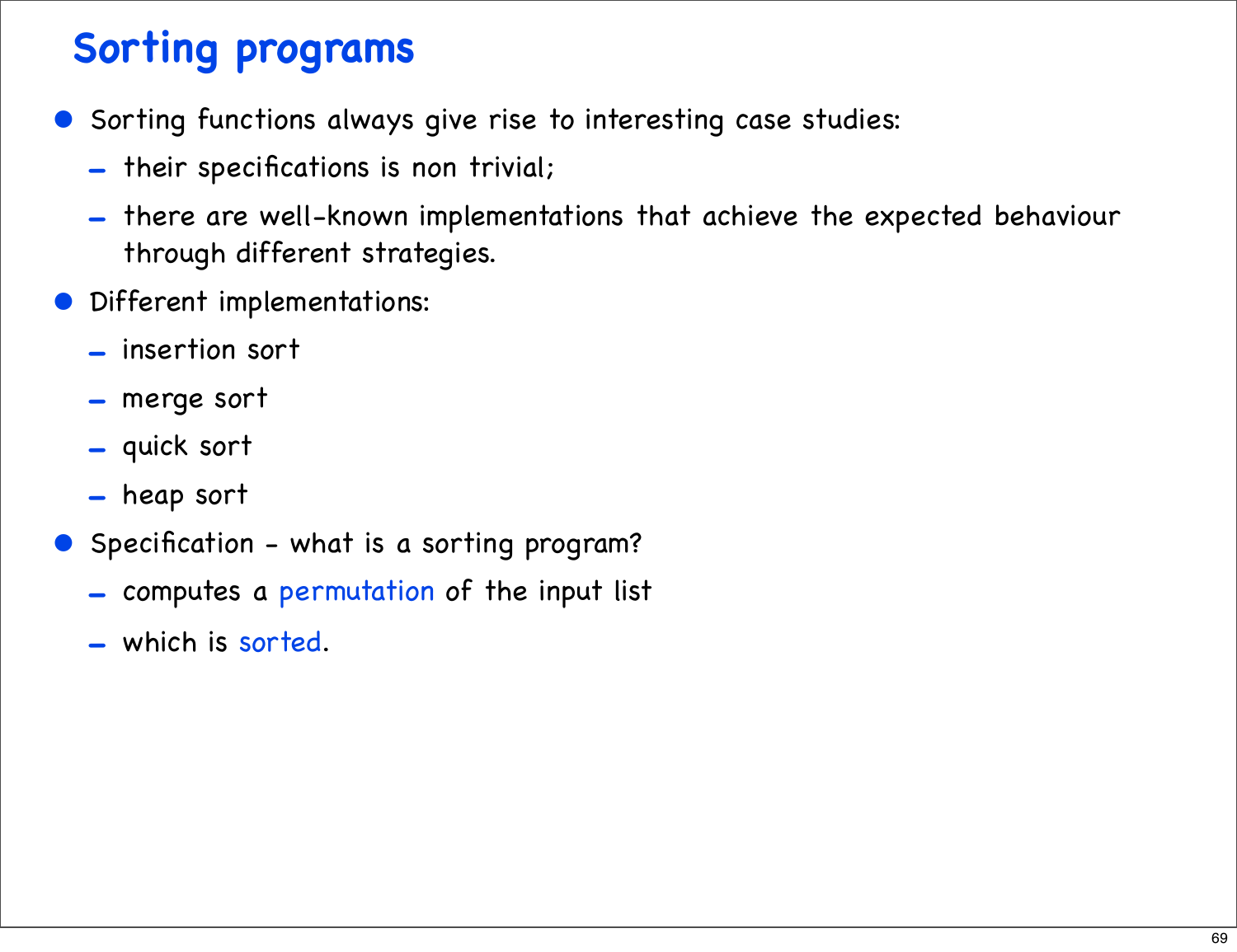### **Sorting programs**

- Sorting functions always give rise to interesting case studies:
	- their specifications is non trivial;
	- there are well-known implementations that achieve the expected behaviour through different strategies.
- Different implementations:
	- insertion sort
	- merge sort
	- quick sort
	- heap sort
- Specification what is a sorting program?
	- computes a permutation of the input list
	- which is sorted.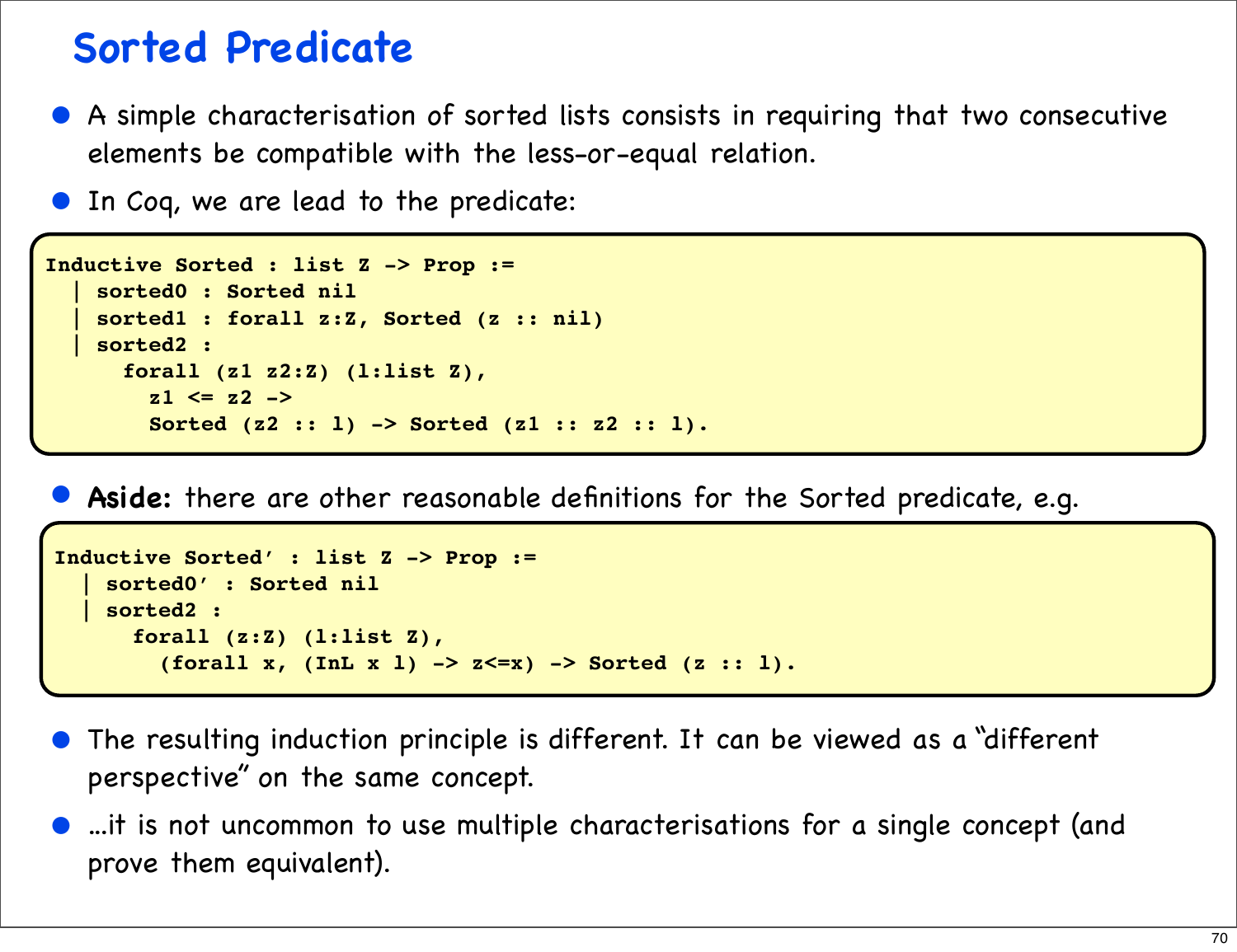#### **Sorted Predicate**

- A simple characterisation of sorted lists consists in requiring that two consecutive elements be compatible with the less-or-equal relation.
- In Coq, we are lead to the predicate:

```
Inductive Sorted : list Z -> Prop :=
     | sorted0 : Sorted nil
     | sorted1 : forall z:Z, Sorted (z :: nil)
     | sorted2 :
       forall (z1 z2:Z) (l:list Z),
         z1 <= z2 ->
         Sorted (z2 :: l) -> Sorted (z1 :: z2 :: l).
```
• **Aside:** there are other reasonable definitions for the Sorted predicate, e.g.

```
Inductive Sorted' : list Z -> Prop :=
     | sorted0' : Sorted nil
    | sorted2 :
       forall (z:Z) (l:list Z),
         (forall x, (InL x l) -> z<=x) -> Sorted (z :: l).
```
- The resulting induction principle is different. It can be viewed as a "different perspective" on the same concept.
- ...it is not uncommon to use multiple characterisations for a single concept (and prove them equivalent).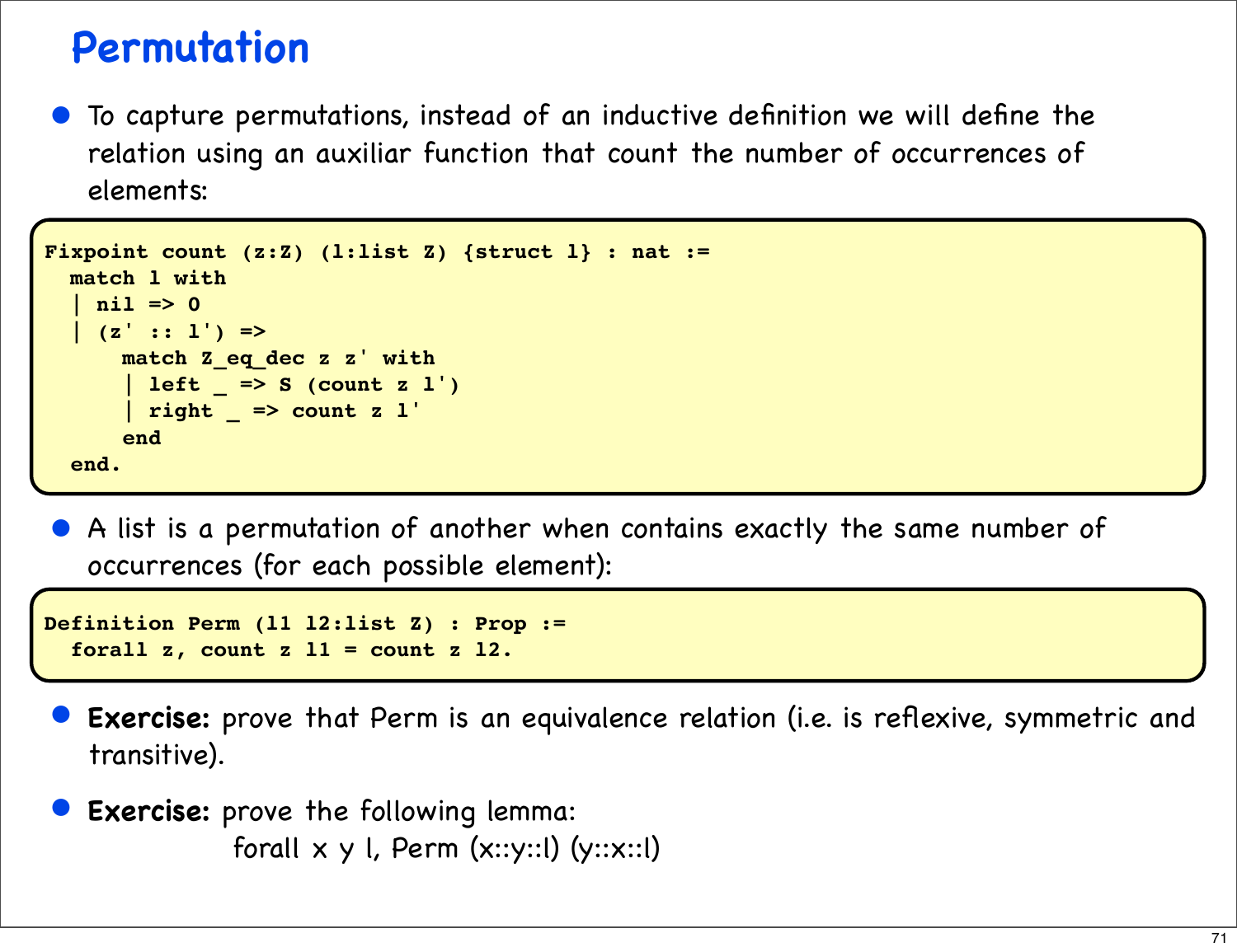#### **Permutation**

• To capture permutations, instead of an inductive definition we will define the relation using an auxiliar function that count the number of occurrences of elements:

```
Fixpoint count (z:Z) (l:list Z) {struct l} : nat :=
   match l with
    \frac{nil}{} => 0
    (z' : : 1') \Rightarrow match Z_eq_dec z z' with
        | left _ => S (count z l')
        | right _ => count z l'
        end
   end.
```
• A list is a permutation of another when contains exactly the same number of occurrences (for each possible element):

```
Definition Perm (l1 l2:list Z) : Prop :=
   forall z, count z l1 = count z l2.
```
- **Exercise:** prove that Perm is an equivalence relation (i.e. is reflexive, symmetric and transitive).
- **Exercise:** prove the following lemma: forall  $x \ y \ l$ , Perm  $(x::y::l)$   $(y::x::l)$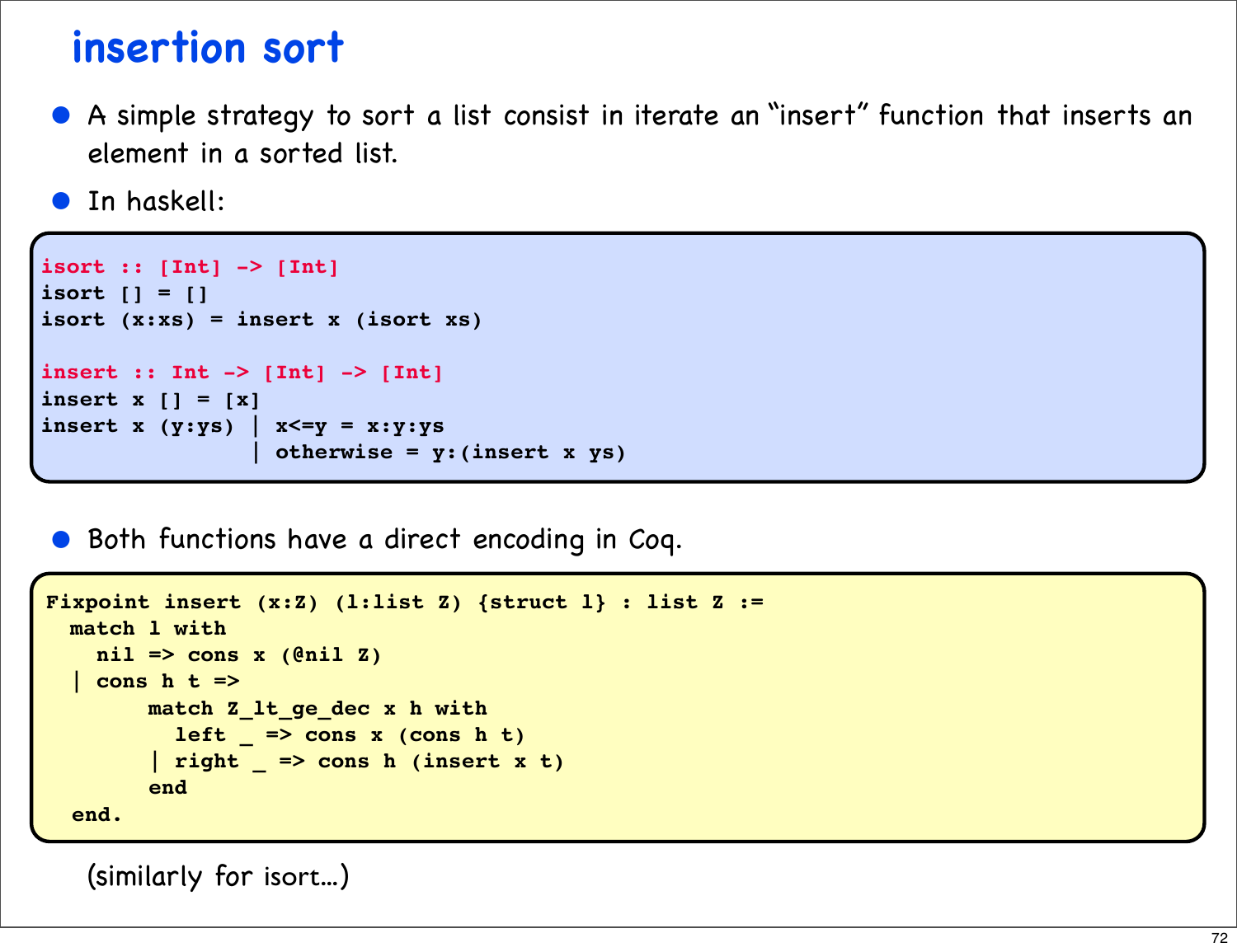#### **insertion sort**

- A simple strategy to sort a list consist in iterate an "insert" function that inserts an element in a sorted list.
- **•** In haskell:

```
isort :: [Int] -> [Int]
isort [] = []
isort (x:xs) = insert x (isort xs)
insert :: Int -> [Int] -> [Int]
insert x [] = [x]
insert x (y:ys) | x \le y = x: y:ys | otherwise = y:(insert x ys)
```
• Both functions have a direct encoding in Coq.

```
Fixpoint insert (x:Z) (l:list Z) {struct l} : list Z :=
  match l with
    nil => cons x (@nil Z)
   | cons h t =>
        match Z_lt_ge_dec x h with
          left = > const x (cons h t) | right _ => cons h (insert x t)
         end
   end.
```
(similarly for isort...)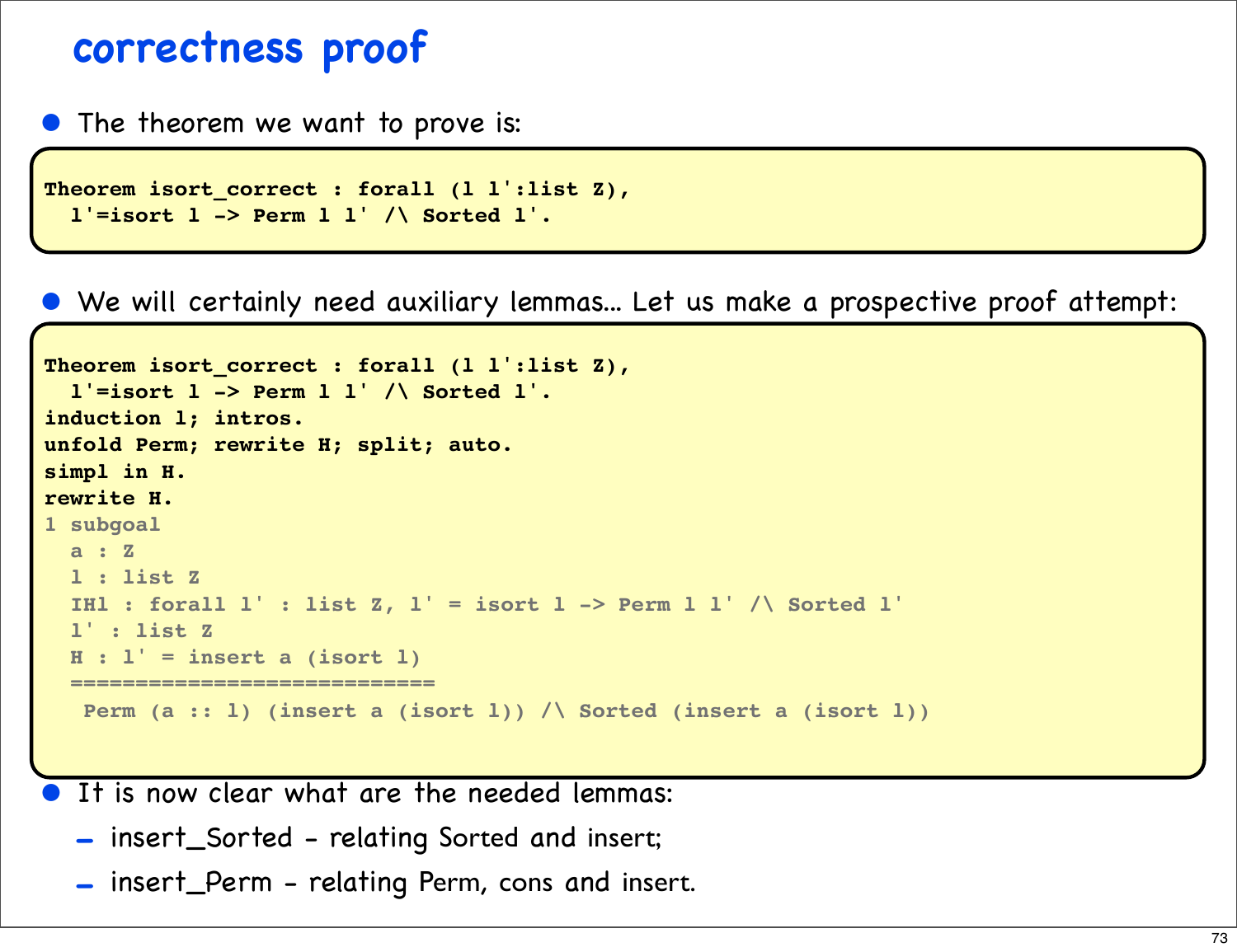## **correctness proof**

• The theorem we want to prove is:

```
Theorem isort correct : forall (l l':list Z),
   l'=isort l -> Perm l l' /\ Sorted l'.
```
• We will certainly need auxiliary lemmas... Let us make a prospective proof attempt:

```
Theorem isort_correct : forall (l l':list Z),
   l'=isort l -> Perm l l' /\ Sorted l'.
induction l; intros.
unfold Perm; rewrite H; split; auto.
simpl in H.
rewrite H.
1 subgoal
   a : Z
   l : list Z
   IHl : forall l' : list Z, l' = isort l -> Perm l l' /\ Sorted l'
   l' : list Z
   H : l' = insert a (isort l)
   ============================
   Perm (a :: l) (insert a (isort l)) /\ Sorted (insert a (isort l))
```
It is now clear what are the needed lemmas:

- insert\_Sorted relating Sorted and insert;
- insert\_Perm relating Perm, cons and insert.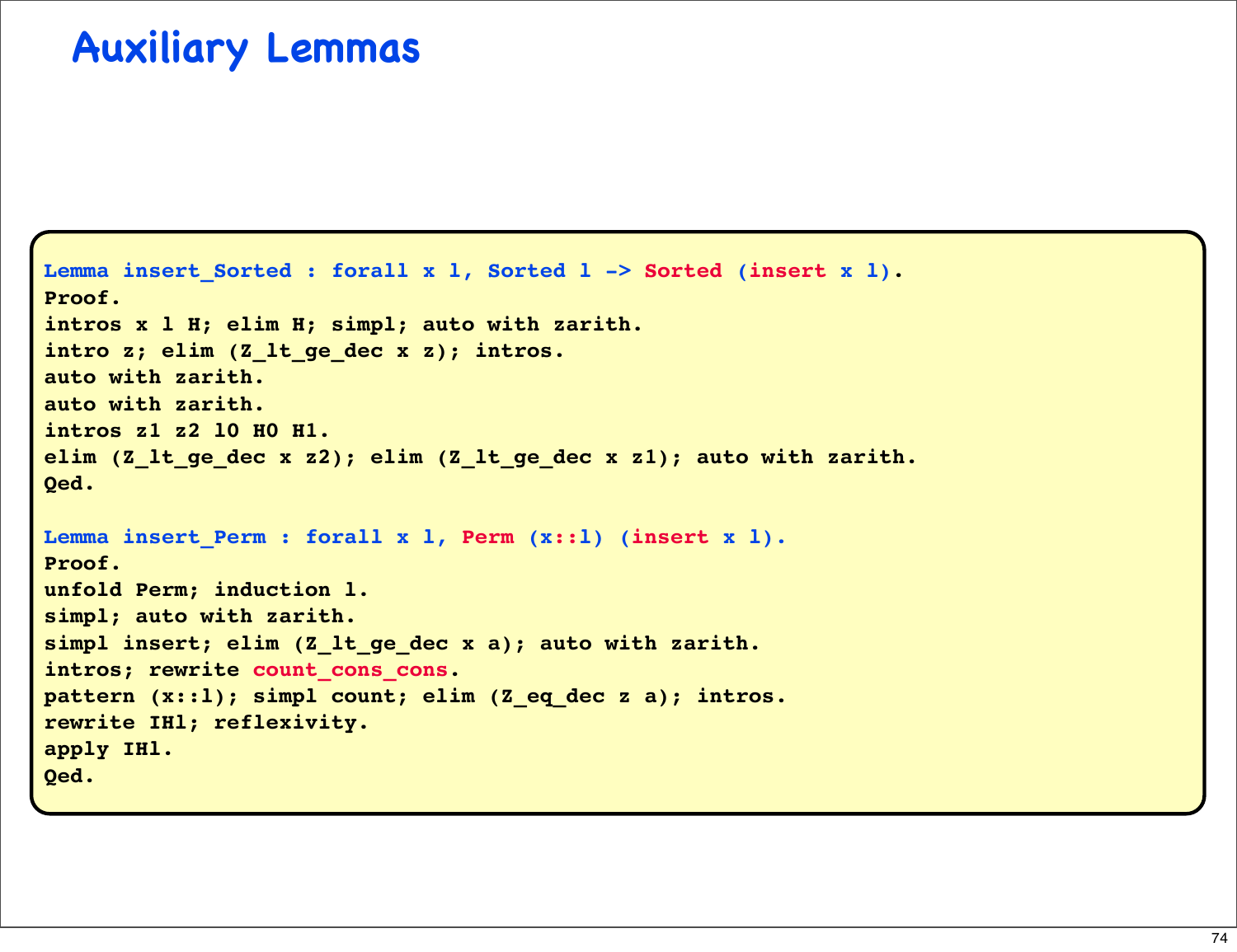## **Auxiliary Lemmas**

```
Lemma insert_Sorted : forall x 1, Sorted 1 -> Sorted (insert x 1).
Proof.
intros x l H; elim H; simpl; auto with zarith.
intro z; elim (Z_lt_ge_dec x z); intros.
auto with zarith.
auto with zarith.
intros z1 z2 l0 H0 H1.
elim (Z_lt_ge_dec x z2); elim (Z_lt_ge_dec x z1); auto with zarith.
Qed.
Lemma insert Perm : forall x l, Perm (x::l) (insert x l).
Proof.
unfold Perm; induction l.
simpl; auto with zarith.
simpl insert; elim (Z_lt_ge_dec x a); auto with zarith. 
intros; rewrite count cons cons.
pattern (x::l); simpl count; elim (Z_eq_dec z a); intros.
rewrite IHl; reflexivity.
apply IHl.
Qed.
```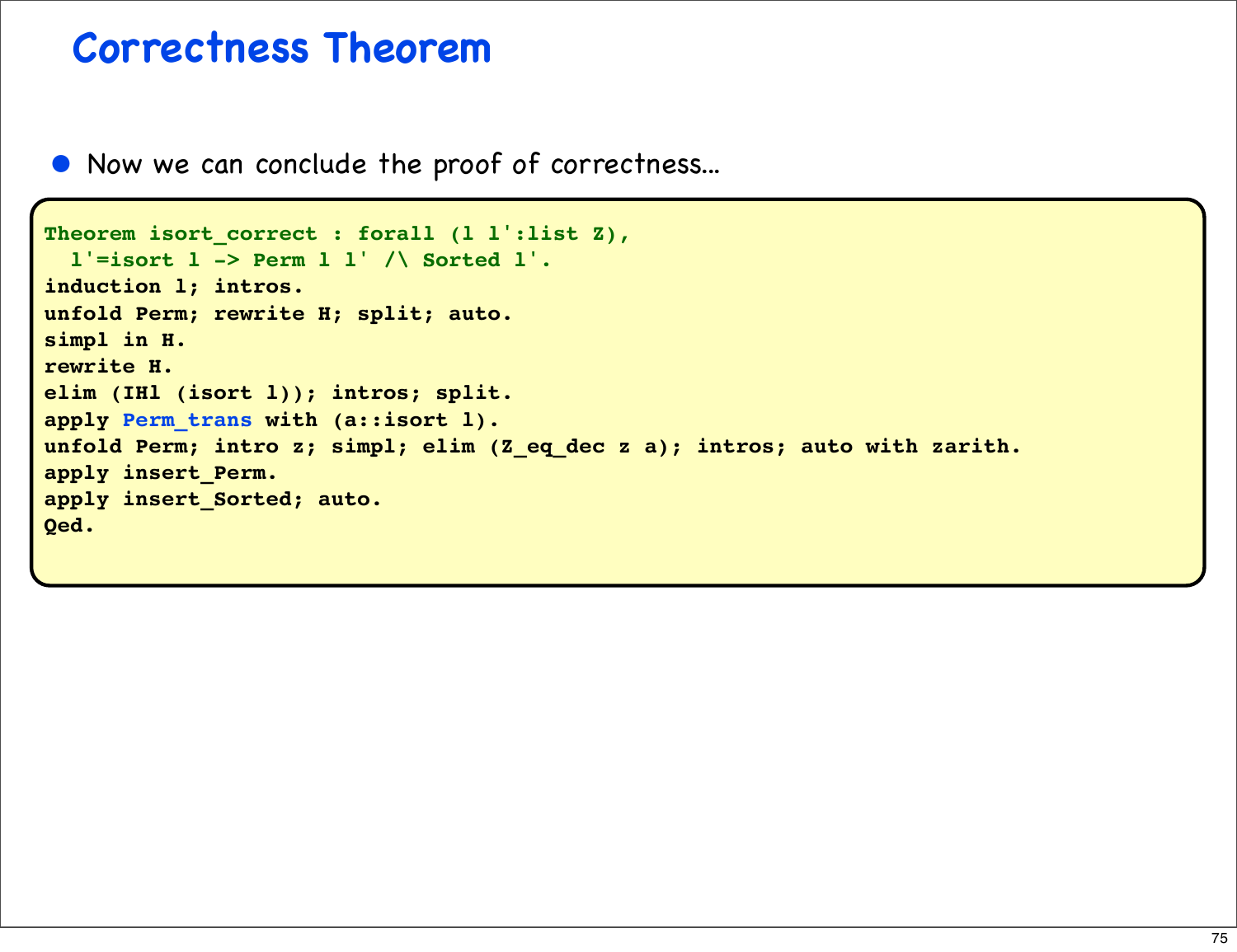## **Correctness Theorem**

• Now we can conclude the proof of correctness...

```
Theorem isort correct : forall (l l':list Z),
   l'=isort l -> Perm l l' /\ Sorted l'.
induction l; intros.
unfold Perm; rewrite H; split; auto.
simpl in H.
rewrite H.
elim (IHl (isort l)); intros; split.
apply Perm_trans with (a::isort l).
unfold Perm; intro z; simpl; elim (Z_eq_dec z a); intros; auto with zarith.
apply insert_Perm.
apply insert_Sorted; auto.
Qed.
```